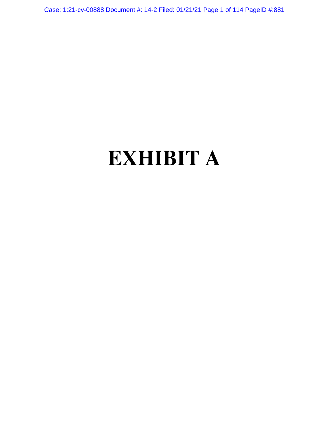Case: 1:21-cv-00888 Document #: 14-2 Filed: 01/21/21 Page 1 of 114 PageID #:881

# **EXHIBIT A**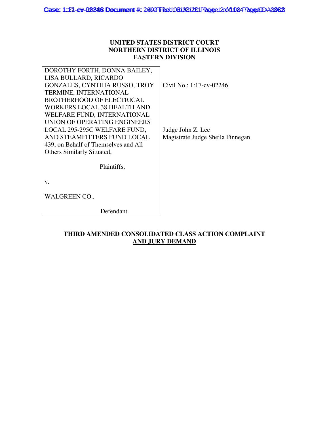# **UNITED STATES DISTRICT COURT NORTHERN DISTRICT OF ILLINOIS EASTERN DIVISION**

| DOROTHY FORTH, DONNA BAILEY,         |                                  |
|--------------------------------------|----------------------------------|
| LISA BULLARD, RICARDO                |                                  |
| GONZALES, CYNTHIA RUSSO, TROY        | Civil No.: 1:17-cv-02246         |
| TERMINE, INTERNATIONAL               |                                  |
| <b>BROTHERHOOD OF ELECTRICAL</b>     |                                  |
| <b>WORKERS LOCAL 38 HEALTH AND</b>   |                                  |
| WELFARE FUND, INTERNATIONAL          |                                  |
| UNION OF OPERATING ENGINEERS         |                                  |
| LOCAL 295-295C WELFARE FUND,         | Judge John Z. Lee                |
| AND STEAMFITTERS FUND LOCAL          | Magistrate Judge Sheila Finnegan |
| 439, on Behalf of Themselves and All |                                  |
| Others Similarly Situated,           |                                  |
|                                      |                                  |
| Plaintiffs,                          |                                  |
|                                      |                                  |
| V.                                   |                                  |
|                                      |                                  |
| <b>WALGREEN CO.,</b>                 |                                  |
|                                      |                                  |
| Defendant.                           |                                  |

# **THIRD AMENDED CONSOLIDATED CLASS ACTION COMPLAINT AND JURY DEMAND**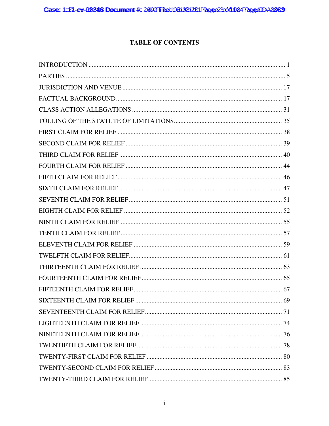# **TABLE OF CONTENTS**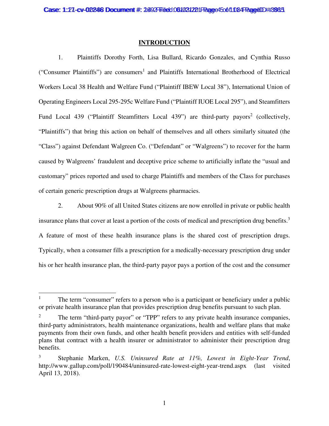# **INTRODUCTION**

1. Plaintiffs Dorothy Forth, Lisa Bullard, Ricardo Gonzales, and Cynthia Russo ("Consumer Plaintiffs") are consumers<sup>1</sup> and Plaintiffs International Brotherhood of Electrical Workers Local 38 Health and Welfare Fund ("Plaintiff IBEW Local 38"), International Union of Operating Engineers Local 295-295c Welfare Fund ("Plaintiff IUOE Local 295"), and Steamfitters Fund Local 439 ("Plaintiff Steamfitters Local 439") are third-party payors<sup>2</sup> (collectively, "Plaintiffs") that bring this action on behalf of themselves and all others similarly situated (the "Class") against Defendant Walgreen Co. ("Defendant" or "Walgreens") to recover for the harm caused by Walgreens' fraudulent and deceptive price scheme to artificially inflate the "usual and customary" prices reported and used to charge Plaintiffs and members of the Class for purchases of certain generic prescription drugs at Walgreens pharmacies.

2. About 90% of all United States citizens are now enrolled in private or public health insurance plans that cover at least a portion of the costs of medical and prescription drug benefits.<sup>3</sup> A feature of most of these health insurance plans is the shared cost of prescription drugs. Typically, when a consumer fills a prescription for a medically-necessary prescription drug under his or her health insurance plan, the third-party payor pays a portion of the cost and the consumer

The term "consumer" refers to a person who is a participant or beneficiary under a public or private health insurance plan that provides prescription drug benefits pursuant to such plan.

<sup>&</sup>lt;sup>2</sup> The term "third-party payor" or "TPP" refers to any private health insurance companies, third‐party administrators, health maintenance organizations, health and welfare plans that make payments from their own funds, and other health benefit providers and entities with self-funded plans that contract with a health insurer or administrator to administer their prescription drug benefits.

<sup>3</sup> Stephanie Marken, *U.S. Uninsured Rate at 11%, Lowest in Eight-Year Trend*, http://www.gallup.com/poll/190484/uninsured-rate-lowest-eight-year-trend.aspx (last visited April 13, 2018).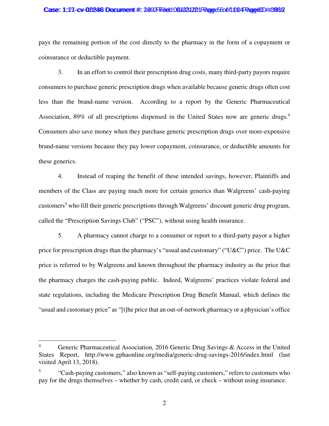## Case: 1:27-cv-02246 Document #: 2692 Filed: 061031221 Page 5 6 of 1084 PageUD #:3986

pays the remaining portion of the cost directly to the pharmacy in the form of a copayment or coinsurance or deductible payment.

3. In an effort to control their prescription drug costs, many third-party payors require consumers to purchase generic prescription drugs when available because generic drugs often cost less than the brand-name version. According to a report by the Generic Pharmaceutical Association, 89% of all prescriptions dispensed in the United States now are generic drugs.<sup>4</sup> Consumers also save money when they purchase generic prescription drugs over more-expensive brand-name versions because they pay lower copayment, coinsurance, or deductible amounts for these generics.

4. Instead of reaping the benefit of these intended savings, however, Plaintiffs and members of the Class are paying much more for certain generics than Walgreens' cash-paying customers<sup>5</sup> who fill their generic prescriptions through Walgreens' discount generic drug program, called the "Prescription Savings Club" ("PSC"), without using health insurance.

5. A pharmacy cannot charge to a consumer or report to a third-party payor a higher price for prescription drugs than the pharmacy's "usual and customary" ("U&C") price. The U&C price is referred to by Walgreens and known throughout the pharmacy industry as the price that the pharmacy charges the cash-paying public. Indeed, Walgreens' practices violate federal and state regulations, including the Medicare Prescription Drug Benefit Manual, which defines the "usual and customary price" as "[t]he price that an out-of-network pharmacy or a physician's office

<sup>&</sup>lt;sup>4</sup> Generic Pharmaceutical Association, 2016 Generic Drug Savings & Access in the United States Report, http://www.gphaonline.org/media/generic-drug-savings-2016/index.html (last visited April 13, 2018).

<sup>5</sup> "Cash-paying customers," also known as "self-paying customers," refers to customers who pay for the drugs themselves – whether by cash, credit card, or check – without using insurance.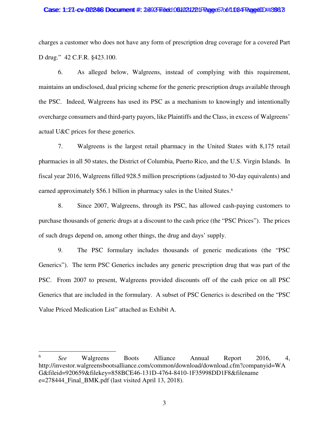## Case: 1:27-cv-02246 Document #: 2692 Filed: 061031221 Page 670611084 Page 100#:393 7

charges a customer who does not have any form of prescription drug coverage for a covered Part D drug." 42 C.F.R. §423.100.

6. As alleged below, Walgreens, instead of complying with this requirement, maintains an undisclosed, dual pricing scheme for the generic prescription drugs available through the PSC. Indeed, Walgreens has used its PSC as a mechanism to knowingly and intentionally overcharge consumers and third-party payors, like Plaintiffs and the Class, in excess of Walgreens' actual U&C prices for these generics.

7. Walgreens is the largest retail pharmacy in the United States with 8,175 retail pharmacies in all 50 states, the District of Columbia, Puerto Rico, and the U.S. Virgin Islands. In fiscal year 2016, Walgreens filled 928.5 million prescriptions (adjusted to 30-day equivalents) and earned approximately \$56.1 billion in pharmacy sales in the United States.<sup>6</sup>

8. Since 2007, Walgreens, through its PSC, has allowed cash-paying customers to purchase thousands of generic drugs at a discount to the cash price (the "PSC Prices"). The prices of such drugs depend on, among other things, the drug and days' supply.

9. The PSC formulary includes thousands of generic medications (the "PSC Generics"). The term PSC Generics includes any generic prescription drug that was part of the PSC. From 2007 to present, Walgreens provided discounts off of the cash price on all PSC Generics that are included in the formulary. A subset of PSC Generics is described on the "PSC Value Priced Medication List" attached as Exhibit A.

<sup>6</sup> *See* Walgreens Boots Alliance Annual Report 2016, 4, http://investor.walgreensbootsalliance.com/common/download/download.cfm?companyid=WA G&fileid=920659&filekey=858BCE46-131D-4764-8410-1F35998DD1F8&filename  $e=278444$  Final BMK.pdf (last visited April 13, 2018).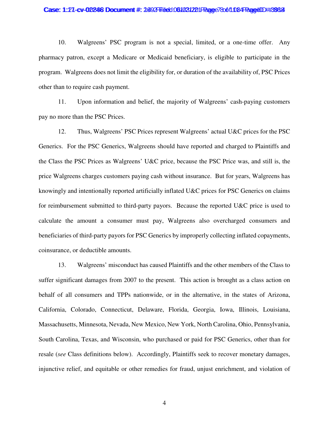## Case: 1:27-cv-02246 Document #: 2692 Filed: 061031221 Page 78 of 1084 Page4ID #:3988

10. Walgreens' PSC program is not a special, limited, or a one-time offer. Any pharmacy patron, except a Medicare or Medicaid beneficiary, is eligible to participate in the program. Walgreens does not limit the eligibility for, or duration of the availability of, PSC Prices other than to require cash payment.

11. Upon information and belief, the majority of Walgreens' cash-paying customers pay no more than the PSC Prices.

12. Thus, Walgreens' PSC Prices represent Walgreens' actual U&C prices for the PSC Generics. For the PSC Generics, Walgreens should have reported and charged to Plaintiffs and the Class the PSC Prices as Walgreens' U&C price, because the PSC Price was, and still is, the price Walgreens charges customers paying cash without insurance. But for years, Walgreens has knowingly and intentionally reported artificially inflated U&C prices for PSC Generics on claims for reimbursement submitted to third-party payors. Because the reported U&C price is used to calculate the amount a consumer must pay, Walgreens also overcharged consumers and beneficiaries of third-party payors for PSC Generics by improperly collecting inflated copayments, coinsurance, or deductible amounts.

13. Walgreens' misconduct has caused Plaintiffs and the other members of the Class to suffer significant damages from 2007 to the present. This action is brought as a class action on behalf of all consumers and TPPs nationwide, or in the alternative, in the states of Arizona, California, Colorado, Connecticut, Delaware, Florida, Georgia, Iowa, Illinois, Louisiana, Massachusetts, Minnesota, Nevada, New Mexico, New York, North Carolina, Ohio, Pennsylvania, South Carolina, Texas, and Wisconsin, who purchased or paid for PSC Generics, other than for resale (*see* Class definitions below). Accordingly, Plaintiffs seek to recover monetary damages, injunctive relief, and equitable or other remedies for fraud, unjust enrichment, and violation of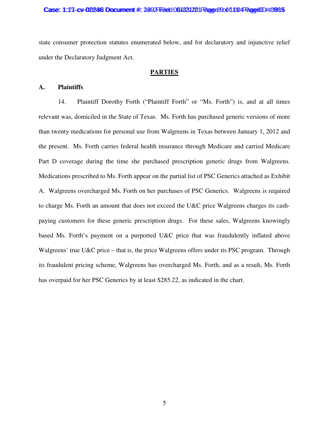## Case: 1:27-cv-02246 Document #: 2692 Filed: 061031221 Page 8900 f10 84 Page 4 ID ##:89 25

state consumer protection statutes enumerated below, and for declaratory and injunctive relief under the Declaratory Judgment Act.

# **PARTIES**

# **A. Plaintiffs**

14. Plaintiff Dorothy Forth ("Plaintiff Forth" or "Ms. Forth") is, and at all times relevant was, domiciled in the State of Texas. Ms. Forth has purchased generic versions of more than twenty medications for personal use from Walgreens in Texas between January 1, 2012 and the present. Ms. Forth carries federal health insurance through Medicare and carried Medicare Part D coverage during the time she purchased prescription generic drugs from Walgreens. Medications prescribed to Ms. Forth appear on the partial list of PSC Generics attached as Exhibit A. Walgreens overcharged Ms. Forth on her purchases of PSC Generics. Walgreens is required to charge Ms. Forth an amount that does not exceed the U&C price Walgreens charges its cashpaying customers for these generic prescription drugs. For these sales, Walgreens knowingly based Ms. Forth's payment on a purported U&C price that was fraudulently inflated above Walgreens' true U&C price – that is, the price Walgreens offers under its PSC program. Through its fraudulent pricing scheme, Walgreens has overcharged Ms. Forth, and as a result, Ms. Forth has overpaid for her PSC Generics by at least \$285.22, as indicated in the chart.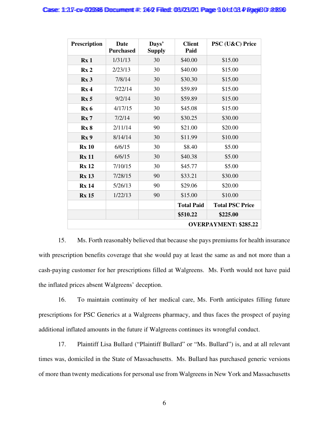| <b>Prescription</b>          | Date<br><b>Purchased</b> | Days'<br><b>Supply</b> | <b>Client</b><br>PSC (U&C) Price<br>Paid |                        |  |
|------------------------------|--------------------------|------------------------|------------------------------------------|------------------------|--|
| Rx <sub>1</sub>              | 1/31/13                  | 30                     | \$40.00                                  | \$15.00                |  |
| Rx <sub>2</sub>              | 2/23/13                  | 30                     | \$40.00                                  | \$15.00                |  |
| Rx <sub>3</sub>              | 7/8/14                   | 30                     | \$30.30                                  | \$15.00                |  |
| Rx <sub>4</sub>              | 7/22/14                  | 30                     | \$59.89                                  | \$15.00                |  |
| Rx <sub>5</sub>              | 9/2/14                   | 30                     | \$59.89                                  | \$15.00                |  |
| Rx 6                         | 4/17/15                  | 30                     | \$45.08                                  | \$15.00                |  |
| Rx7                          | 7/2/14                   | 90                     | \$30.25                                  | \$30.00                |  |
| Rx8                          | 2/11/14                  | 90                     | \$21.00                                  | \$20.00                |  |
| Rx <sub>9</sub>              | 8/14/14                  | 30                     | \$11.99                                  | \$10.00                |  |
| <b>Rx 10</b>                 | 6/6/15                   | 30                     | \$8.40                                   | \$5.00                 |  |
| <b>Rx 11</b>                 | 6/6/15                   | 30                     | \$40.38<br>\$5.00                        |                        |  |
| <b>Rx</b> 12                 | 7/10/15                  | 30                     | \$45.77                                  | \$5.00                 |  |
| <b>Rx</b> 13                 | 7/28/15                  | 90                     | \$33.21                                  | \$30.00                |  |
| <b>Rx 14</b>                 | 5/26/13                  | 90                     | \$29.06                                  | \$20.00                |  |
| <b>Rx</b> 15                 | 1/22/13                  | 90                     | \$15.00                                  | \$10.00                |  |
|                              |                          |                        | <b>Total Paid</b>                        | <b>Total PSC Price</b> |  |
|                              |                          |                        | \$510.22                                 | \$225.00               |  |
| <b>OVERPAYMENT: \$285.22</b> |                          |                        |                                          |                        |  |

15. Ms. Forth reasonably believed that because she pays premiums for health insurance with prescription benefits coverage that she would pay at least the same as and not more than a cash-paying customer for her prescriptions filled at Walgreens. Ms. Forth would not have paid the inflated prices absent Walgreens' deception.

16. To maintain continuity of her medical care, Ms. Forth anticipates filling future prescriptions for PSC Generics at a Walgreens pharmacy, and thus faces the prospect of paying additional inflated amounts in the future if Walgreens continues its wrongful conduct.

17. Plaintiff Lisa Bullard ("Plaintiff Bullard" or "Ms. Bullard") is, and at all relevant times was, domiciled in the State of Massachusetts. Ms. Bullard has purchased generic versions of more than twenty medications for personal use from Walgreens in New York and Massachusetts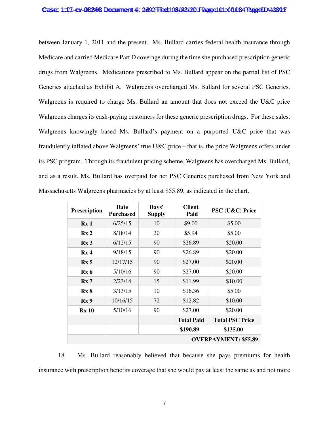## Case: 1:27-cv-02246 Document #: 2492 Filed: 061031221 Page 1010611 084 Page4ID #:39917

between January 1, 2011 and the present. Ms. Bullard carries federal health insurance through Medicare and carried Medicare Part D coverage during the time she purchased prescription generic drugs from Walgreens. Medications prescribed to Ms. Bullard appear on the partial list of PSC Generics attached as Exhibit A. Walgreens overcharged Ms. Bullard for several PSC Generics. Walgreens is required to charge Ms. Bullard an amount that does not exceed the U&C price Walgreens charges its cash-paying customers for these generic prescription drugs. For these sales, Walgreens knowingly based Ms. Bullard's payment on a purported U&C price that was fraudulently inflated above Walgreens' true U&C price – that is, the price Walgreens offers under its PSC program. Through its fraudulent pricing scheme, Walgreens has overcharged Ms. Bullard, and as a result, Ms. Bullard has overpaid for her PSC Generics purchased from New York and Massachusetts Walgreens pharmacies by at least \$55.89, as indicated in the chart.

| <b>Prescription</b>         | <b>Date</b><br><b>Purchased</b> | Days'<br><b>Supply</b> | <b>Client</b><br>Paid | PSC (U&C) Price        |  |
|-----------------------------|---------------------------------|------------------------|-----------------------|------------------------|--|
| Rx1                         | 6/25/15                         | 10                     | \$9.00                | \$5.00                 |  |
| Rx <sub>2</sub>             | 8/18/14                         | 30                     | \$5.94                | \$5.00                 |  |
| Rx <sub>3</sub>             | 6/12/15                         | 90                     | \$26.89               | \$20.00                |  |
| Rx <sub>4</sub>             | 9/18/15                         | 90                     | \$26.89               | \$20.00                |  |
| Rx <sub>5</sub>             | 12/17/15                        | 90                     | \$27.00               | \$20.00                |  |
| Rx <sub>6</sub>             | 5/10/16                         | 90                     | \$27.00               | \$20.00                |  |
| Rx7                         | 2/23/14                         | 15                     | \$11.99               | \$10.00                |  |
| Rx8                         | 3/13/15                         | 10                     | \$16.36               | \$5.00                 |  |
| Rx <sub>9</sub>             | 10/16/15                        | 72                     | \$12.82               | \$10.00                |  |
| <b>Rx 10</b>                | 5/10/16                         | 90                     | \$27.00               | \$20.00                |  |
|                             |                                 |                        | <b>Total Paid</b>     | <b>Total PSC Price</b> |  |
|                             |                                 |                        | \$190.89              | \$135.00               |  |
| <b>OVERPAYMENT: \$55.89</b> |                                 |                        |                       |                        |  |

18. Ms. Bullard reasonably believed that because she pays premiums for health insurance with prescription benefits coverage that she would pay at least the same as and not more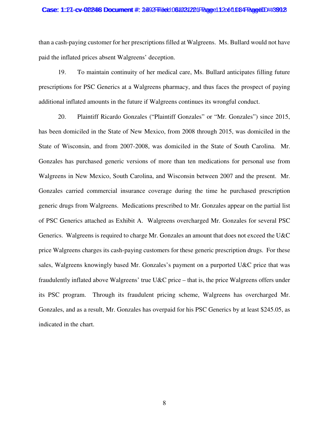## Case: 1:27-cv-02246 Document #: 2492 Filed: 061031221 Page 11 2061 034 Page4ID #:3992

than a cash-paying customer for her prescriptions filled at Walgreens. Ms. Bullard would not have paid the inflated prices absent Walgreens' deception.

19. To maintain continuity of her medical care, Ms. Bullard anticipates filling future prescriptions for PSC Generics at a Walgreens pharmacy, and thus faces the prospect of paying additional inflated amounts in the future if Walgreens continues its wrongful conduct.

20. Plaintiff Ricardo Gonzales ("Plaintiff Gonzales" or "Mr. Gonzales") since 2015, has been domiciled in the State of New Mexico, from 2008 through 2015, was domiciled in the State of Wisconsin, and from 2007-2008, was domiciled in the State of South Carolina. Mr. Gonzales has purchased generic versions of more than ten medications for personal use from Walgreens in New Mexico, South Carolina, and Wisconsin between 2007 and the present. Mr. Gonzales carried commercial insurance coverage during the time he purchased prescription generic drugs from Walgreens. Medications prescribed to Mr. Gonzales appear on the partial list of PSC Generics attached as Exhibit A. Walgreens overcharged Mr. Gonzales for several PSC Generics. Walgreens is required to charge Mr. Gonzales an amount that does not exceed the U&C price Walgreens charges its cash-paying customers for these generic prescription drugs. For these sales, Walgreens knowingly based Mr. Gonzales's payment on a purported U&C price that was fraudulently inflated above Walgreens' true U&C price – that is, the price Walgreens offers under its PSC program. Through its fraudulent pricing scheme, Walgreens has overcharged Mr. Gonzales, and as a result, Mr. Gonzales has overpaid for his PSC Generics by at least \$245.05, as indicated in the chart.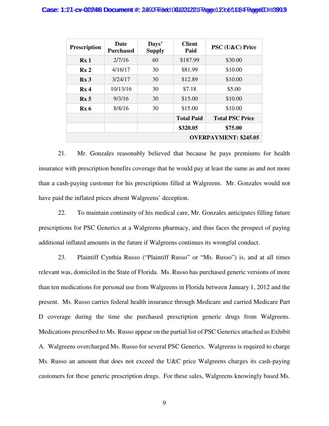### Case: 1:27-cv-02246 Document #: 2492 Filed: 061031221 Page 123 of 1084 PageUD #:3993

| <b>Prescription</b>          | <b>Date</b><br><b>Purchased</b> | Days'<br><b>Supply</b> | <b>Client</b><br>Paid | PSC (U&C) Price        |  |
|------------------------------|---------------------------------|------------------------|-----------------------|------------------------|--|
| Rx <sub>1</sub>              | 2/7/16                          | 60                     | \$187.99              | \$30.00                |  |
| Rx <sub>2</sub>              | 4/16/17                         | 30                     | \$81.99               | \$10.00                |  |
| Rx <sub>3</sub>              | 3/24/17                         | 30                     | \$12.89               | \$10.00                |  |
| Rx <sub>4</sub>              | 10/13/16                        | 30                     | \$7.18                | \$5.00                 |  |
| Rx <sub>5</sub>              | 9/3/16                          | 30                     | \$15.00               | \$10.00                |  |
| Rx <sub>6</sub>              | 8/8/16                          | 30                     | \$15.00               | \$10.00                |  |
|                              |                                 |                        | <b>Total Paid</b>     | <b>Total PSC Price</b> |  |
|                              |                                 |                        | \$320.05              | \$75.00                |  |
| <b>OVERPAYMENT: \$245.05</b> |                                 |                        |                       |                        |  |

21. Mr. Gonzales reasonably believed that because he pays premiums for health insurance with prescription benefits coverage that he would pay at least the same as and not more than a cash-paying customer for his prescriptions filled at Walgreens. Mr. Gonzales would not have paid the inflated prices absent Walgreens' deception.

22. To maintain continuity of his medical care, Mr. Gonzales anticipates filling future prescriptions for PSC Generics at a Walgreens pharmacy, and thus faces the prospect of paying additional inflated amounts in the future if Walgreens continues its wrongful conduct.

23. Plaintiff Cynthia Russo ("Plaintiff Russo" or "Ms. Russo") is, and at all times relevant was, domiciled in the State of Florida. Ms. Russo has purchased generic versions of more than ten medications for personal use from Walgreens in Florida between January 1, 2012 and the present. Ms. Russo carries federal health insurance through Medicare and carried Medicare Part D coverage during the time she purchased prescription generic drugs from Walgreens. Medications prescribed to Ms. Russo appear on the partial list of PSC Generics attached as Exhibit A. Walgreens overcharged Ms. Russo for several PSC Generics. Walgreens is required to charge Ms. Russo an amount that does not exceed the U&C price Walgreens charges its cash-paying customers for these generic prescription drugs. For these sales, Walgreens knowingly based Ms.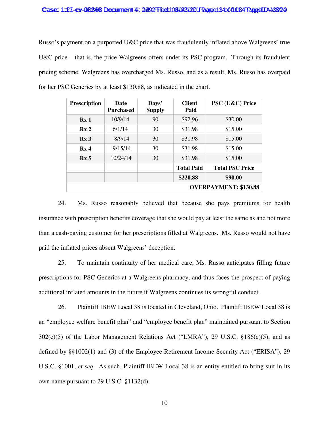## Case: 1:27-cv-02246 Document #: 2492 Filed: 061031221 Page 1 B406 fl 084 Page 10 Hz

Russo's payment on a purported U&C price that was fraudulently inflated above Walgreens' true U&C price – that is, the price Walgreens offers under its PSC program. Through its fraudulent pricing scheme, Walgreens has overcharged Ms. Russo, and as a result, Ms. Russo has overpaid for her PSC Generics by at least \$130.88, as indicated in the chart.

| <b>Prescription</b>          | <b>Date</b><br>Purchased | Days'<br><b>Supply</b> | <b>Client</b><br>Paid | PSC (U&C) Price        |  |
|------------------------------|--------------------------|------------------------|-----------------------|------------------------|--|
| Rx <sub>1</sub>              | 10/9/14                  | 90                     | \$92.96               | \$30.00                |  |
| Rx <sub>2</sub>              | 6/1/14                   | 30                     | \$31.98               | \$15.00                |  |
| Rx <sub>3</sub>              | 8/9/14                   | 30                     | \$31.98               | \$15.00                |  |
| Rx <sub>4</sub>              | 9/15/14                  | 30                     | \$31.98               | \$15.00                |  |
| Rx <sub>5</sub>              | 10/24/14                 | 30                     | \$31.98<br>\$15.00    |                        |  |
|                              |                          |                        | <b>Total Paid</b>     | <b>Total PSC Price</b> |  |
|                              |                          |                        | \$220.88              | \$90.00                |  |
| <b>OVERPAYMENT: \$130.88</b> |                          |                        |                       |                        |  |

24. Ms. Russo reasonably believed that because she pays premiums for health insurance with prescription benefits coverage that she would pay at least the same as and not more than a cash-paying customer for her prescriptions filled at Walgreens. Ms. Russo would not have paid the inflated prices absent Walgreens' deception.

25. To maintain continuity of her medical care, Ms. Russo anticipates filling future prescriptions for PSC Generics at a Walgreens pharmacy, and thus faces the prospect of paying additional inflated amounts in the future if Walgreens continues its wrongful conduct.

26. Plaintiff IBEW Local 38 is located in Cleveland, Ohio. Plaintiff IBEW Local 38 is an "employee welfare benefit plan" and "employee benefit plan" maintained pursuant to Section 302(c)(5) of the Labor Management Relations Act ("LMRA"), 29 U.S.C. §186(c)(5), and as defined by §§1002(1) and (3) of the Employee Retirement Income Security Act ("ERISA"), 29 U.S.C. §1001, *et seq*. As such, Plaintiff IBEW Local 38 is an entity entitled to bring suit in its own name pursuant to 29 U.S.C. §1132(d).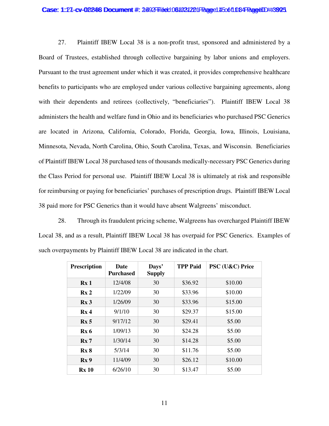## Case: 1:27-cv-02246 Document #: 2492 Filed: 061031221 Page 145 of 1084 PageUD #:3925

27. Plaintiff IBEW Local 38 is a non-profit trust, sponsored and administered by a Board of Trustees, established through collective bargaining by labor unions and employers. Pursuant to the trust agreement under which it was created, it provides comprehensive healthcare benefits to participants who are employed under various collective bargaining agreements, along with their dependents and retirees (collectively, "beneficiaries"). Plaintiff IBEW Local 38 administers the health and welfare fund in Ohio and its beneficiaries who purchased PSC Generics are located in Arizona, California, Colorado, Florida, Georgia, Iowa, Illinois, Louisiana, Minnesota, Nevada, North Carolina, Ohio, South Carolina, Texas, and Wisconsin. Beneficiaries of Plaintiff IBEW Local 38 purchased tens of thousands medically-necessary PSC Generics during the Class Period for personal use. Plaintiff IBEW Local 38 is ultimately at risk and responsible for reimbursing or paying for beneficiaries' purchases of prescription drugs. Plaintiff IBEW Local 38 paid more for PSC Generics than it would have absent Walgreens' misconduct.

28. Through its fraudulent pricing scheme, Walgreens has overcharged Plaintiff IBEW Local 38, and as a result, Plaintiff IBEW Local 38 has overpaid for PSC Generics. Examples of such overpayments by Plaintiff IBEW Local 38 are indicated in the chart.

| <b>Prescription</b> | <b>Date</b><br><b>Purchased</b> | Days'<br><b>Supply</b> | <b>TPP Paid</b> | PSC (U&C) Price |
|---------------------|---------------------------------|------------------------|-----------------|-----------------|
| Rx <sub>1</sub>     | 12/4/08                         | 30                     | \$36.92         | \$10.00         |
| Rx <sub>2</sub>     | 1/22/09<br>30                   |                        | \$33.96         | \$10.00         |
| Rx <sub>3</sub>     | 1/26/09                         | 30                     | \$33.96         | \$15.00         |
| Rx <sub>4</sub>     | 9/1/10                          | 30                     | \$29.37         | \$15.00         |
| Rx <sub>5</sub>     | 9/17/12                         | 30                     | \$29.41         | \$5.00          |
| Rx6                 | 1/09/13                         | 30                     | \$24.28         | \$5.00          |
| Rx7                 | 1/30/14                         | 30                     | \$14.28         | \$5.00          |
| Rx8                 | 5/3/14                          | 30                     | \$11.76         | \$5.00          |
| Rx <sub>9</sub>     | 11/4/09                         | 30                     | \$26.12         | \$10.00         |
| <b>Rx 10</b>        | 6/26/10                         | 30                     | \$13.47         | \$5.00          |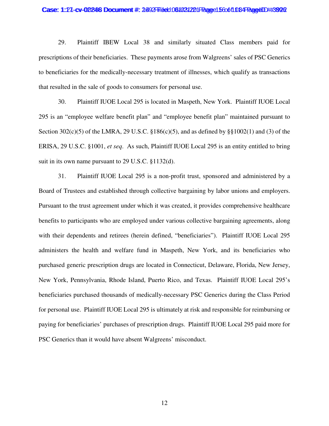#### Case: 1:27-cv-02246 Document #: 2492 Filed: 061031221 Page 15 606 fl 034 Page 10 H392 G

29. Plaintiff IBEW Local 38 and similarly situated Class members paid for prescriptions of their beneficiaries. These payments arose from Walgreens' sales of PSC Generics to beneficiaries for the medically-necessary treatment of illnesses, which qualify as transactions that resulted in the sale of goods to consumers for personal use.

30. Plaintiff IUOE Local 295 is located in Maspeth, New York. Plaintiff IUOE Local 295 is an "employee welfare benefit plan" and "employee benefit plan" maintained pursuant to Section 302(c)(5) of the LMRA, 29 U.S.C. §186(c)(5), and as defined by §§1002(1) and (3) of the ERISA, 29 U.S.C. §1001, *et seq*. As such, Plaintiff IUOE Local 295 is an entity entitled to bring suit in its own name pursuant to 29 U.S.C. §1132(d).

31. Plaintiff IUOE Local 295 is a non-profit trust, sponsored and administered by a Board of Trustees and established through collective bargaining by labor unions and employers. Pursuant to the trust agreement under which it was created, it provides comprehensive healthcare benefits to participants who are employed under various collective bargaining agreements, along with their dependents and retirees (herein defined, "beneficiaries"). Plaintiff IUOE Local 295 administers the health and welfare fund in Maspeth, New York, and its beneficiaries who purchased generic prescription drugs are located in Connecticut, Delaware, Florida, New Jersey, New York, Pennsylvania, Rhode Island, Puerto Rico, and Texas. Plaintiff IUOE Local 295's beneficiaries purchased thousands of medically-necessary PSC Generics during the Class Period for personal use. Plaintiff IUOE Local 295 is ultimately at risk and responsible for reimbursing or paying for beneficiaries' purchases of prescription drugs. Plaintiff IUOE Local 295 paid more for PSC Generics than it would have absent Walgreens' misconduct.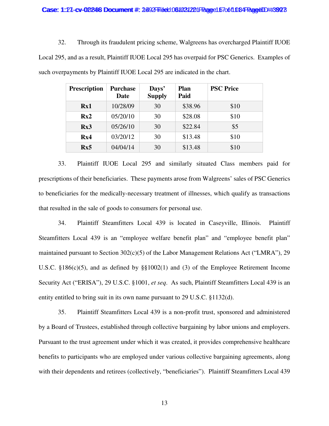## Case: 1:27-cv-02246 Document #: 2492 Filed: 061031221 Page 1670 6108 Page4ID #:392 7

32. Through its fraudulent pricing scheme, Walgreens has overcharged Plaintiff IUOE Local 295, and as a result, Plaintiff IUOE Local 295 has overpaid for PSC Generics. Examples of such overpayments by Plaintiff IUOE Local 295 are indicated in the chart.

| <b>Prescription</b> | <b>Purchase</b><br>Date | Days'<br><b>Supply</b> | Plan<br>Paid | <b>PSC Price</b> |
|---------------------|-------------------------|------------------------|--------------|------------------|
| Rx1                 | 10/28/09                | 30                     | \$38.96      | \$10             |
| Rx2                 | 05/20/10                | 30                     | \$28.08      | \$10             |
| Rx3                 | 05/26/10                | 30                     | \$22.84      | \$5              |
| Rx4                 | 03/20/12                | 30                     | \$13.48      | \$10             |
| Rx5                 | 04/04/14                | 30                     | \$13.48      | \$10             |

33. Plaintiff IUOE Local 295 and similarly situated Class members paid for prescriptions of their beneficiaries. These payments arose from Walgreens' sales of PSC Generics to beneficiaries for the medically-necessary treatment of illnesses, which qualify as transactions that resulted in the sale of goods to consumers for personal use.

34. Plaintiff Steamfitters Local 439 is located in Caseyville, Illinois. Plaintiff Steamfitters Local 439 is an "employee welfare benefit plan" and "employee benefit plan" maintained pursuant to Section 302(c)(5) of the Labor Management Relations Act ("LMRA"), 29 U.S.C. §186(c)(5), and as defined by §§1002(1) and (3) of the Employee Retirement Income Security Act ("ERISA"), 29 U.S.C. §1001, *et seq*. As such, Plaintiff Steamfitters Local 439 is an entity entitled to bring suit in its own name pursuant to 29 U.S.C. §1132(d).

35. Plaintiff Steamfitters Local 439 is a non-profit trust, sponsored and administered by a Board of Trustees, established through collective bargaining by labor unions and employers. Pursuant to the trust agreement under which it was created, it provides comprehensive healthcare benefits to participants who are employed under various collective bargaining agreements, along with their dependents and retirees (collectively, "beneficiaries"). Plaintiff Steamfitters Local 439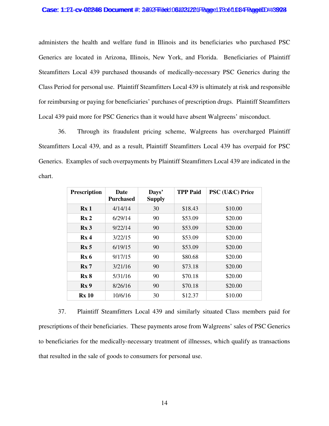## Case: 1:27-cv-02246 Document #: 2492 Filed: 0610312201 Page 178 of 1084 Page UD #:3924

administers the health and welfare fund in Illinois and its beneficiaries who purchased PSC Generics are located in Arizona, Illinois, New York, and Florida. Beneficiaries of Plaintiff Steamfitters Local 439 purchased thousands of medically-necessary PSC Generics during the Class Period for personal use. Plaintiff Steamfitters Local 439 is ultimately at risk and responsible for reimbursing or paying for beneficiaries' purchases of prescription drugs. Plaintiff Steamfitters Local 439 paid more for PSC Generics than it would have absent Walgreens' misconduct.

36. Through its fraudulent pricing scheme, Walgreens has overcharged Plaintiff Steamfitters Local 439, and as a result, Plaintiff Steamfitters Local 439 has overpaid for PSC Generics. Examples of such overpayments by Plaintiff Steamfitters Local 439 are indicated in the chart.

| <b>Prescription</b> | Date<br><b>Purchased</b> | Days'<br><b>Supply</b> | <b>TPP Paid</b> | PSC (U&C) Price |
|---------------------|--------------------------|------------------------|-----------------|-----------------|
| Rx <sub>1</sub>     | 4/14/14                  | 30                     | \$18.43         | \$10.00         |
| Rx <sub>2</sub>     | 6/29/14                  | 90                     | \$53.09         | \$20.00         |
| Rx <sub>3</sub>     | 9/22/14                  | 90                     | \$53.09         | \$20.00         |
| Rx <sub>4</sub>     | 3/22/15                  | 90                     | \$53.09         | \$20.00         |
| Rx <sub>5</sub>     | 6/19/15                  | 90                     | \$53.09         | \$20.00         |
| Rx <sub>6</sub>     | 9/17/15                  | 90                     | \$80.68         | \$20.00         |
| Rx7                 | 3/21/16                  | 90                     | \$73.18         | \$20.00         |
| Rx8                 | 5/31/16                  | 90                     | \$70.18         | \$20.00         |
| Rx <sub>9</sub>     | 8/26/16                  | 90                     | \$70.18         | \$20.00         |
| <b>Rx</b> 10        | 10/6/16                  | 30                     | \$12.37         | \$10.00         |

37. Plaintiff Steamfitters Local 439 and similarly situated Class members paid for prescriptions of their beneficiaries. These payments arose from Walgreens' sales of PSC Generics to beneficiaries for the medically-necessary treatment of illnesses, which qualify as transactions that resulted in the sale of goods to consumers for personal use.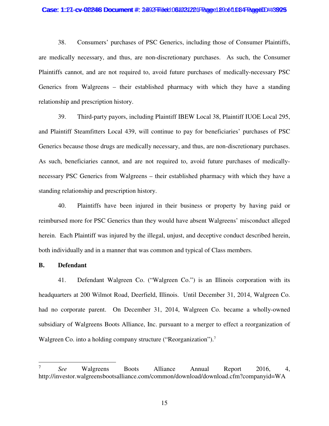## Case: 1:27-cv-02246 Document #: 2492 Filed: 061031221 Page 1890 f108 PageUD #:392 5

38. Consumers' purchases of PSC Generics, including those of Consumer Plaintiffs, are medically necessary, and thus, are non-discretionary purchases. As such, the Consumer Plaintiffs cannot, and are not required to, avoid future purchases of medically-necessary PSC Generics from Walgreens – their established pharmacy with which they have a standing relationship and prescription history.

39. Third-party payors, including Plaintiff IBEW Local 38, Plaintiff IUOE Local 295, and Plaintiff Steamfitters Local 439, will continue to pay for beneficiaries' purchases of PSC Generics because those drugs are medically necessary, and thus, are non-discretionary purchases. As such, beneficiaries cannot, and are not required to, avoid future purchases of medicallynecessary PSC Generics from Walgreens – their established pharmacy with which they have a standing relationship and prescription history.

40. Plaintiffs have been injured in their business or property by having paid or reimbursed more for PSC Generics than they would have absent Walgreens' misconduct alleged herein. Each Plaintiff was injured by the illegal, unjust, and deceptive conduct described herein, both individually and in a manner that was common and typical of Class members.

# **B. Defendant**

41. Defendant Walgreen Co. ("Walgreen Co.") is an Illinois corporation with its headquarters at 200 Wilmot Road, Deerfield, Illinois. Until December 31, 2014, Walgreen Co. had no corporate parent. On December 31, 2014, Walgreen Co. became a wholly-owned subsidiary of Walgreens Boots Alliance, Inc. pursuant to a merger to effect a reorganization of Walgreen Co. into a holding company structure ("Reorganization").<sup>7</sup>

<sup>7</sup> *See* Walgreens Boots Alliance Annual Report 2016, 4, http://investor.walgreensbootsalliance.com/common/download/download.cfm?companyid=WA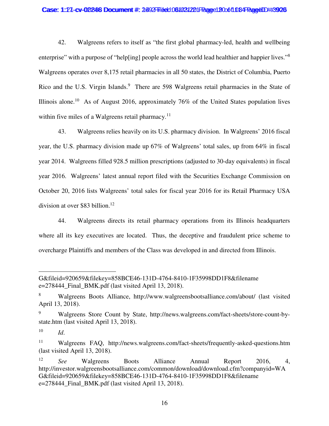## Case: 1:27-cv-02246 Document #: 2492 Filed: 061031221 Page 120061 DB4 Page 1D #:3926

42. Walgreens refers to itself as "the first global pharmacy-led, health and wellbeing enterprise" with a purpose of "help[ing] people across the world lead healthier and happier lives."<sup>8</sup> Walgreens operates over 8,175 retail pharmacies in all 50 states, the District of Columbia, Puerto Rico and the U.S. Virgin Islands.<sup>9</sup> There are 598 Walgreens retail pharmacies in the State of Illinois alone.<sup>10</sup> As of August 2016, approximately 76% of the United States population lives within five miles of a Walgreens retail pharmacy.<sup>11</sup>

43. Walgreens relies heavily on its U.S. pharmacy division. In Walgreens' 2016 fiscal year, the U.S. pharmacy division made up 67% of Walgreens' total sales, up from 64% in fiscal year 2014. Walgreens filled 928.5 million prescriptions (adjusted to 30-day equivalents) in fiscal year 2016. Walgreens' latest annual report filed with the Securities Exchange Commission on October 20, 2016 lists Walgreens' total sales for fiscal year 2016 for its Retail Pharmacy USA division at over \$83 billion.<sup>12</sup>

44. Walgreens directs its retail pharmacy operations from its Illinois headquarters where all its key executives are located. Thus, the deceptive and fraudulent price scheme to overcharge Plaintiffs and members of the Class was developed in and directed from Illinois.

G&fileid=920659&filekey=858BCE46-131D-4764-8410-1F35998DD1F8&filename e=278444\_Final\_BMK.pdf (last visited April 13, 2018).

<sup>8</sup> Walgreens Boots Alliance, http://www.walgreensbootsalliance.com/about/ (last visited April 13, 2018).

<sup>9</sup> Walgreens Store Count by State, http://news.walgreens.com/fact-sheets/store-count-bystate.htm (last visited April 13, 2018).

<sup>10</sup> *Id*.

<sup>11</sup> Walgreens FAQ, http://news.walgreens.com/fact-sheets/frequently-asked-questions.htm (last visited April 13, 2018).

<sup>12</sup> *See* Walgreens Boots Alliance Annual Report 2016, 4, http://investor.walgreensbootsalliance.com/common/download/download.cfm?companyid=WA G&fileid=920659&filekey=858BCE46-131D-4764-8410-1F35998DD1F8&filename e=278444\_Final\_BMK.pdf (last visited April 13, 2018).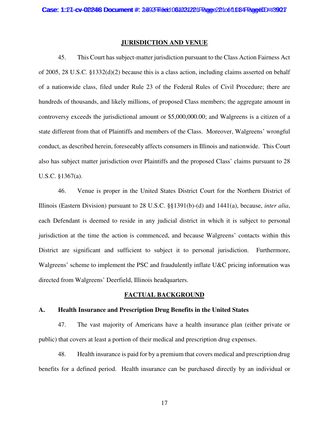# **JURISDICTION AND VENUE**

45. This Court has subject-matter jurisdiction pursuant to the Class Action Fairness Act of 2005, 28 U.S.C. §1332(d)(2) because this is a class action, including claims asserted on behalf of a nationwide class, filed under Rule 23 of the Federal Rules of Civil Procedure; there are hundreds of thousands, and likely millions, of proposed Class members; the aggregate amount in controversy exceeds the jurisdictional amount or \$5,000,000.00; and Walgreens is a citizen of a state different from that of Plaintiffs and members of the Class. Moreover, Walgreens' wrongful conduct, as described herein, foreseeably affects consumers in Illinois and nationwide. This Court also has subject matter jurisdiction over Plaintiffs and the proposed Class' claims pursuant to 28 U.S.C. §1367(a).

46. Venue is proper in the United States District Court for the Northern District of Illinois (Eastern Division) pursuant to 28 U.S.C. §§1391(b)-(d) and 1441(a), because, *inter alia*, each Defendant is deemed to reside in any judicial district in which it is subject to personal jurisdiction at the time the action is commenced, and because Walgreens' contacts within this District are significant and sufficient to subject it to personal jurisdiction. Furthermore, Walgreens' scheme to implement the PSC and fraudulently inflate U&C pricing information was directed from Walgreens' Deerfield, Illinois headquarters.

# **FACTUAL BACKGROUND**

# **A. Health Insurance and Prescription Drug Benefits in the United States**

47. The vast majority of Americans have a health insurance plan (either private or public) that covers at least a portion of their medical and prescription drug expenses.

48. Health insurance is paid for by a premium that covers medical and prescription drug benefits for a defined period. Health insurance can be purchased directly by an individual or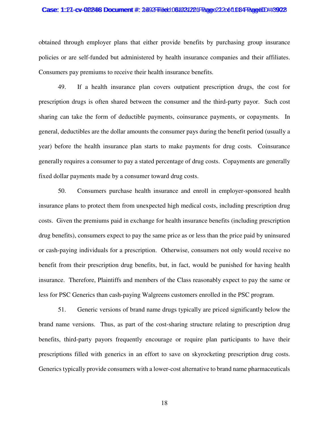#### Case: 1:27-cv-02246 Document #: 2492 Filed: 061031221 Page 22 2061 084 PageUD #:3902

obtained through employer plans that either provide benefits by purchasing group insurance policies or are self-funded but administered by health insurance companies and their affiliates. Consumers pay premiums to receive their health insurance benefits.

49. If a health insurance plan covers outpatient prescription drugs, the cost for prescription drugs is often shared between the consumer and the third-party payor. Such cost sharing can take the form of deductible payments, coinsurance payments, or copayments. In general, deductibles are the dollar amounts the consumer pays during the benefit period (usually a year) before the health insurance plan starts to make payments for drug costs. Coinsurance generally requires a consumer to pay a stated percentage of drug costs. Copayments are generally fixed dollar payments made by a consumer toward drug costs.

50. Consumers purchase health insurance and enroll in employer-sponsored health insurance plans to protect them from unexpected high medical costs, including prescription drug costs. Given the premiums paid in exchange for health insurance benefits (including prescription drug benefits), consumers expect to pay the same price as or less than the price paid by uninsured or cash-paying individuals for a prescription. Otherwise, consumers not only would receive no benefit from their prescription drug benefits, but, in fact, would be punished for having health insurance. Therefore, Plaintiffs and members of the Class reasonably expect to pay the same or less for PSC Generics than cash-paying Walgreens customers enrolled in the PSC program.

51. Generic versions of brand name drugs typically are priced significantly below the brand name versions. Thus, as part of the cost-sharing structure relating to prescription drug benefits, third-party payors frequently encourage or require plan participants to have their prescriptions filled with generics in an effort to save on skyrocketing prescription drug costs. Generics typically provide consumers with a lower-cost alternative to brand name pharmaceuticals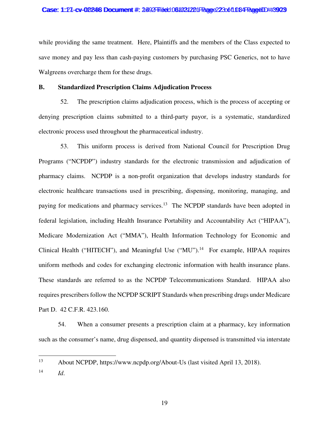## Case: 1:27-cv-02246 Document #: 2492 Filed: 061031221 Page 223 of 1084 Page4ID #:3923

while providing the same treatment. Here, Plaintiffs and the members of the Class expected to save money and pay less than cash-paying customers by purchasing PSC Generics, not to have Walgreens overcharge them for these drugs.

# **B. Standardized Prescription Claims Adjudication Process**

52. The prescription claims adjudication process, which is the process of accepting or denying prescription claims submitted to a third-party payor, is a systematic, standardized electronic process used throughout the pharmaceutical industry.

53. This uniform process is derived from National Council for Prescription Drug Programs ("NCPDP") industry standards for the electronic transmission and adjudication of pharmacy claims. NCPDP is a non-profit organization that develops industry standards for electronic healthcare transactions used in prescribing, dispensing, monitoring, managing, and paying for medications and pharmacy services.<sup>13</sup> The NCPDP standards have been adopted in federal legislation, including Health Insurance Portability and Accountability Act ("HIPAA"), Medicare Modernization Act ("MMA"), Health Information Technology for Economic and Clinical Health ("HITECH"), and Meaningful Use ("MU").<sup>14</sup> For example, HIPAA requires uniform methods and codes for exchanging electronic information with health insurance plans. These standards are referred to as the NCPDP Telecommunications Standard. HIPAA also requires prescribers follow the NCPDP SCRIPT Standards when prescribing drugs under Medicare Part D. 42 C.F.R. 423.160.

54. When a consumer presents a prescription claim at a pharmacy, key information such as the consumer's name, drug dispensed, and quantity dispensed is transmitted via interstate

<sup>13</sup> About NCPDP, https://www.ncpdp.org/About-Us (last visited April 13, 2018).

<sup>14</sup> *Id*.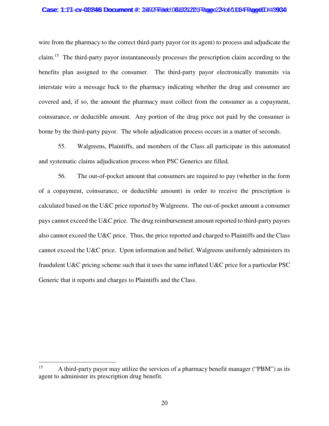## Case: 1:27-cv-02246 Document #: 2492 Filed: 061031221 Page 234 of 1084 PageID #:3934

wire from the pharmacy to the correct third-party payor (or its agent) to process and adjudicate the claim.<sup>15</sup> The third-party payor instantaneously processes the prescription claim according to the benefits plan assigned to the consumer. The third-party payor electronically transmits via interstate wire a message back to the pharmacy indicating whether the drug and consumer are covered and, if so, the amount the pharmacy must collect from the consumer as a copayment, coinsurance, or deductible amount. Any portion of the drug price not paid by the consumer is borne by the third-party payor. The whole adjudication process occurs in a matter of seconds.

55. Walgreens, Plaintiffs, and members of the Class all participate in this automated and systematic claims adjudication process when PSC Generics are filled.

56. The out-of-pocket amount that consumers are required to pay (whether in the form of a copayment, coinsurance, or deductible amount) in order to receive the prescription is calculated based on the U&C price reported by Walgreens. The out-of-pocket amount a consumer pays cannot exceed the U&C price. The drug reimbursement amount reported to third-party payors also cannot exceed the U&C price. Thus, the price reported and charged to Plaintiffs and the Class cannot exceed the U&C price. Upon information and belief, Walgreens uniformly administers its fraudulent U&C pricing scheme such that it uses the same inflated U&C price for a particular PSC Generic that it reports and charges to Plaintiffs and the Class.

<sup>&</sup>lt;sup>15</sup> A third-party payor may utilize the services of a pharmacy benefit manager ("PBM") as its agent to administer its prescription drug benefit.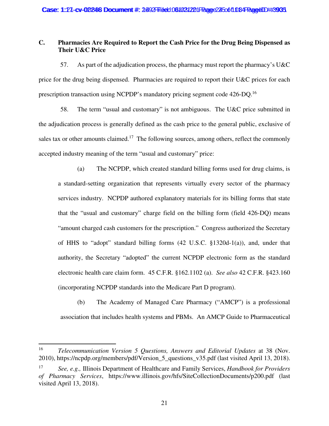# **C. Pharmacies Are Required to Report the Cash Price for the Drug Being Dispensed as Their U&C Price**

57. As part of the adjudication process, the pharmacy must report the pharmacy's U&C price for the drug being dispensed. Pharmacies are required to report their U&C prices for each prescription transaction using NCPDP's mandatory pricing segment code 426-DQ.<sup>16</sup>

58. The term "usual and customary" is not ambiguous. The U&C price submitted in the adjudication process is generally defined as the cash price to the general public, exclusive of sales tax or other amounts claimed.<sup>17</sup> The following sources, among others, reflect the commonly accepted industry meaning of the term "usual and customary" price:

(a) The NCPDP, which created standard billing forms used for drug claims, is a standard-setting organization that represents virtually every sector of the pharmacy services industry. NCPDP authored explanatory materials for its billing forms that state that the "usual and customary" charge field on the billing form (field 426-DQ) means "amount charged cash customers for the prescription." Congress authorized the Secretary of HHS to "adopt" standard billing forms (42 U.S.C. §1320d-1(a)), and, under that authority, the Secretary "adopted" the current NCPDP electronic form as the standard electronic health care claim form. 45 C.F.R. §162.1102 (a). *See also* 42 C.F.R. §423.160 (incorporating NCPDP standards into the Medicare Part D program).

(b) The Academy of Managed Care Pharmacy ("AMCP") is a professional association that includes health systems and PBMs. An AMCP Guide to Pharmaceutical

<sup>16</sup> *Telecommunication Version 5 Questions, Answers and Editorial Updates* at 38 (Nov. 2010), https://ncpdp.org/members/pdf/Version\_5\_questions\_v35.pdf (last visited April 13, 2018).

<sup>17</sup> *See, e.g.,* Illinois Department of Healthcare and Family Services, *Handbook for Providers of Pharmacy Services*, https://www.illinois.gov/hfs/SiteCollectionDocuments/p200.pdf (last visited April 13, 2018).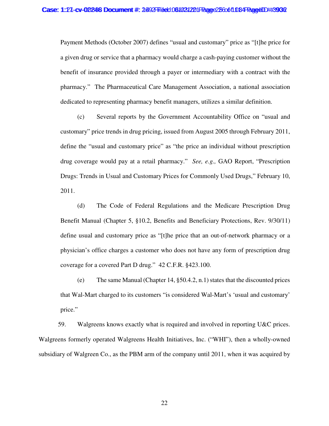Payment Methods (October 2007) defines "usual and customary" price as "[t]he price for a given drug or service that a pharmacy would charge a cash-paying customer without the benefit of insurance provided through a payer or intermediary with a contract with the pharmacy." The Pharmaceutical Care Management Association, a national association dedicated to representing pharmacy benefit managers, utilizes a similar definition.

(c) Several reports by the Government Accountability Office on "usual and customary" price trends in drug pricing, issued from August 2005 through February 2011, define the "usual and customary price" as "the price an individual without prescription drug coverage would pay at a retail pharmacy." *See, e.g.,* GAO Report, "Prescription Drugs: Trends in Usual and Customary Prices for Commonly Used Drugs," February 10, 2011.

(d) The Code of Federal Regulations and the Medicare Prescription Drug Benefit Manual (Chapter 5, §10.2, Benefits and Beneficiary Protections, Rev. 9/30/11) define usual and customary price as "[t]he price that an out-of-network pharmacy or a physician's office charges a customer who does not have any form of prescription drug coverage for a covered Part D drug." 42 C.F.R. §423.100.

(e) The same Manual (Chapter 14, §50.4.2, n.1) states that the discounted prices that Wal-Mart charged to its customers "is considered Wal-Mart's 'usual and customary' price."

59. Walgreens knows exactly what is required and involved in reporting U&C prices. Walgreens formerly operated Walgreens Health Initiatives, Inc. ("WHI"), then a wholly-owned subsidiary of Walgreen Co., as the PBM arm of the company until 2011, when it was acquired by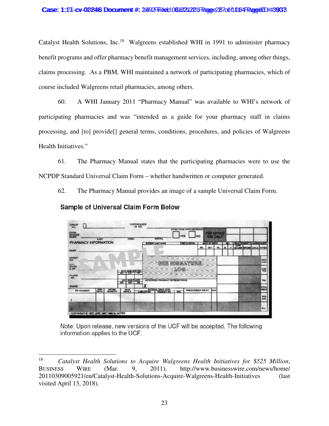# Case: 1:27-cv-02246 Document #: 2492 Filed: 061031221 Page 27 of 1084 Page 1D #:3933

Catalyst Health Solutions, Inc.<sup>18</sup> Walgreens established WHI in 1991 to administer pharmacy benefit programs and offer pharmacy benefit management services, including, among other things, claims processing. As a PBM, WHI maintained a network of participating pharmacies, which of course included Walgreens retail pharmacies, among others.

60. A WHI January 2011 "Pharmacy Manual" was available to WHI's network of participating pharmacies and was "intended as a guide for your pharmacy staff in claims processing, and [to] provide[] general terms, conditions, procedures, and policies of Walgreens Health Initiatives."

61. The Pharmacy Manual states that the participating pharmacies were to use the NCPDP Standard Universal Claim Form – whether handwritten or computer generated.

62. The Pharmacy Manual provides an image of a sample Universal Claim Form.



# **Sample of Universal Claim Form Below**

Note: Upon release, new versions of the UCF will be accepted. The following information applies to the UCF.

<sup>18</sup> *Catalyst Health Solutions to Acquire Walgreens Health Initiatives for \$525 Million*, BUSINESS WIRE (Mar. 9, 2011), http://www.businesswire.com/news/home/ 20110309005921/en/Catalyst-Health-Solutions-Acquire-Walgreens-Health-Initiatives (last visited April 13, 2018).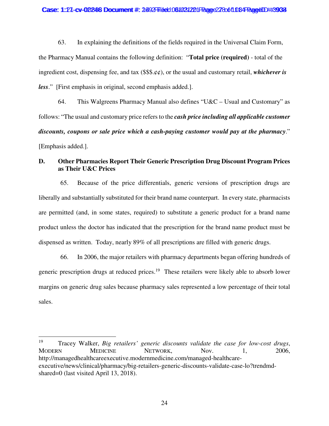63. In explaining the definitions of the fields required in the Universal Claim Form, the Pharmacy Manual contains the following definition: "**Total price (required)** - total of the ingredient cost, dispensing fee, and tax (\$\$\$.¢¢), or the usual and customary retail, *whichever is less*." [First emphasis in original, second emphasis added.].

64. This Walgreens Pharmacy Manual also defines "U&C – Usual and Customary" as follows: "The usual and customary price refers to the *cash price including all applicable customer discounts, coupons or sale price which a cash-paying customer would pay at the pharmacy*." [Emphasis added.].

# **D. Other Pharmacies Report Their Generic Prescription Drug Discount Program Prices as Their U&C Prices**

65. Because of the price differentials, generic versions of prescription drugs are liberally and substantially substituted for their brand name counterpart. In every state, pharmacists are permitted (and, in some states, required) to substitute a generic product for a brand name product unless the doctor has indicated that the prescription for the brand name product must be dispensed as written. Today, nearly 89% of all prescriptions are filled with generic drugs.

66. In 2006, the major retailers with pharmacy departments began offering hundreds of generic prescription drugs at reduced prices.<sup>19</sup> These retailers were likely able to absorb lower margins on generic drug sales because pharmacy sales represented a low percentage of their total sales.

<sup>19</sup> Tracey Walker, *Big retailers' generic discounts validate the case for low-cost drugs*, MODERN MEDICINE NETWORK, Nov. 1, 2006, http://managedhealthcareexecutive.modernmedicine.com/managed-healthcareexecutive/news/clinical/pharmacy/big-retailers-generic-discounts-validate-case-lo?trendmdshared=0 (last visited April 13, 2018).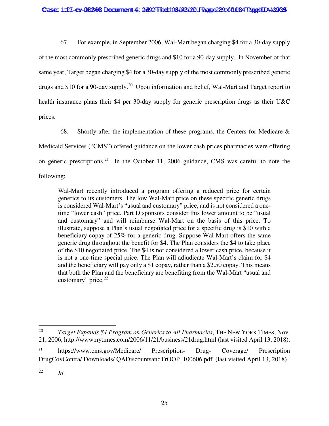67. For example, in September 2006, Wal-Mart began charging \$4 for a 30-day supply of the most commonly prescribed generic drugs and \$10 for a 90-day supply. In November of that same year, Target began charging \$4 for a 30-day supply of the most commonly prescribed generic drugs and \$10 for a 90-day supply.<sup>20</sup> Upon information and belief, Wal-Mart and Target report to health insurance plans their \$4 per 30-day supply for generic prescription drugs as their U&C prices.

68. Shortly after the implementation of these programs, the Centers for Medicare  $\&$ Medicaid Services ("CMS") offered guidance on the lower cash prices pharmacies were offering on generic prescriptions.<sup>21</sup> In the October 11, 2006 guidance, CMS was careful to note the following:

Wal-Mart recently introduced a program offering a reduced price for certain generics to its customers. The low Wal-Mart price on these specific generic drugs is considered Wal-Mart's "usual and customary" price, and is not considered a onetime "lower cash" price. Part D sponsors consider this lower amount to be "usual and customary" and will reimburse Wal-Mart on the basis of this price. To illustrate, suppose a Plan's usual negotiated price for a specific drug is \$10 with a beneficiary copay of 25% for a generic drug. Suppose Wal-Mart offers the same generic drug throughout the benefit for \$4. The Plan considers the \$4 to take place of the \$10 negotiated price. The \$4 is not considered a lower cash price, because it is not a one-time special price. The Plan will adjudicate Wal-Mart's claim for \$4 and the beneficiary will pay only a \$1 copay, rather than a \$2.50 copay. This means that both the Plan and the beneficiary are benefiting from the Wal-Mart "usual and customary" price. $22$ 

<sup>20</sup> *Target Expands \$4 Program on Generics to All Pharmacies*, THE NEW YORK TIMES, Nov. 21, 2006, http://www.nytimes.com/2006/11/21/business/21drug.html (last visited April 13, 2018).

<sup>21</sup> https://www.cms.gov/Medicare/ Prescription- Drug- Coverage/ Prescription DrugCovContra/ Downloads/ QADiscountsandTrOOP\_100606.pdf (last visited April 13, 2018).

<sup>22</sup> *Id*.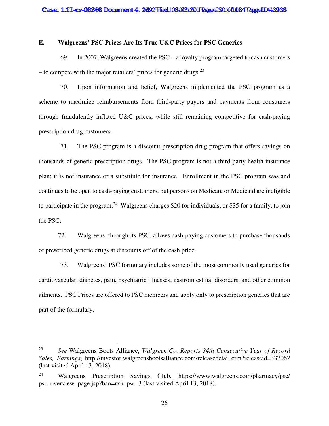# **E. Walgreens' PSC Prices Are Its True U&C Prices for PSC Generics**

69. In 2007, Walgreens created the PSC – a loyalty program targeted to cash customers – to compete with the major retailers' prices for generic drugs.<sup>23</sup>

70. Upon information and belief, Walgreens implemented the PSC program as a scheme to maximize reimbursements from third-party payors and payments from consumers through fraudulently inflated U&C prices, while still remaining competitive for cash-paying prescription drug customers.

71. The PSC program is a discount prescription drug program that offers savings on thousands of generic prescription drugs. The PSC program is not a third-party health insurance plan; it is not insurance or a substitute for insurance. Enrollment in the PSC program was and continues to be open to cash-paying customers, but persons on Medicare or Medicaid are ineligible to participate in the program.<sup>24</sup> Walgreens charges \$20 for individuals, or \$35 for a family, to join the PSC.

72. Walgreens, through its PSC, allows cash-paying customers to purchase thousands of prescribed generic drugs at discounts off of the cash price.

73. Walgreens' PSC formulary includes some of the most commonly used generics for cardiovascular, diabetes, pain, psychiatric illnesses, gastrointestinal disorders, and other common ailments. PSC Prices are offered to PSC members and apply only to prescription generics that are part of the formulary.

<sup>23</sup> *See* Walgreens Boots Alliance, *Walgreen Co. Reports 34th Consecutive Year of Record Sales, Earnings*, http://investor.walgreensbootsalliance.com/releasedetail.cfm?releaseid=337062 (last visited April 13, 2018).

<sup>24</sup> Walgreens Prescription Savings Club, https://www.walgreens.com/pharmacy/psc/ psc\_overview\_page.jsp?ban=rxh\_psc\_3 (last visited April 13, 2018).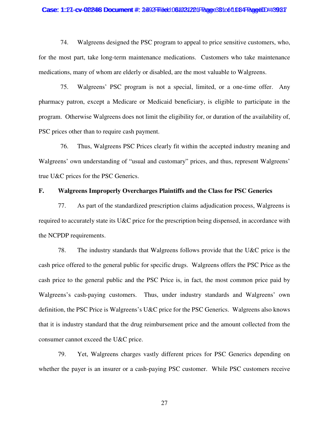#### Case: 1:27-cv-02246 Document #: 2492 Filed: 061031221 Page 381 of 1084 Page4ID #:3987

74. Walgreens designed the PSC program to appeal to price sensitive customers, who, for the most part, take long-term maintenance medications. Customers who take maintenance medications, many of whom are elderly or disabled, are the most valuable to Walgreens.

75. Walgreens' PSC program is not a special, limited, or a one-time offer. Any pharmacy patron, except a Medicare or Medicaid beneficiary, is eligible to participate in the program. Otherwise Walgreens does not limit the eligibility for, or duration of the availability of, PSC prices other than to require cash payment.

76. Thus, Walgreens PSC Prices clearly fit within the accepted industry meaning and Walgreens' own understanding of "usual and customary" prices, and thus, represent Walgreens' true U&C prices for the PSC Generics.

# **F. Walgreens Improperly Overcharges Plaintiffs and the Class for PSC Generics**

77. As part of the standardized prescription claims adjudication process, Walgreens is required to accurately state its U&C price for the prescription being dispensed, in accordance with the NCPDP requirements.

78. The industry standards that Walgreens follows provide that the U&C price is the cash price offered to the general public for specific drugs. Walgreens offers the PSC Price as the cash price to the general public and the PSC Price is, in fact, the most common price paid by Walgreens's cash-paying customers. Thus, under industry standards and Walgreens' own definition, the PSC Price is Walgreens's U&C price for the PSC Generics. Walgreens also knows that it is industry standard that the drug reimbursement price and the amount collected from the consumer cannot exceed the U&C price.

79. Yet, Walgreens charges vastly different prices for PSC Generics depending on whether the payer is an insurer or a cash-paying PSC customer. While PSC customers receive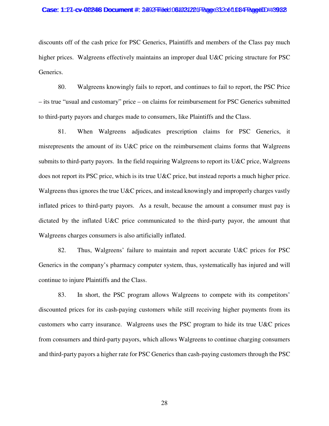#### Case: 1:27-cv-02246 Document #: 2492 Filed: 061031221 Page 33 2061 034 Page4ID #:3932

discounts off of the cash price for PSC Generics, Plaintiffs and members of the Class pay much higher prices. Walgreens effectively maintains an improper dual U&C pricing structure for PSC Generics.

80. Walgreens knowingly fails to report, and continues to fail to report, the PSC Price – its true "usual and customary" price – on claims for reimbursement for PSC Generics submitted to third-party payors and charges made to consumers, like Plaintiffs and the Class.

81. When Walgreens adjudicates prescription claims for PSC Generics, it misrepresents the amount of its U&C price on the reimbursement claims forms that Walgreens submits to third-party payors. In the field requiring Walgreens to report its U&C price, Walgreens does not report its PSC price, which is its true U&C price, but instead reports a much higher price. Walgreens thus ignores the true U&C prices, and instead knowingly and improperly charges vastly inflated prices to third-party payors. As a result, because the amount a consumer must pay is dictated by the inflated U&C price communicated to the third-party payor, the amount that Walgreens charges consumers is also artificially inflated.

82. Thus, Walgreens' failure to maintain and report accurate U&C prices for PSC Generics in the company's pharmacy computer system, thus, systematically has injured and will continue to injure Plaintiffs and the Class.

83. In short, the PSC program allows Walgreens to compete with its competitors' discounted prices for its cash-paying customers while still receiving higher payments from its customers who carry insurance. Walgreens uses the PSC program to hide its true U&C prices from consumers and third-party payors, which allows Walgreens to continue charging consumers and third-party payors a higher rate for PSC Generics than cash-paying customers through the PSC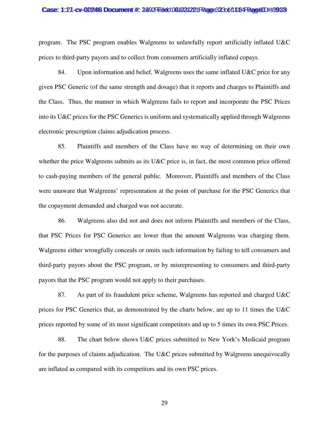#### Case: 1:27-cv-02246 Document #: 2492 Filed: 061031221 Page 323 of 1084 PageUD #:3989

program. The PSC program enables Walgreens to unlawfully report artificially inflated U&C prices to third-party payors and to collect from consumers artificially inflated copays.

84. Upon information and belief, Walgreens uses the same inflated U&C price for any given PSC Generic (of the same strength and dosage) that it reports and charges to Plaintiffs and the Class. Thus, the manner in which Walgreens fails to report and incorporate the PSC Prices into its U&C prices for the PSC Generics is uniform and systematically applied through Walgreens electronic prescription claims adjudication process.

85. Plaintiffs and members of the Class have no way of determining on their own whether the price Walgreens submits as its U&C price is, in fact, the most common price offered to cash-paying members of the general public. Moreover, Plaintiffs and members of the Class were unaware that Walgreens' representation at the point of purchase for the PSC Generics that the copayment demanded and charged was not accurate.

86. Walgreens also did not and does not inform Plaintiffs and members of the Class, that PSC Prices for PSC Generics are lower than the amount Walgreens was charging them. Walgreens either wrongfully conceals or omits such information by failing to tell consumers and third-party payors about the PSC program, or by misrepresenting to consumers and third-party payors that the PSC program would not apply to their purchases.

87. As part of its fraudulent price scheme, Walgreens has reported and charged U&C prices for PSC Generics that, as demonstrated by the charts below, are up to 11 times the U&C prices reported by some of its most significant competitors and up to 5 times its own PSC Prices.

88. The chart below shows U&C prices submitted to New York's Medicaid program for the purposes of claims adjudication. The U&C prices submitted by Walgreens unequivocally are inflated as compared with its competitors and its own PSC prices.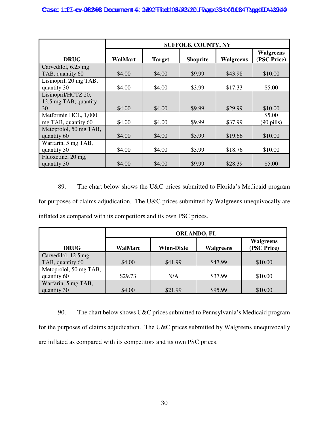|                        | <b>SUFFOLK COUNTY, NY</b> |               |                 |                  |                                 |  |
|------------------------|---------------------------|---------------|-----------------|------------------|---------------------------------|--|
| <b>DRUG</b>            | WalMart                   | <b>Target</b> | <b>Shoprite</b> | <b>Walgreens</b> | <b>Walgreens</b><br>(PSC Price) |  |
| Carvedilol, 6.25 mg    |                           |               |                 |                  |                                 |  |
| TAB, quantity 60       | \$4.00                    | \$4.00        | \$9.99          | \$43.98          | \$10.00                         |  |
| Lisinopril, 20 mg TAB, |                           |               |                 |                  |                                 |  |
| quantity 30            | \$4.00                    | \$4.00        | \$3.99          | \$17.33          | \$5.00                          |  |
| Lisinopril/HCTZ 20,    |                           |               |                 |                  |                                 |  |
| 12.5 mg TAB, quantity  |                           |               |                 |                  |                                 |  |
| 30                     | \$4.00                    | \$4.00        | \$9.99          | \$29.99          | \$10.00                         |  |
| Metformin HCL, 1,000   |                           |               |                 |                  | \$5.00                          |  |
| mg TAB, quantity 60    | \$4.00                    | \$4.00        | \$9.99          | \$37.99          | $(90 \text{ pills})$            |  |
| Metoprolol, 50 mg TAB, |                           |               |                 |                  |                                 |  |
| quantity 60            | \$4.00                    | \$4.00        | \$3.99          | \$19.66          | \$10.00                         |  |
| Warfarin, 5 mg TAB,    |                           |               |                 |                  |                                 |  |
| quantity 30            | \$4.00                    | \$4.00        | \$3.99          | \$18.76          | \$10.00                         |  |
| Fluoxetine, 20 mg,     |                           |               |                 |                  |                                 |  |
| quantity 30            | \$4.00                    | \$4.00        | \$9.99          | \$28.39          | \$5.00                          |  |

89. The chart below shows the U&C prices submitted to Florida's Medicaid program for purposes of claims adjudication. The U&C prices submitted by Walgreens unequivocally are inflated as compared with its competitors and its own PSC prices.

|                        | <b>ORLANDO, FL</b> |                                 |         |         |  |  |  |
|------------------------|--------------------|---------------------------------|---------|---------|--|--|--|
| <b>DRUG</b>            | WalMart            | <b>Walgreens</b><br>(PSC Price) |         |         |  |  |  |
| Carvedilol, 12.5 mg    |                    |                                 |         |         |  |  |  |
| TAB, quantity 60       | \$4.00             | \$41.99                         | \$47.99 | \$10.00 |  |  |  |
| Metoprolol, 50 mg TAB, |                    |                                 |         |         |  |  |  |
| quantity 60            | \$29.73            | N/A                             | \$37.99 | \$10.00 |  |  |  |
| Warfarin, 5 mg TAB,    |                    |                                 |         |         |  |  |  |
| quantity 30            | \$4.00             | \$21.99                         | \$95.99 | \$10.00 |  |  |  |

90. The chart below shows U&C prices submitted to Pennsylvania's Medicaid program for the purposes of claims adjudication. The U&C prices submitted by Walgreens unequivocally are inflated as compared with its competitors and its own PSC prices.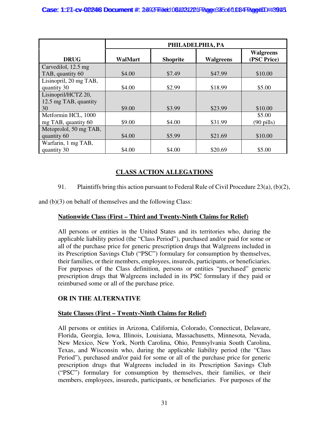|                        | PHILADELPHIA, PA |                 |                  |                                 |
|------------------------|------------------|-----------------|------------------|---------------------------------|
| <b>DRUG</b>            | <b>WalMart</b>   | <b>Shoprite</b> | <b>Walgreens</b> | <b>Walgreens</b><br>(PSC Price) |
| Carvedilol, 12.5 mg    |                  |                 |                  |                                 |
| TAB, quantity 60       | \$4.00           | \$7.49          | \$47.99          | \$10.00                         |
| Lisinopril, 20 mg TAB, |                  |                 |                  |                                 |
| quantity 30            | \$4.00           | \$2.99          | \$18.99          | \$5.00                          |
| Lisinopril/HCTZ 20,    |                  |                 |                  |                                 |
| 12.5 mg TAB, quantity  |                  |                 |                  |                                 |
| 30                     | \$9.00           | \$3.99          | \$23.99          | \$10.00                         |
| Metformin HCL, 1000    |                  |                 |                  | \$5.00                          |
| mg TAB, quantity 60    | \$9.00           | \$4.00          | \$31.99          | $(90 \text{ pills})$            |
| Metoprolol, 50 mg TAB, |                  |                 |                  |                                 |
| quantity 60            | \$4.00           | \$5.99          | \$21.69          | \$10.00                         |
| Warfarin, 1 mg TAB,    |                  |                 |                  |                                 |
| quantity 30            | \$4.00           | \$4.00          | \$20.69          | \$5.00                          |

# **CLASS ACTION ALLEGATIONS**

91. Plaintiffs bring this action pursuant to Federal Rule of Civil Procedure 23(a), (b)(2),

and (b)(3) on behalf of themselves and the following Class:

# **Nationwide Class (First – Third and Twenty-Ninth Claims for Relief)**

All persons or entities in the United States and its territories who, during the applicable liability period (the "Class Period"), purchased and/or paid for some or all of the purchase price for generic prescription drugs that Walgreens included in its Prescription Savings Club ("PSC") formulary for consumption by themselves, their families, or their members, employees, insureds, participants, or beneficiaries. For purposes of the Class definition, persons or entities "purchased" generic prescription drugs that Walgreens included in its PSC formulary if they paid or reimbursed some or all of the purchase price.

# **OR IN THE ALTERNATIVE**

# **State Classes (First – Twenty-Ninth Claims for Relief)**

All persons or entities in Arizona, California, Colorado, Connecticut, Delaware, Florida, Georgia, Iowa, Illinois, Louisiana, Massachusetts, Minnesota, Nevada, New Mexico, New York, North Carolina, Ohio, Pennsylvania South Carolina, Texas, and Wisconsin who, during the applicable liability period (the "Class Period"), purchased and/or paid for some or all of the purchase price for generic prescription drugs that Walgreens included in its Prescription Savings Club ("PSC") formulary for consumption by themselves, their families, or their members, employees, insureds, participants, or beneficiaries. For purposes of the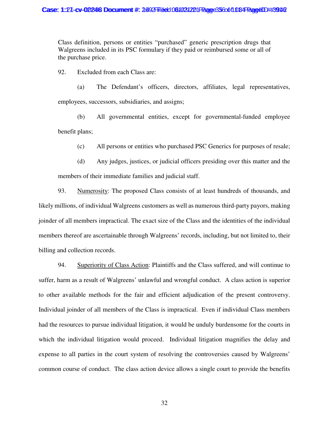Class definition, persons or entities "purchased" generic prescription drugs that Walgreens included in its PSC formulary if they paid or reimbursed some or all of the purchase price.

92. Excluded from each Class are:

(a) The Defendant's officers, directors, affiliates, legal representatives, employees, successors, subsidiaries, and assigns;

(b) All governmental entities, except for governmental-funded employee benefit plans;

(c) All persons or entities who purchased PSC Generics for purposes of resale;

(d) Any judges, justices, or judicial officers presiding over this matter and the members of their immediate families and judicial staff.

93. Numerosity: The proposed Class consists of at least hundreds of thousands, and likely millions, of individual Walgreens customers as well as numerous third-party payors, making joinder of all members impractical. The exact size of the Class and the identities of the individual members thereof are ascertainable through Walgreens' records, including, but not limited to, their billing and collection records.

94. Superiority of Class Action: Plaintiffs and the Class suffered, and will continue to suffer, harm as a result of Walgreens' unlawful and wrongful conduct. A class action is superior to other available methods for the fair and efficient adjudication of the present controversy. Individual joinder of all members of the Class is impractical. Even if individual Class members had the resources to pursue individual litigation, it would be unduly burdensome for the courts in which the individual litigation would proceed. Individual litigation magnifies the delay and expense to all parties in the court system of resolving the controversies caused by Walgreens' common course of conduct. The class action device allows a single court to provide the benefits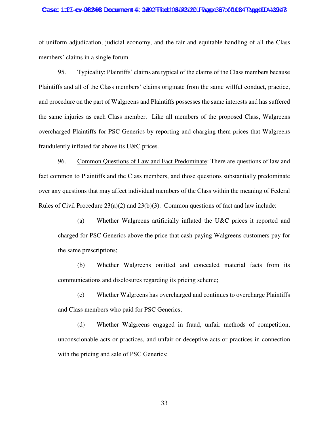#### Case: 1:27-cv-02246 Document #: 2492 Filed: 061031221 Page 387 of 1084 Page4ID #:3943

of uniform adjudication, judicial economy, and the fair and equitable handling of all the Class members' claims in a single forum.

95. Typicality: Plaintiffs' claims are typical of the claims of the Class members because Plaintiffs and all of the Class members' claims originate from the same willful conduct, practice, and procedure on the part of Walgreens and Plaintiffs possesses the same interests and has suffered the same injuries as each Class member. Like all members of the proposed Class, Walgreens overcharged Plaintiffs for PSC Generics by reporting and charging them prices that Walgreens fraudulently inflated far above its U&C prices.

96. Common Questions of Law and Fact Predominate: There are questions of law and fact common to Plaintiffs and the Class members, and those questions substantially predominate over any questions that may affect individual members of the Class within the meaning of Federal Rules of Civil Procedure  $23(a)(2)$  and  $23(b)(3)$ . Common questions of fact and law include:

(a) Whether Walgreens artificially inflated the U&C prices it reported and charged for PSC Generics above the price that cash-paying Walgreens customers pay for the same prescriptions;

(b) Whether Walgreens omitted and concealed material facts from its communications and disclosures regarding its pricing scheme;

(c) Whether Walgreens has overcharged and continues to overcharge Plaintiffs and Class members who paid for PSC Generics;

(d) Whether Walgreens engaged in fraud, unfair methods of competition, unconscionable acts or practices, and unfair or deceptive acts or practices in connection with the pricing and sale of PSC Generics;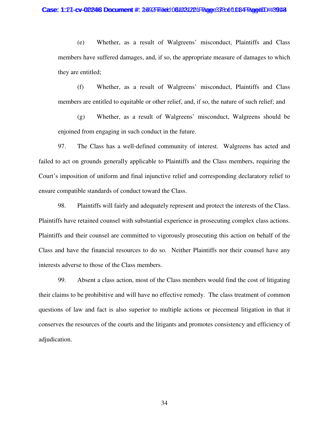(e) Whether, as a result of Walgreens' misconduct, Plaintiffs and Class members have suffered damages, and, if so, the appropriate measure of damages to which they are entitled;

(f) Whether, as a result of Walgreens' misconduct, Plaintiffs and Class members are entitled to equitable or other relief, and, if so, the nature of such relief; and

(g) Whether, as a result of Walgreens' misconduct, Walgreens should be enjoined from engaging in such conduct in the future.

97. The Class has a well-defined community of interest. Walgreens has acted and failed to act on grounds generally applicable to Plaintiffs and the Class members, requiring the Court's imposition of uniform and final injunctive relief and corresponding declaratory relief to ensure compatible standards of conduct toward the Class.

98. Plaintiffs will fairly and adequately represent and protect the interests of the Class. Plaintiffs have retained counsel with substantial experience in prosecuting complex class actions. Plaintiffs and their counsel are committed to vigorously prosecuting this action on behalf of the Class and have the financial resources to do so. Neither Plaintiffs nor their counsel have any interests adverse to those of the Class members.

99. Absent a class action, most of the Class members would find the cost of litigating their claims to be prohibitive and will have no effective remedy. The class treatment of common questions of law and fact is also superior to multiple actions or piecemeal litigation in that it conserves the resources of the courts and the litigants and promotes consistency and efficiency of adjudication.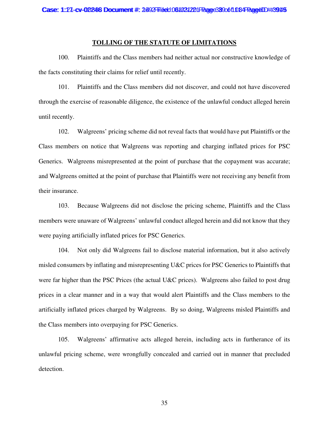### **TOLLING OF THE STATUTE OF LIMITATIONS**

100. Plaintiffs and the Class members had neither actual nor constructive knowledge of the facts constituting their claims for relief until recently.

101. Plaintiffs and the Class members did not discover, and could not have discovered through the exercise of reasonable diligence, the existence of the unlawful conduct alleged herein until recently.

102. Walgreens' pricing scheme did not reveal facts that would have put Plaintiffs or the Class members on notice that Walgreens was reporting and charging inflated prices for PSC Generics. Walgreens misrepresented at the point of purchase that the copayment was accurate; and Walgreens omitted at the point of purchase that Plaintiffs were not receiving any benefit from their insurance.

103. Because Walgreens did not disclose the pricing scheme, Plaintiffs and the Class members were unaware of Walgreens' unlawful conduct alleged herein and did not know that they were paying artificially inflated prices for PSC Generics.

104. Not only did Walgreens fail to disclose material information, but it also actively misled consumers by inflating and misrepresenting U&C prices for PSC Generics to Plaintiffs that were far higher than the PSC Prices (the actual U&C prices). Walgreens also failed to post drug prices in a clear manner and in a way that would alert Plaintiffs and the Class members to the artificially inflated prices charged by Walgreens. By so doing, Walgreens misled Plaintiffs and the Class members into overpaying for PSC Generics.

105. Walgreens' affirmative acts alleged herein, including acts in furtherance of its unlawful pricing scheme, were wrongfully concealed and carried out in manner that precluded detection.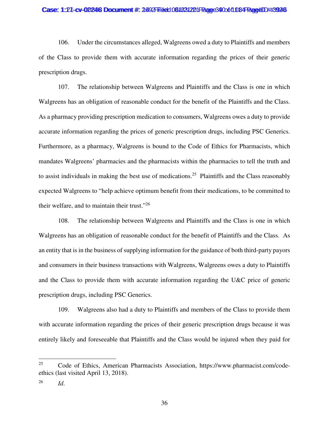#### Case: 1:27-cv-02246 Document #: 2492 Filed: 061031221 Page 340 of 1084 Page4ID #:3926

106. Under the circumstances alleged, Walgreens owed a duty to Plaintiffs and members of the Class to provide them with accurate information regarding the prices of their generic prescription drugs.

107. The relationship between Walgreens and Plaintiffs and the Class is one in which Walgreens has an obligation of reasonable conduct for the benefit of the Plaintiffs and the Class. As a pharmacy providing prescription medication to consumers, Walgreens owes a duty to provide accurate information regarding the prices of generic prescription drugs, including PSC Generics. Furthermore, as a pharmacy, Walgreens is bound to the Code of Ethics for Pharmacists, which mandates Walgreens' pharmacies and the pharmacists within the pharmacies to tell the truth and to assist individuals in making the best use of medications.<sup>25</sup> Plaintiffs and the Class reasonably expected Walgreens to "help achieve optimum benefit from their medications, to be committed to their welfare, and to maintain their trust."<sup>26</sup>

108. The relationship between Walgreens and Plaintiffs and the Class is one in which Walgreens has an obligation of reasonable conduct for the benefit of Plaintiffs and the Class. As an entity that is in the business of supplying information for the guidance of both third-party payors and consumers in their business transactions with Walgreens, Walgreens owes a duty to Plaintiffs and the Class to provide them with accurate information regarding the U&C price of generic prescription drugs, including PSC Generics.

109. Walgreens also had a duty to Plaintiffs and members of the Class to provide them with accurate information regarding the prices of their generic prescription drugs because it was entirely likely and foreseeable that Plaintiffs and the Class would be injured when they paid for

<sup>25</sup> Code of Ethics, American Pharmacists Association, https://www.pharmacist.com/codeethics (last visited April 13, 2018).

<sup>26</sup> *Id*.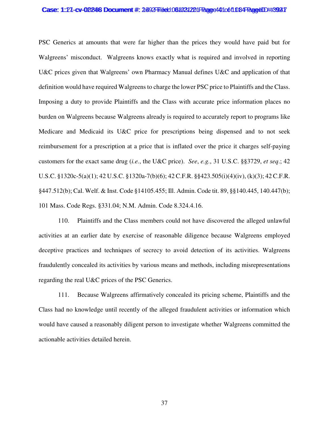#### Case: 1:27-cv-02246 Document #: 2492 Filed: 061031221 Page 401 of 1084 Page4ID #:3947

PSC Generics at amounts that were far higher than the prices they would have paid but for Walgreens' misconduct. Walgreens knows exactly what is required and involved in reporting U&C prices given that Walgreens' own Pharmacy Manual defines U&C and application of that definition would have required Walgreens to charge the lower PSC price to Plaintiffs and the Class. Imposing a duty to provide Plaintiffs and the Class with accurate price information places no burden on Walgreens because Walgreens already is required to accurately report to programs like Medicare and Medicaid its U&C price for prescriptions being dispensed and to not seek reimbursement for a prescription at a price that is inflated over the price it charges self-paying customers for the exact same drug (*i.e.*, the U&C price). *See*, *e.g.*, 31 U.S.C. §§3729, *et seq*.; 42 U.S.C. §1320c-5(a)(1); 42 U.S.C. §1320a-7(b)(6); 42 C.F.R. §§423.505(i)(4)(iv), (k)(3); 42 C.F.R. §447.512(b); Cal. Welf. & Inst. Code §14105.455; Ill. Admin. Code tit. 89, §§140.445, 140.447(b); 101 Mass. Code Regs. §331.04; N.M. Admin. Code 8.324.4.16.

110. Plaintiffs and the Class members could not have discovered the alleged unlawful activities at an earlier date by exercise of reasonable diligence because Walgreens employed deceptive practices and techniques of secrecy to avoid detection of its activities. Walgreens fraudulently concealed its activities by various means and methods, including misrepresentations regarding the real U&C prices of the PSC Generics.

111. Because Walgreens affirmatively concealed its pricing scheme, Plaintiffs and the Class had no knowledge until recently of the alleged fraudulent activities or information which would have caused a reasonably diligent person to investigate whether Walgreens committed the actionable activities detailed herein.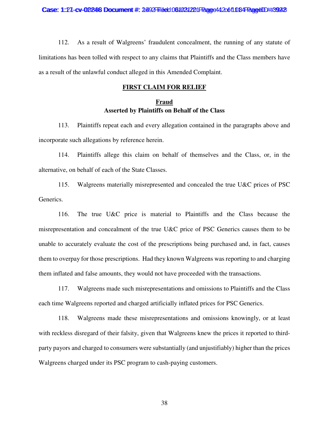112. As a result of Walgreens' fraudulent concealment, the running of any statute of limitations has been tolled with respect to any claims that Plaintiffs and the Class members have as a result of the unlawful conduct alleged in this Amended Complaint.

### **FIRST CLAIM FOR RELIEF**

# **Fraud Asserted by Plaintiffs on Behalf of the Class**

113. Plaintiffs repeat each and every allegation contained in the paragraphs above and incorporate such allegations by reference herein.

114. Plaintiffs allege this claim on behalf of themselves and the Class, or, in the alternative, on behalf of each of the State Classes.

115. Walgreens materially misrepresented and concealed the true U&C prices of PSC Generics.

116. The true U&C price is material to Plaintiffs and the Class because the misrepresentation and concealment of the true U&C price of PSC Generics causes them to be unable to accurately evaluate the cost of the prescriptions being purchased and, in fact, causes them to overpay for those prescriptions. Had they known Walgreens was reporting to and charging them inflated and false amounts, they would not have proceeded with the transactions.

117. Walgreens made such misrepresentations and omissions to Plaintiffs and the Class each time Walgreens reported and charged artificially inflated prices for PSC Generics.

118. Walgreens made these misrepresentations and omissions knowingly, or at least with reckless disregard of their falsity, given that Walgreens knew the prices it reported to thirdparty payors and charged to consumers were substantially (and unjustifiably) higher than the prices Walgreens charged under its PSC program to cash-paying customers.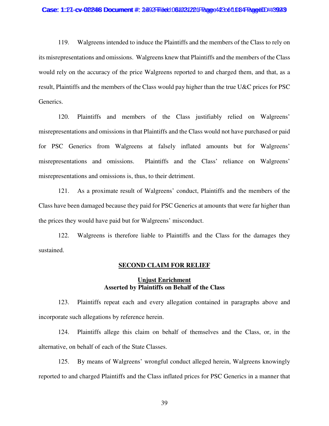#### Case: 1:27-cv-00248 Document #: 2492 Filed: 061031201 Page 423 of 1084 Page 41D #:3923

119. Walgreens intended to induce the Plaintiffs and the members of the Class to rely on its misrepresentations and omissions. Walgreens knew that Plaintiffs and the members of the Class would rely on the accuracy of the price Walgreens reported to and charged them, and that, as a result, Plaintiffs and the members of the Class would pay higher than the true U&C prices for PSC Generics.

120. Plaintiffs and members of the Class justifiably relied on Walgreens' misrepresentations and omissions in that Plaintiffs and the Class would not have purchased or paid for PSC Generics from Walgreens at falsely inflated amounts but for Walgreens' misrepresentations and omissions. Plaintiffs and the Class' reliance on Walgreens' misrepresentations and omissions is, thus, to their detriment.

121. As a proximate result of Walgreens' conduct, Plaintiffs and the members of the Class have been damaged because they paid for PSC Generics at amounts that were far higher than the prices they would have paid but for Walgreens' misconduct.

122. Walgreens is therefore liable to Plaintiffs and the Class for the damages they sustained.

### **SECOND CLAIM FOR RELIEF**

### **Unjust Enrichment Asserted by Plaintiffs on Behalf of the Class**

123. Plaintiffs repeat each and every allegation contained in paragraphs above and incorporate such allegations by reference herein.

124. Plaintiffs allege this claim on behalf of themselves and the Class, or, in the alternative, on behalf of each of the State Classes.

125. By means of Walgreens' wrongful conduct alleged herein, Walgreens knowingly reported to and charged Plaintiffs and the Class inflated prices for PSC Generics in a manner that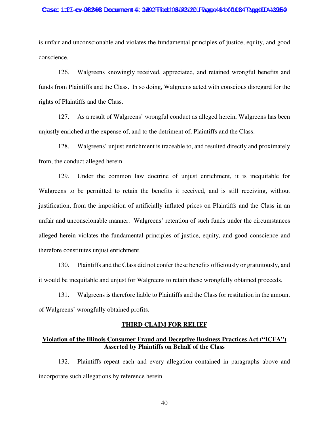#### Case: 1:27-cv-02246 Document #: 2492 Filed: 061031221 Page 434 of 1084 Page4ID #:3954

is unfair and unconscionable and violates the fundamental principles of justice, equity, and good conscience.

126. Walgreens knowingly received, appreciated, and retained wrongful benefits and funds from Plaintiffs and the Class. In so doing, Walgreens acted with conscious disregard for the rights of Plaintiffs and the Class.

127. As a result of Walgreens' wrongful conduct as alleged herein, Walgreens has been unjustly enriched at the expense of, and to the detriment of, Plaintiffs and the Class.

128. Walgreens' unjust enrichment is traceable to, and resulted directly and proximately from, the conduct alleged herein.

129. Under the common law doctrine of unjust enrichment, it is inequitable for Walgreens to be permitted to retain the benefits it received, and is still receiving, without justification, from the imposition of artificially inflated prices on Plaintiffs and the Class in an unfair and unconscionable manner. Walgreens' retention of such funds under the circumstances alleged herein violates the fundamental principles of justice, equity, and good conscience and therefore constitutes unjust enrichment.

130. Plaintiffs and the Class did not confer these benefits officiously or gratuitously, and it would be inequitable and unjust for Walgreens to retain these wrongfully obtained proceeds.

131. Walgreens is therefore liable to Plaintiffs and the Class for restitution in the amount of Walgreens' wrongfully obtained profits.

### **THIRD CLAIM FOR RELIEF**

## **Violation of the Illinois Consumer Fraud and Deceptive Business Practices Act ("ICFA") Asserted by Plaintiffs on Behalf of the Class**

132. Plaintiffs repeat each and every allegation contained in paragraphs above and incorporate such allegations by reference herein.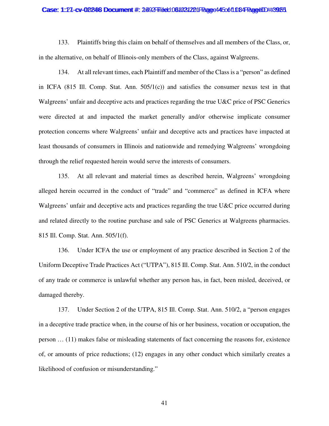#### Case: 1:27-cv-02246 Document #: 2492 Filed: 061031221 Page 44 50 ft 034 PageUD #:3925

133. Plaintiffs bring this claim on behalf of themselves and all members of the Class, or, in the alternative, on behalf of Illinois-only members of the Class, against Walgreens.

134. At all relevant times, each Plaintiff and member of the Class is a "person" as defined in ICFA  $(815$  Ill. Comp. Stat. Ann.  $505/1(c)$  and satisfies the consumer nexus test in that Walgreens' unfair and deceptive acts and practices regarding the true U&C price of PSC Generics were directed at and impacted the market generally and/or otherwise implicate consumer protection concerns where Walgreens' unfair and deceptive acts and practices have impacted at least thousands of consumers in Illinois and nationwide and remedying Walgreens' wrongdoing through the relief requested herein would serve the interests of consumers.

135. At all relevant and material times as described herein, Walgreens' wrongdoing alleged herein occurred in the conduct of "trade" and "commerce" as defined in ICFA where Walgreens' unfair and deceptive acts and practices regarding the true U&C price occurred during and related directly to the routine purchase and sale of PSC Generics at Walgreens pharmacies. 815 Ill. Comp. Stat. Ann. 505/1(f).

136. Under ICFA the use or employment of any practice described in Section 2 of the Uniform Deceptive Trade Practices Act ("UTPA"), 815 Ill. Comp. Stat. Ann. 510/2, in the conduct of any trade or commerce is unlawful whether any person has, in fact, been misled, deceived, or damaged thereby.

137. Under Section 2 of the UTPA, 815 Ill. Comp. Stat. Ann. 510/2, a "person engages in a deceptive trade practice when, in the course of his or her business, vocation or occupation, the person … (11) makes false or misleading statements of fact concerning the reasons for, existence of, or amounts of price reductions; (12) engages in any other conduct which similarly creates a likelihood of confusion or misunderstanding."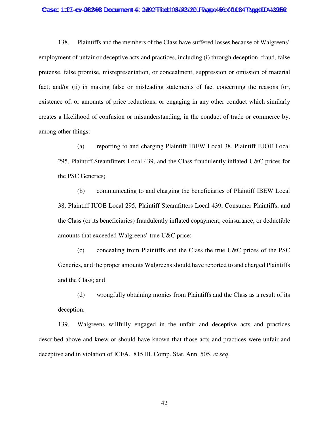#### Case: 1:27-cv-02246 Document #: 2492 Filed: 061031221 Page 45 Cob1 084 PageUD #:3952

138. Plaintiffs and the members of the Class have suffered losses because of Walgreens' employment of unfair or deceptive acts and practices, including (i) through deception, fraud, false pretense, false promise, misrepresentation, or concealment, suppression or omission of material fact; and/or (ii) in making false or misleading statements of fact concerning the reasons for, existence of, or amounts of price reductions, or engaging in any other conduct which similarly creates a likelihood of confusion or misunderstanding, in the conduct of trade or commerce by, among other things:

(a) reporting to and charging Plaintiff IBEW Local 38, Plaintiff IUOE Local 295, Plaintiff Steamfitters Local 439, and the Class fraudulently inflated U&C prices for the PSC Generics;

(b) communicating to and charging the beneficiaries of Plaintiff IBEW Local 38, Plaintiff IUOE Local 295, Plaintiff Steamfitters Local 439, Consumer Plaintiffs, and the Class (or its beneficiaries) fraudulently inflated copayment, coinsurance, or deductible amounts that exceeded Walgreens' true U&C price;

(c) concealing from Plaintiffs and the Class the true U&C prices of the PSC Generics, and the proper amounts Walgreens should have reported to and charged Plaintiffs and the Class; and

(d) wrongfully obtaining monies from Plaintiffs and the Class as a result of its deception.

139. Walgreens willfully engaged in the unfair and deceptive acts and practices described above and knew or should have known that those acts and practices were unfair and deceptive and in violation of ICFA. 815 Ill. Comp. Stat. Ann. 505, *et seq*.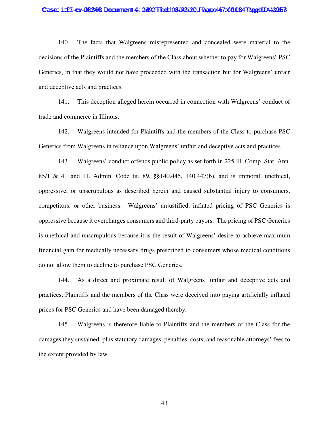#### Case: 1:27-cv-02246 Document #: 2492 Filed: 061031221 Page 447 of 1084 Page4ID #:3953

140. The facts that Walgreens misrepresented and concealed were material to the decisions of the Plaintiffs and the members of the Class about whether to pay for Walgreens' PSC Generics, in that they would not have proceeded with the transaction but for Walgreens' unfair and deceptive acts and practices.

141. This deception alleged herein occurred in connection with Walgreens' conduct of trade and commerce in Illinois.

142. Walgreens intended for Plaintiffs and the members of the Class to purchase PSC Generics from Walgreens in reliance upon Walgreens' unfair and deceptive acts and practices.

143. Walgreens' conduct offends public policy as set forth in 225 Ill. Comp. Stat. Ann. 85/1 & 41 and Ill. Admin. Code tit. 89, §§140.445, 140.447(b), and is immoral, unethical, oppressive, or unscrupulous as described herein and caused substantial injury to consumers, competitors, or other business. Walgreens' unjustified, inflated pricing of PSC Generics is oppressive because it overcharges consumers and third-party payors. The pricing of PSC Generics is unethical and unscrupulous because it is the result of Walgreens' desire to achieve maximum financial gain for medically necessary drugs prescribed to consumers whose medical conditions do not allow them to decline to purchase PSC Generics.

144. As a direct and proximate result of Walgreens' unfair and deceptive acts and practices, Plaintiffs and the members of the Class were deceived into paying artificially inflated prices for PSC Generics and have been damaged thereby.

145. Walgreens is therefore liable to Plaintiffs and the members of the Class for the damages they sustained, plus statutory damages, penalties, costs, and reasonable attorneys' fees to the extent provided by law.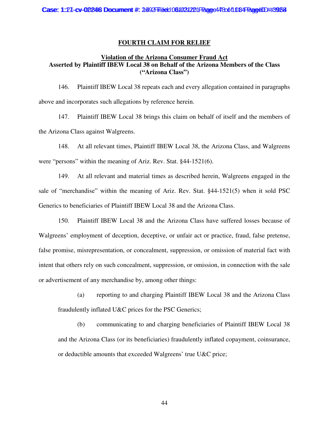### **FOURTH CLAIM FOR RELIEF**

### **Violation of the Arizona Consumer Fraud Act Asserted by Plaintiff IBEW Local 38 on Behalf of the Arizona Members of the Class ("Arizona Class")**

146. Plaintiff IBEW Local 38 repeats each and every allegation contained in paragraphs above and incorporates such allegations by reference herein.

147. Plaintiff IBEW Local 38 brings this claim on behalf of itself and the members of the Arizona Class against Walgreens.

148. At all relevant times, Plaintiff IBEW Local 38, the Arizona Class, and Walgreens were "persons" within the meaning of Ariz. Rev. Stat. §44-1521(6).

149. At all relevant and material times as described herein, Walgreens engaged in the sale of "merchandise" within the meaning of Ariz. Rev. Stat. §44-1521(5) when it sold PSC Generics to beneficiaries of Plaintiff IBEW Local 38 and the Arizona Class.

150. Plaintiff IBEW Local 38 and the Arizona Class have suffered losses because of Walgreens' employment of deception, deceptive, or unfair act or practice, fraud, false pretense, false promise, misrepresentation, or concealment, suppression, or omission of material fact with intent that others rely on such concealment, suppression, or omission, in connection with the sale or advertisement of any merchandise by, among other things:

(a) reporting to and charging Plaintiff IBEW Local 38 and the Arizona Class fraudulently inflated U&C prices for the PSC Generics;

(b) communicating to and charging beneficiaries of Plaintiff IBEW Local 38 and the Arizona Class (or its beneficiaries) fraudulently inflated copayment, coinsurance, or deductible amounts that exceeded Walgreens' true U&C price;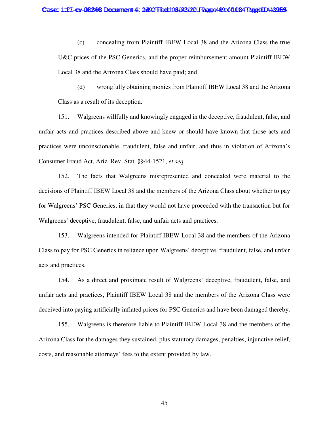(c) concealing from Plaintiff IBEW Local 38 and the Arizona Class the true U&C prices of the PSC Generics, and the proper reimbursement amount Plaintiff IBEW Local 38 and the Arizona Class should have paid; and

(d) wrongfully obtaining monies from Plaintiff IBEW Local 38 and the Arizona Class as a result of its deception.

151. Walgreens willfully and knowingly engaged in the deceptive, fraudulent, false, and unfair acts and practices described above and knew or should have known that those acts and practices were unconscionable, fraudulent, false and unfair, and thus in violation of Arizona's Consumer Fraud Act, Ariz. Rev. Stat. §§44-1521, *et seq*.

152. The facts that Walgreens misrepresented and concealed were material to the decisions of Plaintiff IBEW Local 38 and the members of the Arizona Class about whether to pay for Walgreens' PSC Generics, in that they would not have proceeded with the transaction but for Walgreens' deceptive, fraudulent, false, and unfair acts and practices.

153. Walgreens intended for Plaintiff IBEW Local 38 and the members of the Arizona Class to pay for PSC Generics in reliance upon Walgreens' deceptive, fraudulent, false, and unfair acts and practices.

154. As a direct and proximate result of Walgreens' deceptive, fraudulent, false, and unfair acts and practices, Plaintiff IBEW Local 38 and the members of the Arizona Class were deceived into paying artificially inflated prices for PSC Generics and have been damaged thereby.

155. Walgreens is therefore liable to Plaintiff IBEW Local 38 and the members of the Arizona Class for the damages they sustained, plus statutory damages, penalties, injunctive relief, costs, and reasonable attorneys' fees to the extent provided by law.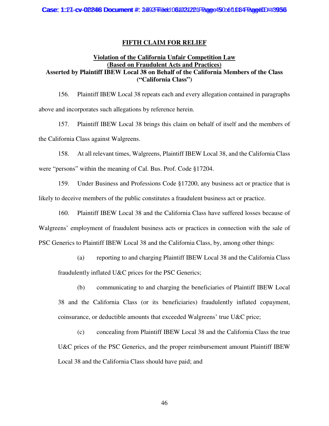## **FIFTH CLAIM FOR RELIEF**

## **Violation of the California Unfair Competition Law (Based on Fraudulent Acts and Practices) Asserted by Plaintiff IBEW Local 38 on Behalf of the California Members of the Class ("California Class")**

156. Plaintiff IBEW Local 38 repeats each and every allegation contained in paragraphs above and incorporates such allegations by reference herein.

157. Plaintiff IBEW Local 38 brings this claim on behalf of itself and the members of the California Class against Walgreens.

158. At all relevant times, Walgreens, Plaintiff IBEW Local 38, and the California Class were "persons" within the meaning of Cal. Bus. Prof. Code §17204.

159. Under Business and Professions Code §17200, any business act or practice that is likely to deceive members of the public constitutes a fraudulent business act or practice.

160. Plaintiff IBEW Local 38 and the California Class have suffered losses because of Walgreens' employment of fraudulent business acts or practices in connection with the sale of PSC Generics to Plaintiff IBEW Local 38 and the California Class, by, among other things:

(a) reporting to and charging Plaintiff IBEW Local 38 and the California Class fraudulently inflated U&C prices for the PSC Generics;

(b) communicating to and charging the beneficiaries of Plaintiff IBEW Local 38 and the California Class (or its beneficiaries) fraudulently inflated copayment, coinsurance, or deductible amounts that exceeded Walgreens' true U&C price;

(c) concealing from Plaintiff IBEW Local 38 and the California Class the true U&C prices of the PSC Generics, and the proper reimbursement amount Plaintiff IBEW Local 38 and the California Class should have paid; and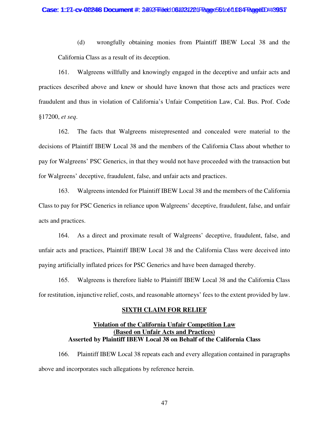(d) wrongfully obtaining monies from Plaintiff IBEW Local 38 and the California Class as a result of its deception.

161. Walgreens willfully and knowingly engaged in the deceptive and unfair acts and practices described above and knew or should have known that those acts and practices were fraudulent and thus in violation of California's Unfair Competition Law, Cal. Bus. Prof. Code §17200, *et seq*.

162. The facts that Walgreens misrepresented and concealed were material to the decisions of Plaintiff IBEW Local 38 and the members of the California Class about whether to pay for Walgreens' PSC Generics, in that they would not have proceeded with the transaction but for Walgreens' deceptive, fraudulent, false, and unfair acts and practices.

163. Walgreens intended for Plaintiff IBEW Local 38 and the members of the California Class to pay for PSC Generics in reliance upon Walgreens' deceptive, fraudulent, false, and unfair acts and practices.

164. As a direct and proximate result of Walgreens' deceptive, fraudulent, false, and unfair acts and practices, Plaintiff IBEW Local 38 and the California Class were deceived into paying artificially inflated prices for PSC Generics and have been damaged thereby.

165. Walgreens is therefore liable to Plaintiff IBEW Local 38 and the California Class for restitution, injunctive relief, costs, and reasonable attorneys' fees to the extent provided by law.

### **SIXTH CLAIM FOR RELIEF**

## **Violation of the California Unfair Competition Law (Based on Unfair Acts and Practices) Asserted by Plaintiff IBEW Local 38 on Behalf of the California Class**

166. Plaintiff IBEW Local 38 repeats each and every allegation contained in paragraphs above and incorporates such allegations by reference herein.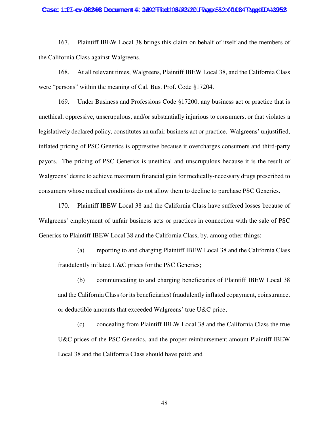#### Case: 1:27-cv-02246 Document #: 2492 Filed: 061031221 Page 552 of 1084 Page4ID #:3952

167. Plaintiff IBEW Local 38 brings this claim on behalf of itself and the members of the California Class against Walgreens.

168. At all relevant times, Walgreens, Plaintiff IBEW Local 38, and the California Class were "persons" within the meaning of Cal. Bus. Prof. Code §17204.

169. Under Business and Professions Code §17200, any business act or practice that is unethical, oppressive, unscrupulous, and/or substantially injurious to consumers, or that violates a legislatively declared policy, constitutes an unfair business act or practice. Walgreens' unjustified, inflated pricing of PSC Generics is oppressive because it overcharges consumers and third-party payors. The pricing of PSC Generics is unethical and unscrupulous because it is the result of Walgreens' desire to achieve maximum financial gain for medically-necessary drugs prescribed to consumers whose medical conditions do not allow them to decline to purchase PSC Generics.

170. Plaintiff IBEW Local 38 and the California Class have suffered losses because of Walgreens' employment of unfair business acts or practices in connection with the sale of PSC Generics to Plaintiff IBEW Local 38 and the California Class, by, among other things:

(a) reporting to and charging Plaintiff IBEW Local 38 and the California Class fraudulently inflated U&C prices for the PSC Generics;

(b) communicating to and charging beneficiaries of Plaintiff IBEW Local 38 and the California Class (or its beneficiaries) fraudulently inflated copayment, coinsurance, or deductible amounts that exceeded Walgreens' true U&C price;

(c) concealing from Plaintiff IBEW Local 38 and the California Class the true U&C prices of the PSC Generics, and the proper reimbursement amount Plaintiff IBEW Local 38 and the California Class should have paid; and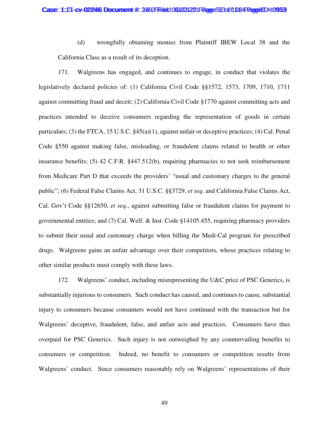(d) wrongfully obtaining monies from Plaintiff IBEW Local 38 and the California Class as a result of its deception.

171. Walgreens has engaged, and continues to engage, in conduct that violates the legislatively declared policies of: (1) California Civil Code §§1572, 1573, 1709, 1710, 1711 against committing fraud and deceit; (2) California Civil Code §1770 against committing acts and practices intended to deceive consumers regarding the representation of goods in certain particulars; (3) the FTCA, 15 U.S.C. §45(a)(1), against unfair or deceptive practices; (4) Cal. Penal Code §550 against making false, misleading, or fraudulent claims related to health or other insurance benefits; (5) 42 C.F.R. §447.512(b), requiring pharmacies to not seek reimbursement from Medicare Part D that exceeds the providers' "usual and customary charges to the general public"; (6) Federal False Claims Act, 31 U.S.C. §§3729, *et seq*. and California False Claims Act, Cal. Gov't Code §§12650, *et seq*., against submitting false or fraudulent claims for payment to governmental entities; and (7) Cal. Welf. & Inst. Code §14105.455, requiring pharmacy providers to submit their usual and customary charge when billing the Medi-Cal program for prescribed drugs. Walgreens gains an unfair advantage over their competitors, whose practices relating to other similar products must comply with these laws.

172. Walgreens' conduct, including misrepresenting the U&C price of PSC Generics, is substantially injurious to consumers. Such conduct has caused, and continues to cause, substantial injury to consumers because consumers would not have continued with the transaction but for Walgreens' deceptive, fraudulent, false, and unfair acts and practices. Consumers have thus overpaid for PSC Generics. Such injury is not outweighed by any countervailing benefits to consumers or competition. Indeed, no benefit to consumers or competition results from Walgreens' conduct. Since consumers reasonably rely on Walgreens' representations of their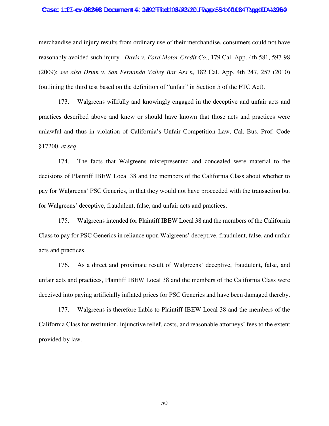#### Case: 1:27-cv-02246 Document #: 2492 Filed: 061031221 Page 534 of 1084 PageUD #:3964

merchandise and injury results from ordinary use of their merchandise, consumers could not have reasonably avoided such injury. *Davis v. Ford Motor Credit Co*., 179 Cal. App. 4th 581, 597-98 (2009); *see also Drum v. San Fernando Valley Bar Ass'n*, 182 Cal. App. 4th 247, 257 (2010) (outlining the third test based on the definition of "unfair" in Section 5 of the FTC Act).

173. Walgreens willfully and knowingly engaged in the deceptive and unfair acts and practices described above and knew or should have known that those acts and practices were unlawful and thus in violation of California's Unfair Competition Law, Cal. Bus. Prof. Code §17200, *et seq*.

174. The facts that Walgreens misrepresented and concealed were material to the decisions of Plaintiff IBEW Local 38 and the members of the California Class about whether to pay for Walgreens' PSC Generics, in that they would not have proceeded with the transaction but for Walgreens' deceptive, fraudulent, false, and unfair acts and practices.

175. Walgreens intended for Plaintiff IBEW Local 38 and the members of the California Class to pay for PSC Generics in reliance upon Walgreens' deceptive, fraudulent, false, and unfair acts and practices.

176. As a direct and proximate result of Walgreens' deceptive, fraudulent, false, and unfair acts and practices, Plaintiff IBEW Local 38 and the members of the California Class were deceived into paying artificially inflated prices for PSC Generics and have been damaged thereby.

177. Walgreens is therefore liable to Plaintiff IBEW Local 38 and the members of the California Class for restitution, injunctive relief, costs, and reasonable attorneys' fees to the extent provided by law.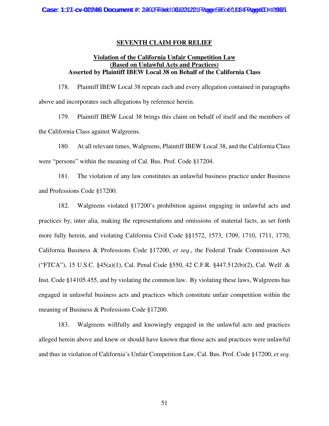### **SEVENTH CLAIM FOR RELIEF**

## **Violation of the California Unfair Competition Law (Based on Unlawful Acts and Practices) Asserted by Plaintiff IBEW Local 38 on Behalf of the California Class**

178. Plaintiff IBEW Local 38 repeats each and every allegation contained in paragraphs above and incorporates such allegations by reference herein.

179. Plaintiff IBEW Local 38 brings this claim on behalf of itself and the members of the California Class against Walgreens.

180. At all relevant times, Walgreens, Plaintiff IBEW Local 38, and the California Class were "persons" within the meaning of Cal. Bus. Prof. Code §17204.

181. The violation of any law constitutes an unlawful business practice under Business and Professions Code §17200.

182. Walgreens violated §17200's prohibition against engaging in unlawful acts and practices by, inter alia, making the representations and omissions of material facts, as set forth more fully herein, and violating California Civil Code §§1572, 1573, 1709, 1710, 1711, 1770, California Business & Professions Code §17200, *et seq*., the Federal Trade Commission Act ("FTCA"), 15 U.S.C. §45(a)(1), Cal. Penal Code §550, 42 C.F.R. §447.512(b)(2), Cal. Welf. & Inst. Code §14105.455, and by violating the common law. By violating these laws, Walgreens has engaged in unlawful business acts and practices which constitute unfair competition within the meaning of Business & Professions Code §17200.

183. Walgreens willfully and knowingly engaged in the unlawful acts and practices alleged herein above and knew or should have known that those acts and practices were unlawful and thus in violation of California's Unfair Competition Law, Cal. Bus. Prof. Code §17200, *et seq*.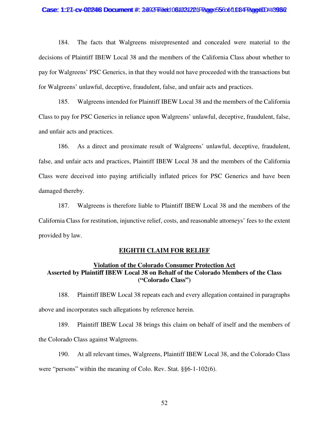#### Case: 1:27-cv-02246 Document #: 2492 Filed: 061031221 Page 55 cot 1084 PageID #:396 2

184. The facts that Walgreens misrepresented and concealed were material to the decisions of Plaintiff IBEW Local 38 and the members of the California Class about whether to pay for Walgreens' PSC Generics, in that they would not have proceeded with the transactions but for Walgreens' unlawful, deceptive, fraudulent, false, and unfair acts and practices.

185. Walgreens intended for Plaintiff IBEW Local 38 and the members of the California Class to pay for PSC Generics in reliance upon Walgreens' unlawful, deceptive, fraudulent, false, and unfair acts and practices.

186. As a direct and proximate result of Walgreens' unlawful, deceptive, fraudulent, false, and unfair acts and practices, Plaintiff IBEW Local 38 and the members of the California Class were deceived into paying artificially inflated prices for PSC Generics and have been damaged thereby.

187. Walgreens is therefore liable to Plaintiff IBEW Local 38 and the members of the California Class for restitution, injunctive relief, costs, and reasonable attorneys' fees to the extent provided by law.

### **EIGHTH CLAIM FOR RELIEF**

## **Violation of the Colorado Consumer Protection Act Asserted by Plaintiff IBEW Local 38 on Behalf of the Colorado Members of the Class ("Colorado Class")**

188. Plaintiff IBEW Local 38 repeats each and every allegation contained in paragraphs above and incorporates such allegations by reference herein.

189. Plaintiff IBEW Local 38 brings this claim on behalf of itself and the members of the Colorado Class against Walgreens.

190. At all relevant times, Walgreens, Plaintiff IBEW Local 38, and the Colorado Class were "persons" within the meaning of Colo. Rev. Stat. §§6-1-102(6).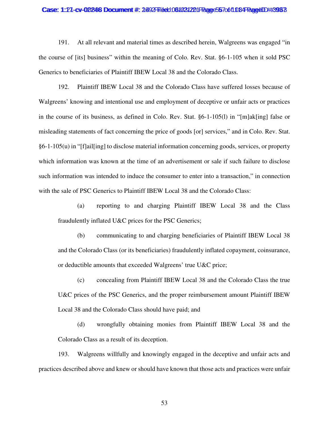#### Case: 1:27-cv-02246 Document #: 2492 Filed: 061031221 Page 567 of 1084 Page4ID #:3963

191. At all relevant and material times as described herein, Walgreens was engaged "in the course of [its] business" within the meaning of Colo. Rev. Stat. §6-1-105 when it sold PSC Generics to beneficiaries of Plaintiff IBEW Local 38 and the Colorado Class.

192. Plaintiff IBEW Local 38 and the Colorado Class have suffered losses because of Walgreens' knowing and intentional use and employment of deceptive or unfair acts or practices in the course of its business, as defined in Colo. Rev. Stat. §6-1-105(l) in "[m]ak[ing] false or misleading statements of fact concerning the price of goods [or] services," and in Colo. Rev. Stat. §6-1-105(u) in "[f]ail[ing] to disclose material information concerning goods, services, or property which information was known at the time of an advertisement or sale if such failure to disclose such information was intended to induce the consumer to enter into a transaction," in connection with the sale of PSC Generics to Plaintiff IBEW Local 38 and the Colorado Class:

(a) reporting to and charging Plaintiff IBEW Local 38 and the Class fraudulently inflated U&C prices for the PSC Generics;

(b) communicating to and charging beneficiaries of Plaintiff IBEW Local 38 and the Colorado Class (or its beneficiaries) fraudulently inflated copayment, coinsurance, or deductible amounts that exceeded Walgreens' true U&C price;

(c) concealing from Plaintiff IBEW Local 38 and the Colorado Class the true U&C prices of the PSC Generics, and the proper reimbursement amount Plaintiff IBEW Local 38 and the Colorado Class should have paid; and

(d) wrongfully obtaining monies from Plaintiff IBEW Local 38 and the Colorado Class as a result of its deception.

193. Walgreens willfully and knowingly engaged in the deceptive and unfair acts and practices described above and knew or should have known that those acts and practices were unfair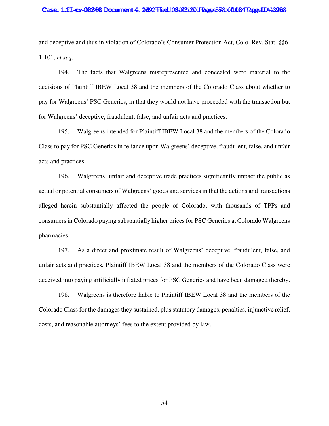#### Case: 1:27-cv-02246 Document #: 2492 Filed: 061031221 Page 578 of 1084 PageID #:3968

and deceptive and thus in violation of Colorado's Consumer Protection Act, Colo. Rev. Stat. §§6- 1-101, *et seq*.

194. The facts that Walgreens misrepresented and concealed were material to the decisions of Plaintiff IBEW Local 38 and the members of the Colorado Class about whether to pay for Walgreens' PSC Generics, in that they would not have proceeded with the transaction but for Walgreens' deceptive, fraudulent, false, and unfair acts and practices.

195. Walgreens intended for Plaintiff IBEW Local 38 and the members of the Colorado Class to pay for PSC Generics in reliance upon Walgreens' deceptive, fraudulent, false, and unfair acts and practices.

196. Walgreens' unfair and deceptive trade practices significantly impact the public as actual or potential consumers of Walgreens' goods and services in that the actions and transactions alleged herein substantially affected the people of Colorado, with thousands of TPPs and consumers in Colorado paying substantially higher prices for PSC Generics at Colorado Walgreens pharmacies.

197. As a direct and proximate result of Walgreens' deceptive, fraudulent, false, and unfair acts and practices, Plaintiff IBEW Local 38 and the members of the Colorado Class were deceived into paying artificially inflated prices for PSC Generics and have been damaged thereby.

198. Walgreens is therefore liable to Plaintiff IBEW Local 38 and the members of the Colorado Class for the damages they sustained, plus statutory damages, penalties, injunctive relief, costs, and reasonable attorneys' fees to the extent provided by law.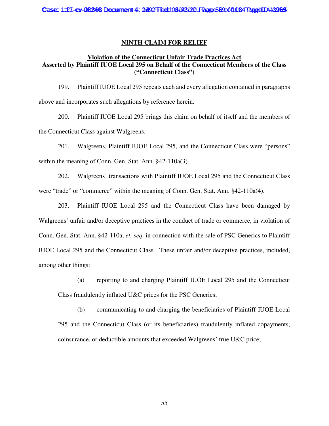### **NINTH CLAIM FOR RELIEF**

## **Violation of the Connecticut Unfair Trade Practices Act Asserted by Plaintiff IUOE Local 295 on Behalf of the Connecticut Members of the Class ("Connecticut Class")**

199. Plaintiff IUOE Local 295 repeats each and every allegation contained in paragraphs above and incorporates such allegations by reference herein.

200. Plaintiff IUOE Local 295 brings this claim on behalf of itself and the members of the Connecticut Class against Walgreens.

201. Walgreens, Plaintiff IUOE Local 295, and the Connecticut Class were "persons" within the meaning of Conn. Gen. Stat. Ann. §42-110a(3).

202. Walgreens' transactions with Plaintiff IUOE Local 295 and the Connecticut Class were "trade" or "commerce" within the meaning of Conn. Gen. Stat. Ann. §42-110a(4).

203. Plaintiff IUOE Local 295 and the Connecticut Class have been damaged by Walgreens' unfair and/or deceptive practices in the conduct of trade or commerce, in violation of Conn. Gen. Stat. Ann. §42-110a, *et. seq*. in connection with the sale of PSC Generics to Plaintiff IUOE Local 295 and the Connecticut Class. These unfair and/or deceptive practices, included, among other things:

(a) reporting to and charging Plaintiff IUOE Local 295 and the Connecticut Class fraudulently inflated U&C prices for the PSC Generics;

(b) communicating to and charging the beneficiaries of Plaintiff IUOE Local 295 and the Connecticut Class (or its beneficiaries) fraudulently inflated copayments, coinsurance, or deductible amounts that exceeded Walgreens' true U&C price;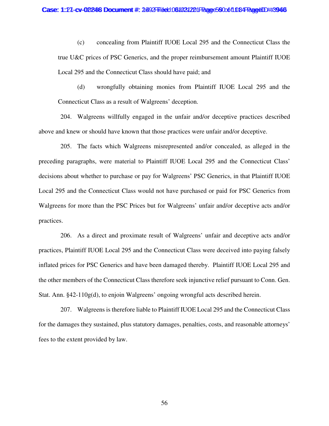(c) concealing from Plaintiff IUOE Local 295 and the Connecticut Class the true U&C prices of PSC Generics, and the proper reimbursement amount Plaintiff IUOE Local 295 and the Connecticut Class should have paid; and

(d) wrongfully obtaining monies from Plaintiff IUOE Local 295 and the Connecticut Class as a result of Walgreens' deception.

204. Walgreens willfully engaged in the unfair and/or deceptive practices described above and knew or should have known that those practices were unfair and/or deceptive.

205. The facts which Walgreens misrepresented and/or concealed, as alleged in the preceding paragraphs, were material to Plaintiff IUOE Local 295 and the Connecticut Class' decisions about whether to purchase or pay for Walgreens' PSC Generics, in that Plaintiff IUOE Local 295 and the Connecticut Class would not have purchased or paid for PSC Generics from Walgreens for more than the PSC Prices but for Walgreens' unfair and/or deceptive acts and/or practices.

206. As a direct and proximate result of Walgreens' unfair and deceptive acts and/or practices, Plaintiff IUOE Local 295 and the Connecticut Class were deceived into paying falsely inflated prices for PSC Generics and have been damaged thereby. Plaintiff IUOE Local 295 and the other members of the Connecticut Class therefore seek injunctive relief pursuant to Conn. Gen. Stat. Ann. §42-110g(d), to enjoin Walgreens' ongoing wrongful acts described herein.

207. Walgreens is therefore liable to Plaintiff IUOE Local 295 and the Connecticut Class for the damages they sustained, plus statutory damages, penalties, costs, and reasonable attorneys' fees to the extent provided by law.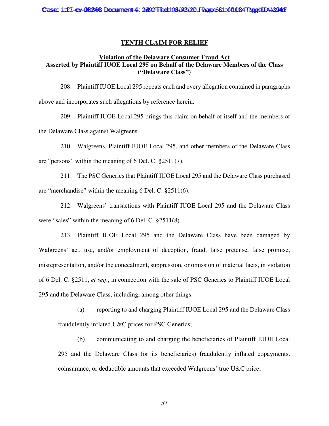### **TENTH CLAIM FOR RELIEF**

### **Violation of the Delaware Consumer Fraud Act Asserted by Plaintiff IUOE Local 295 on Behalf of the Delaware Members of the Class ("Delaware Class")**

208. Plaintiff IUOE Local 295 repeats each and every allegation contained in paragraphs above and incorporates such allegations by reference herein.

209. Plaintiff IUOE Local 295 brings this claim on behalf of itself and the members of the Delaware Class against Walgreens.

210. Walgreens, Plaintiff IUOE Local 295, and other members of the Delaware Class are "persons" within the meaning of 6 Del. C. §2511(7).

211. The PSC Generics that Plaintiff IUOE Local 295 and the Delaware Class purchased are "merchandise" within the meaning 6 Del. C. §2511(6).

212. Walgreens' transactions with Plaintiff IUOE Local 295 and the Delaware Class were "sales" within the meaning of 6 Del. C. §2511(8).

213. Plaintiff IUOE Local 295 and the Delaware Class have been damaged by Walgreens' act, use, and/or employment of deception, fraud, false pretense, false promise, misrepresentation, and/or the concealment, suppression, or omission of material facts, in violation of 6 Del. C. §2511, *et seq*., in connection with the sale of PSC Generics to Plaintiff IUOE Local 295 and the Delaware Class, including, among other things:

(a) reporting to and charging Plaintiff IUOE Local 295 and the Delaware Class fraudulently inflated U&C prices for PSC Generics;

(b) communicating to and charging the beneficiaries of Plaintiff IUOE Local 295 and the Delaware Class (or its beneficiaries) fraudulently inflated copayments, coinsurance, or deductible amounts that exceeded Walgreens' true U&C price;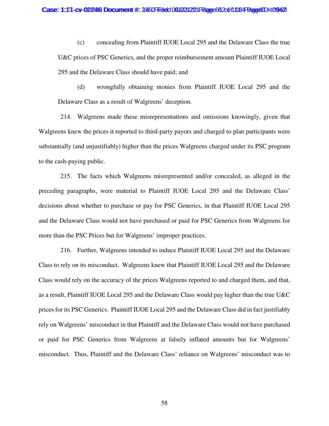(c) concealing from Plaintiff IUOE Local 295 and the Delaware Class the true U&C prices of PSC Generics, and the proper reimbursement amount Plaintiff IUOE Local 295 and the Delaware Class should have paid; and

(d) wrongfully obtaining monies from Plaintiff IUOE Local 295 and the Delaware Class as a result of Walgreens' deception.

214. Walgreens made these misrepresentations and omissions knowingly, given that Walgreens knew the prices it reported to third-party payors and charged to plan participants were substantially (and unjustifiably) higher than the prices Walgreens charged under its PSC program to the cash-paying public.

215. The facts which Walgreens misrepresented and/or concealed, as alleged in the preceding paragraphs, were material to Plaintiff IUOE Local 295 and the Delaware Class' decisions about whether to purchase or pay for PSC Generics, in that Plaintiff IUOE Local 295 and the Delaware Class would not have purchased or paid for PSC Generics from Walgreens for more than the PSC Prices but for Walgreens' improper practices.

216. Further, Walgreens intended to induce Plaintiff IUOE Local 295 and the Delaware Class to rely on its misconduct. Walgreens knew that Plaintiff IUOE Local 295 and the Delaware Class would rely on the accuracy of the prices Walgreens reported to and charged them, and that, as a result, Plaintiff IUOE Local 295 and the Delaware Class would pay higher than the true U&C prices for its PSC Generics. Plaintiff IUOE Local 295 and the Delaware Class did in fact justifiably rely on Walgreens' misconduct in that Plaintiff and the Delaware Class would not have purchased or paid for PSC Generics from Walgreens at falsely inflated amounts but for Walgreens' misconduct. Thus, Plaintiff and the Delaware Class' reliance on Walgreens' misconduct was to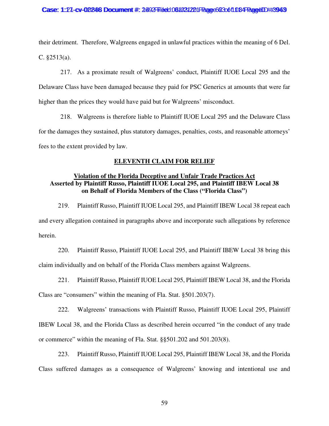#### Case: 1:27-cv-02246 Document #: 2492 Filed: 061021221 Page 623061 084 Page 40D #:3943

their detriment. Therefore, Walgreens engaged in unlawful practices within the meaning of 6 Del. C. §2513(a).

217. As a proximate result of Walgreens' conduct, Plaintiff IUOE Local 295 and the Delaware Class have been damaged because they paid for PSC Generics at amounts that were far higher than the prices they would have paid but for Walgreens' misconduct.

218. Walgreens is therefore liable to Plaintiff IUOE Local 295 and the Delaware Class for the damages they sustained, plus statutory damages, penalties, costs, and reasonable attorneys' fees to the extent provided by law.

### **ELEVENTH CLAIM FOR RELIEF**

## **Violation of the Florida Deceptive and Unfair Trade Practices Act Asserted by Plaintiff Russo, Plaintiff IUOE Local 295, and Plaintiff IBEW Local 38 on Behalf of Florida Members of the Class ("Florida Class")**

219. Plaintiff Russo, Plaintiff IUOE Local 295, and Plaintiff IBEW Local 38 repeat each and every allegation contained in paragraphs above and incorporate such allegations by reference herein.

220. Plaintiff Russo, Plaintiff IUOE Local 295, and Plaintiff IBEW Local 38 bring this claim individually and on behalf of the Florida Class members against Walgreens.

221. Plaintiff Russo, Plaintiff IUOE Local 295, Plaintiff IBEW Local 38, and the Florida Class are "consumers" within the meaning of Fla. Stat. §501.203(7).

222. Walgreens' transactions with Plaintiff Russo, Plaintiff IUOE Local 295, Plaintiff IBEW Local 38, and the Florida Class as described herein occurred "in the conduct of any trade or commerce" within the meaning of Fla. Stat. §§501.202 and 501.203(8).

223. Plaintiff Russo, Plaintiff IUOE Local 295, Plaintiff IBEW Local 38, and the Florida Class suffered damages as a consequence of Walgreens' knowing and intentional use and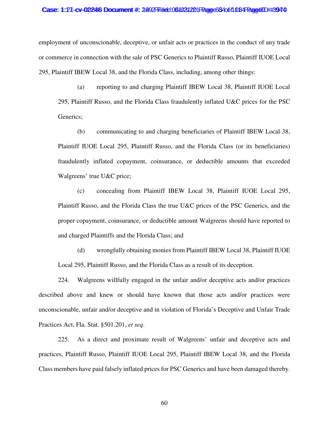#### Case: 1:27-cv-02246 Documment #: 2492 Filed: 061031221 Page 664 of 1084 Page 1D #:394 0

employment of unconscionable, deceptive, or unfair acts or practices in the conduct of any trade or commerce in connection with the sale of PSC Generics to Plaintiff Russo, Plaintiff IUOE Local 295, Plaintiff IBEW Local 38, and the Florida Class, including, among other things:

(a) reporting to and charging Plaintiff IBEW Local 38, Plaintiff IUOE Local 295, Plaintiff Russo, and the Florida Class fraudulently inflated U&C prices for the PSC Generics;

(b) communicating to and charging beneficiaries of Plaintiff IBEW Local 38, Plaintiff IUOE Local 295, Plaintiff Russo, and the Florida Class (or its beneficiaries) fraudulently inflated copayment, coinsurance, or deductible amounts that exceeded Walgreens' true U&C price;

(c) concealing from Plaintiff IBEW Local 38, Plaintiff IUOE Local 295, Plaintiff Russo, and the Florida Class the true U&C prices of the PSC Generics, and the proper copayment, coinsurance, or deductible amount Walgreens should have reported to and charged Plaintiffs and the Florida Class; and

(d) wrongfully obtaining monies from Plaintiff IBEW Local 38, Plaintiff IUOE Local 295, Plaintiff Russo, and the Florida Class as a result of its deception.

224. Walgreens willfully engaged in the unfair and/or deceptive acts and/or practices described above and knew or should have known that those acts and/or practices were unconscionable, unfair and/or deceptive and in violation of Florida's Deceptive and Unfair Trade Practices Act, Fla. Stat. §501.201, *et seq*.

225. As a direct and proximate result of Walgreens' unfair and deceptive acts and practices, Plaintiff Russo, Plaintiff IUOE Local 295, Plaintiff IBEW Local 38, and the Florida Class members have paid falsely inflated prices for PSC Generics and have been damaged thereby.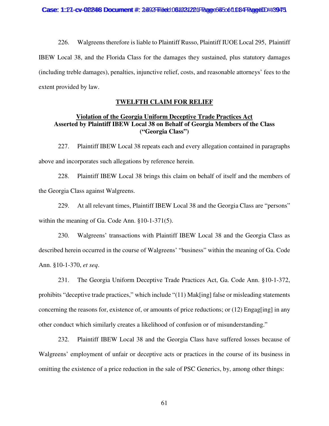226. Walgreens therefore is liable to Plaintiff Russo, Plaintiff IUOE Local 295, Plaintiff IBEW Local 38, and the Florida Class for the damages they sustained, plus statutory damages (including treble damages), penalties, injunctive relief, costs, and reasonable attorneys' fees to the extent provided by law.

### **TWELFTH CLAIM FOR RELIEF**

## **Violation of the Georgia Uniform Deceptive Trade Practices Act Asserted by Plaintiff IBEW Local 38 on Behalf of Georgia Members of the Class ("Georgia Class")**

227. Plaintiff IBEW Local 38 repeats each and every allegation contained in paragraphs above and incorporates such allegations by reference herein.

228. Plaintiff IBEW Local 38 brings this claim on behalf of itself and the members of the Georgia Class against Walgreens.

229. At all relevant times, Plaintiff IBEW Local 38 and the Georgia Class are "persons" within the meaning of Ga. Code Ann. §10-1-371(5).

230. Walgreens' transactions with Plaintiff IBEW Local 38 and the Georgia Class as described herein occurred in the course of Walgreens' "business" within the meaning of Ga. Code Ann. §10-1-370, *et seq*.

231. The Georgia Uniform Deceptive Trade Practices Act, Ga. Code Ann. §10-1-372, prohibits "deceptive trade practices," which include "(11) Mak[ing] false or misleading statements concerning the reasons for, existence of, or amounts of price reductions; or (12) Engag[ing] in any other conduct which similarly creates a likelihood of confusion or of misunderstanding."

232. Plaintiff IBEW Local 38 and the Georgia Class have suffered losses because of Walgreens' employment of unfair or deceptive acts or practices in the course of its business in omitting the existence of a price reduction in the sale of PSC Generics, by, among other things: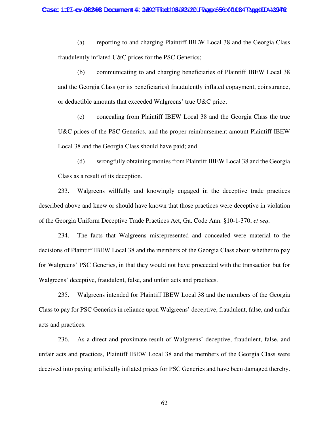(a) reporting to and charging Plaintiff IBEW Local 38 and the Georgia Class fraudulently inflated U&C prices for the PSC Generics;

(b) communicating to and charging beneficiaries of Plaintiff IBEW Local 38 and the Georgia Class (or its beneficiaries) fraudulently inflated copayment, coinsurance, or deductible amounts that exceeded Walgreens' true U&C price;

(c) concealing from Plaintiff IBEW Local 38 and the Georgia Class the true U&C prices of the PSC Generics, and the proper reimbursement amount Plaintiff IBEW Local 38 and the Georgia Class should have paid; and

(d) wrongfully obtaining monies from Plaintiff IBEW Local 38 and the Georgia Class as a result of its deception.

233. Walgreens willfully and knowingly engaged in the deceptive trade practices described above and knew or should have known that those practices were deceptive in violation of the Georgia Uniform Deceptive Trade Practices Act, Ga. Code Ann. §10-1-370, *et seq*.

234. The facts that Walgreens misrepresented and concealed were material to the decisions of Plaintiff IBEW Local 38 and the members of the Georgia Class about whether to pay for Walgreens' PSC Generics, in that they would not have proceeded with the transaction but for Walgreens' deceptive, fraudulent, false, and unfair acts and practices.

235. Walgreens intended for Plaintiff IBEW Local 38 and the members of the Georgia Class to pay for PSC Generics in reliance upon Walgreens' deceptive, fraudulent, false, and unfair acts and practices.

236. As a direct and proximate result of Walgreens' deceptive, fraudulent, false, and unfair acts and practices, Plaintiff IBEW Local 38 and the members of the Georgia Class were deceived into paying artificially inflated prices for PSC Generics and have been damaged thereby.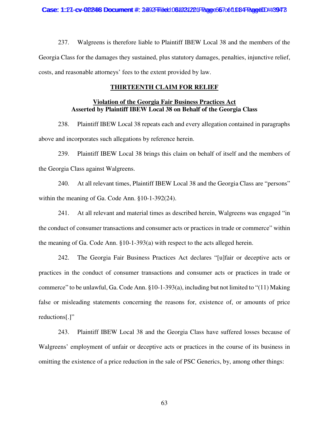237. Walgreens is therefore liable to Plaintiff IBEW Local 38 and the members of the Georgia Class for the damages they sustained, plus statutory damages, penalties, injunctive relief, costs, and reasonable attorneys' fees to the extent provided by law.

## **THIRTEENTH CLAIM FOR RELIEF**

## **Violation of the Georgia Fair Business Practices Act Asserted by Plaintiff IBEW Local 38 on Behalf of the Georgia Class**

238. Plaintiff IBEW Local 38 repeats each and every allegation contained in paragraphs above and incorporates such allegations by reference herein.

239. Plaintiff IBEW Local 38 brings this claim on behalf of itself and the members of the Georgia Class against Walgreens.

240. At all relevant times, Plaintiff IBEW Local 38 and the Georgia Class are "persons" within the meaning of Ga. Code Ann. §10-1-392(24).

241. At all relevant and material times as described herein, Walgreens was engaged "in the conduct of consumer transactions and consumer acts or practices in trade or commerce" within the meaning of Ga. Code Ann. §10-1-393(a) with respect to the acts alleged herein.

242. The Georgia Fair Business Practices Act declares "[u]fair or deceptive acts or practices in the conduct of consumer transactions and consumer acts or practices in trade or commerce" to be unlawful, Ga. Code Ann. §10-1-393(a), including but not limited to "(11) Making false or misleading statements concerning the reasons for, existence of, or amounts of price reductions[.]"

243. Plaintiff IBEW Local 38 and the Georgia Class have suffered losses because of Walgreens' employment of unfair or deceptive acts or practices in the course of its business in omitting the existence of a price reduction in the sale of PSC Generics, by, among other things: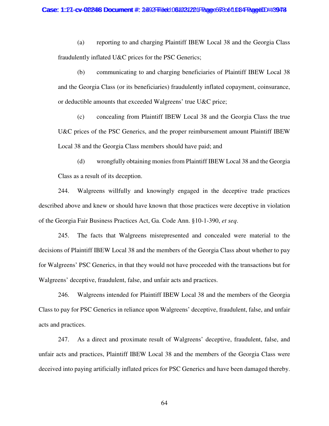(a) reporting to and charging Plaintiff IBEW Local 38 and the Georgia Class fraudulently inflated U&C prices for the PSC Generics;

(b) communicating to and charging beneficiaries of Plaintiff IBEW Local 38 and the Georgia Class (or its beneficiaries) fraudulently inflated copayment, coinsurance, or deductible amounts that exceeded Walgreens' true U&C price;

(c) concealing from Plaintiff IBEW Local 38 and the Georgia Class the true U&C prices of the PSC Generics, and the proper reimbursement amount Plaintiff IBEW Local 38 and the Georgia Class members should have paid; and

(d) wrongfully obtaining monies from Plaintiff IBEW Local 38 and the Georgia Class as a result of its deception.

244. Walgreens willfully and knowingly engaged in the deceptive trade practices described above and knew or should have known that those practices were deceptive in violation of the Georgia Fair Business Practices Act, Ga. Code Ann. §10-1-390, *et seq*.

245. The facts that Walgreens misrepresented and concealed were material to the decisions of Plaintiff IBEW Local 38 and the members of the Georgia Class about whether to pay for Walgreens' PSC Generics, in that they would not have proceeded with the transactions but for Walgreens' deceptive, fraudulent, false, and unfair acts and practices.

246. Walgreens intended for Plaintiff IBEW Local 38 and the members of the Georgia Class to pay for PSC Generics in reliance upon Walgreens' deceptive, fraudulent, false, and unfair acts and practices.

247. As a direct and proximate result of Walgreens' deceptive, fraudulent, false, and unfair acts and practices, Plaintiff IBEW Local 38 and the members of the Georgia Class were deceived into paying artificially inflated prices for PSC Generics and have been damaged thereby.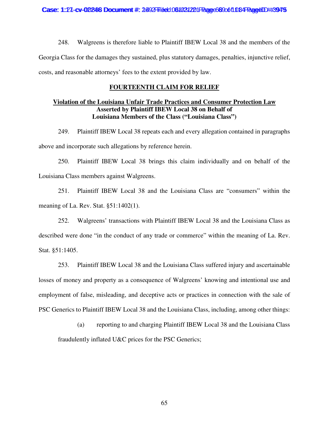248. Walgreens is therefore liable to Plaintiff IBEW Local 38 and the members of the Georgia Class for the damages they sustained, plus statutory damages, penalties, injunctive relief, costs, and reasonable attorneys' fees to the extent provided by law.

## **FOURTEENTH CLAIM FOR RELIEF**

## **Violation of the Louisiana Unfair Trade Practices and Consumer Protection Law Asserted by Plaintiff IBEW Local 38 on Behalf of Louisiana Members of the Class ("Louisiana Class")**

249. Plaintiff IBEW Local 38 repeats each and every allegation contained in paragraphs above and incorporate such allegations by reference herein.

250. Plaintiff IBEW Local 38 brings this claim individually and on behalf of the Louisiana Class members against Walgreens.

251. Plaintiff IBEW Local 38 and the Louisiana Class are "consumers" within the meaning of La. Rev. Stat. §51:1402(1).

252. Walgreens' transactions with Plaintiff IBEW Local 38 and the Louisiana Class as described were done "in the conduct of any trade or commerce" within the meaning of La. Rev. Stat. §51:1405.

253. Plaintiff IBEW Local 38 and the Louisiana Class suffered injury and ascertainable losses of money and property as a consequence of Walgreens' knowing and intentional use and employment of false, misleading, and deceptive acts or practices in connection with the sale of PSC Generics to Plaintiff IBEW Local 38 and the Louisiana Class, including, among other things:

(a) reporting to and charging Plaintiff IBEW Local 38 and the Louisiana Class fraudulently inflated U&C prices for the PSC Generics;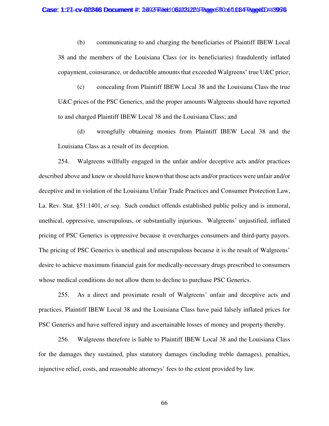#### Case: 1:27-cv-02246 Document #: 2492 Filed: 061031221 Page 620061 034 PageID #:3976

(b) communicating to and charging the beneficiaries of Plaintiff IBEW Local 38 and the members of the Louisiana Class (or its beneficiaries) fraudulently inflated copayment, coinsurance, or deductible amounts that exceeded Walgreens' true U&C price;

(c) concealing from Plaintiff IBEW Local 38 and the Louisiana Class the true U&C prices of the PSC Generics, and the proper amounts Walgreens should have reported to and charged Plaintiff IBEW Local 38 and the Louisiana Class; and

(d) wrongfully obtaining monies from Plaintiff IBEW Local 38 and the Louisiana Class as a result of its deception.

254. Walgreens willfully engaged in the unfair and/or deceptive acts and/or practices described above and knew or should have known that those acts and/or practices were unfair and/or deceptive and in violation of the Louisiana Unfair Trade Practices and Consumer Protection Law, La. Rev. Stat. §51:1401, *et seq*. Such conduct offends established public policy and is immoral, unethical, oppressive, unscrupulous, or substantially injurious. Walgreens' unjustified, inflated pricing of PSC Generics is oppressive because it overcharges consumers and third-party payors. The pricing of PSC Generics is unethical and unscrupulous because it is the result of Walgreens' desire to achieve maximum financial gain for medically-necessary drugs prescribed to consumers whose medical conditions do not allow them to decline to purchase PSC Generics.

255. As a direct and proximate result of Walgreens' unfair and deceptive acts and practices, Plaintiff IBEW Local 38 and the Louisiana Class have paid falsely inflated prices for PSC Generics and have suffered injury and ascertainable losses of money and property thereby.

256. Walgreens therefore is liable to Plaintiff IBEW Local 38 and the Louisiana Class for the damages they sustained, plus statutory damages (including treble damages), penalties, injunctive relief, costs, and reasonable attorneys' fees to the extent provided by law.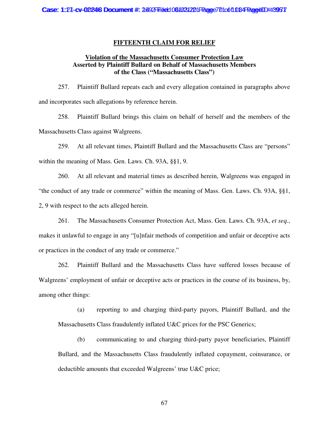### **FIFTEENTH CLAIM FOR RELIEF**

## **Violation of the Massachusetts Consumer Protection Law Asserted by Plaintiff Bullard on Behalf of Massachusetts Members of the Class ("Massachusetts Class")**

257. Plaintiff Bullard repeats each and every allegation contained in paragraphs above and incorporates such allegations by reference herein.

258. Plaintiff Bullard brings this claim on behalf of herself and the members of the Massachusetts Class against Walgreens.

259. At all relevant times, Plaintiff Bullard and the Massachusetts Class are "persons" within the meaning of Mass. Gen. Laws. Ch. 93A, §§1, 9.

260. At all relevant and material times as described herein, Walgreens was engaged in "the conduct of any trade or commerce" within the meaning of Mass. Gen. Laws. Ch. 93A, §§1, 2, 9 with respect to the acts alleged herein.

261. The Massachusetts Consumer Protection Act, Mass. Gen. Laws. Ch. 93A, *et seq.*, makes it unlawful to engage in any "[u]nfair methods of competition and unfair or deceptive acts or practices in the conduct of any trade or commerce."

262. Plaintiff Bullard and the Massachusetts Class have suffered losses because of Walgreens' employment of unfair or deceptive acts or practices in the course of its business, by, among other things:

(a) reporting to and charging third-party payors, Plaintiff Bullard, and the Massachusetts Class fraudulently inflated U&C prices for the PSC Generics;

(b) communicating to and charging third-party payor beneficiaries, Plaintiff Bullard, and the Massachusetts Class fraudulently inflated copayment, coinsurance, or deductible amounts that exceeded Walgreens' true U&C price;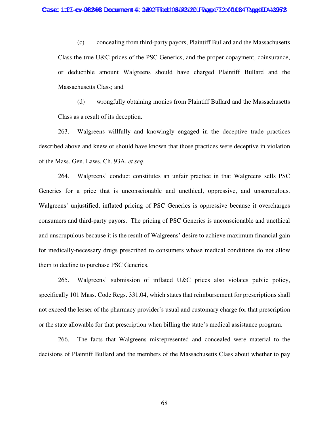(c) concealing from third-party payors, Plaintiff Bullard and the Massachusetts Class the true U&C prices of the PSC Generics, and the proper copayment, coinsurance, or deductible amount Walgreens should have charged Plaintiff Bullard and the Massachusetts Class; and

(d) wrongfully obtaining monies from Plaintiff Bullard and the Massachusetts Class as a result of its deception.

263. Walgreens willfully and knowingly engaged in the deceptive trade practices described above and knew or should have known that those practices were deceptive in violation of the Mass. Gen. Laws. Ch. 93A, *et seq*.

264. Walgreens' conduct constitutes an unfair practice in that Walgreens sells PSC Generics for a price that is unconscionable and unethical, oppressive, and unscrupulous. Walgreens' unjustified, inflated pricing of PSC Generics is oppressive because it overcharges consumers and third-party payors. The pricing of PSC Generics is unconscionable and unethical and unscrupulous because it is the result of Walgreens' desire to achieve maximum financial gain for medically-necessary drugs prescribed to consumers whose medical conditions do not allow them to decline to purchase PSC Generics.

265. Walgreens' submission of inflated U&C prices also violates public policy, specifically 101 Mass. Code Regs. 331.04, which states that reimbursement for prescriptions shall not exceed the lesser of the pharmacy provider's usual and customary charge for that prescription or the state allowable for that prescription when billing the state's medical assistance program.

266. The facts that Walgreens misrepresented and concealed were material to the decisions of Plaintiff Bullard and the members of the Massachusetts Class about whether to pay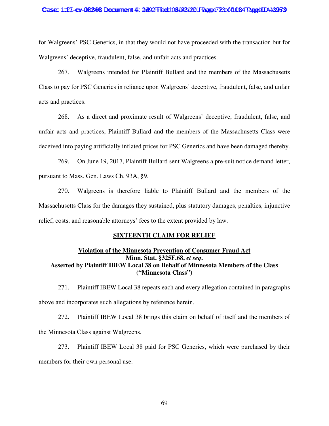#### Case: 1:27-cv-02246 Document #: 2492 Filed: 061031221 Page 723 of 1084 PageUD #:3953

for Walgreens' PSC Generics, in that they would not have proceeded with the transaction but for Walgreens' deceptive, fraudulent, false, and unfair acts and practices.

267. Walgreens intended for Plaintiff Bullard and the members of the Massachusetts Class to pay for PSC Generics in reliance upon Walgreens' deceptive, fraudulent, false, and unfair acts and practices.

268. As a direct and proximate result of Walgreens' deceptive, fraudulent, false, and unfair acts and practices, Plaintiff Bullard and the members of the Massachusetts Class were deceived into paying artificially inflated prices for PSC Generics and have been damaged thereby.

269. On June 19, 2017, Plaintiff Bullard sent Walgreens a pre-suit notice demand letter, pursuant to Mass. Gen. Laws Ch. 93A, §9.

270. Walgreens is therefore liable to Plaintiff Bullard and the members of the Massachusetts Class for the damages they sustained, plus statutory damages, penalties, injunctive relief, costs, and reasonable attorneys' fees to the extent provided by law.

### **SIXTEENTH CLAIM FOR RELIEF**

# **Violation of the Minnesota Prevention of Consumer Fraud Act Minn. Stat. §325F.68,** *et seq***. Asserted by Plaintiff IBEW Local 38 on Behalf of Minnesota Members of the Class ("Minnesota Class")**

271. Plaintiff IBEW Local 38 repeats each and every allegation contained in paragraphs above and incorporates such allegations by reference herein.

272. Plaintiff IBEW Local 38 brings this claim on behalf of itself and the members of the Minnesota Class against Walgreens.

273. Plaintiff IBEW Local 38 paid for PSC Generics, which were purchased by their members for their own personal use.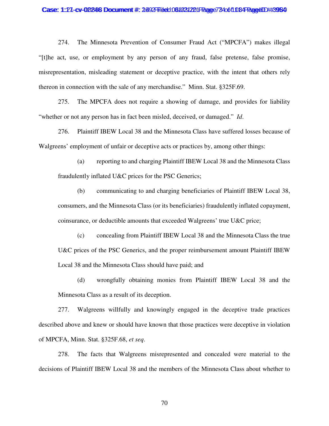#### Case: 1:27-cv-02246 Document #: 2492 Filed: 061031221 Page 734 of 1084 Page4ID #:3954

274. The Minnesota Prevention of Consumer Fraud Act ("MPCFA") makes illegal "[t]he act, use, or employment by any person of any fraud, false pretense, false promise, misrepresentation, misleading statement or deceptive practice, with the intent that others rely thereon in connection with the sale of any merchandise." Minn. Stat. §325F.69.

275. The MPCFA does not require a showing of damage, and provides for liability "whether or not any person has in fact been misled, deceived, or damaged." *Id*.

276. Plaintiff IBEW Local 38 and the Minnesota Class have suffered losses because of Walgreens' employment of unfair or deceptive acts or practices by, among other things:

(a) reporting to and charging Plaintiff IBEW Local 38 and the Minnesota Class fraudulently inflated U&C prices for the PSC Generics;

(b) communicating to and charging beneficiaries of Plaintiff IBEW Local 38, consumers, and the Minnesota Class (or its beneficiaries) fraudulently inflated copayment, coinsurance, or deductible amounts that exceeded Walgreens' true U&C price;

(c) concealing from Plaintiff IBEW Local 38 and the Minnesota Class the true U&C prices of the PSC Generics, and the proper reimbursement amount Plaintiff IBEW Local 38 and the Minnesota Class should have paid; and

(d) wrongfully obtaining monies from Plaintiff IBEW Local 38 and the Minnesota Class as a result of its deception.

277. Walgreens willfully and knowingly engaged in the deceptive trade practices described above and knew or should have known that those practices were deceptive in violation of MPCFA, Minn. Stat. §325F.68, *et seq*.

278. The facts that Walgreens misrepresented and concealed were material to the decisions of Plaintiff IBEW Local 38 and the members of the Minnesota Class about whether to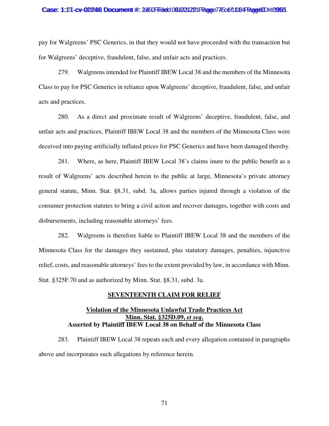#### Case: 1:27-cv-02246 Document #: 2492 Filed: 061031221 Page 745 of 1084 PageUD #:3985

pay for Walgreens' PSC Generics, in that they would not have proceeded with the transaction but for Walgreens' deceptive, fraudulent, false, and unfair acts and practices.

279. Walgreens intended for Plaintiff IBEW Local 38 and the members of the Minnesota Class to pay for PSC Generics in reliance upon Walgreens' deceptive, fraudulent, false, and unfair acts and practices.

280. As a direct and proximate result of Walgreens' deceptive, fraudulent, false, and unfair acts and practices, Plaintiff IBEW Local 38 and the members of the Minnesota Class were deceived into paying artificially inflated prices for PSC Generics and have been damaged thereby.

281. Where, as here, Plaintiff IBEW Local 38's claims inure to the public benefit as a result of Walgreens' acts described herein to the public at large, Minnesota's private attorney general statute, Minn. Stat. §8.31, subd. 3a, allows parties injured through a violation of the consumer protection statutes to bring a civil action and recover damages, together with costs and disbursements, including reasonable attorneys' fees.

282. Walgreens is therefore liable to Plaintiff IBEW Local 38 and the members of the Minnesota Class for the damages they sustained, plus statutory damages, penalties, injunctive relief, costs, and reasonable attorneys' fees to the extent provided by law, in accordance with Minn. Stat. §325F.70 and as authorized by Minn. Stat. §8.31, subd. 3a.

## **SEVENTEENTH CLAIM FOR RELIEF**

# **Violation of the Minnesota Unlawful Trade Practices Act Minn. Stat. §325D.09,** *et seq***. Asserted by Plaintiff IBEW Local 38 on Behalf of the Minnesota Class**

283. Plaintiff IBEW Local 38 repeats each and every allegation contained in paragraphs above and incorporates such allegations by reference herein.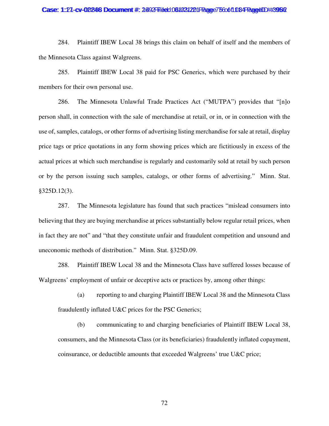#### Case: 1:27-cv-02246 Document #: 2492 Filed: 061031221 Page 75 coof 108 PageUD #:3956

284. Plaintiff IBEW Local 38 brings this claim on behalf of itself and the members of the Minnesota Class against Walgreens.

285. Plaintiff IBEW Local 38 paid for PSC Generics, which were purchased by their members for their own personal use.

286. The Minnesota Unlawful Trade Practices Act ("MUTPA") provides that "[n]o person shall, in connection with the sale of merchandise at retail, or in, or in connection with the use of, samples, catalogs, or other forms of advertising listing merchandise for sale at retail, display price tags or price quotations in any form showing prices which are fictitiously in excess of the actual prices at which such merchandise is regularly and customarily sold at retail by such person or by the person issuing such samples, catalogs, or other forms of advertising." Minn. Stat. §325D.12(3).

287. The Minnesota legislature has found that such practices "mislead consumers into believing that they are buying merchandise at prices substantially below regular retail prices, when in fact they are not" and "that they constitute unfair and fraudulent competition and unsound and uneconomic methods of distribution." Minn. Stat. §325D.09.

288. Plaintiff IBEW Local 38 and the Minnesota Class have suffered losses because of Walgreens' employment of unfair or deceptive acts or practices by, among other things:

(a) reporting to and charging Plaintiff IBEW Local 38 and the Minnesota Class fraudulently inflated U&C prices for the PSC Generics;

(b) communicating to and charging beneficiaries of Plaintiff IBEW Local 38, consumers, and the Minnesota Class (or its beneficiaries) fraudulently inflated copayment, coinsurance, or deductible amounts that exceeded Walgreens' true U&C price;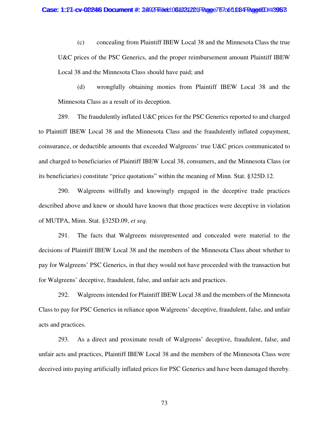(c) concealing from Plaintiff IBEW Local 38 and the Minnesota Class the true U&C prices of the PSC Generics, and the proper reimbursement amount Plaintiff IBEW Local 38 and the Minnesota Class should have paid; and

(d) wrongfully obtaining monies from Plaintiff IBEW Local 38 and the Minnesota Class as a result of its deception.

289. The fraudulently inflated U&C prices for the PSC Generics reported to and charged to Plaintiff IBEW Local 38 and the Minnesota Class and the fraudulently inflated copayment, coinsurance, or deductible amounts that exceeded Walgreens' true U&C prices communicated to and charged to beneficiaries of Plaintiff IBEW Local 38, consumers, and the Minnesota Class (or its beneficiaries) constitute "price quotations" within the meaning of Minn. Stat. §325D.12.

290. Walgreens willfully and knowingly engaged in the deceptive trade practices described above and knew or should have known that those practices were deceptive in violation of MUTPA, Minn. Stat. §325D.09, *et seq*.

291. The facts that Walgreens misrepresented and concealed were material to the decisions of Plaintiff IBEW Local 38 and the members of the Minnesota Class about whether to pay for Walgreens' PSC Generics, in that they would not have proceeded with the transaction but for Walgreens' deceptive, fraudulent, false, and unfair acts and practices.

292. Walgreens intended for Plaintiff IBEW Local 38 and the members of the Minnesota Class to pay for PSC Generics in reliance upon Walgreens' deceptive, fraudulent, false, and unfair acts and practices.

293. As a direct and proximate result of Walgreens' deceptive, fraudulent, false, and unfair acts and practices, Plaintiff IBEW Local 38 and the members of the Minnesota Class were deceived into paying artificially inflated prices for PSC Generics and have been damaged thereby.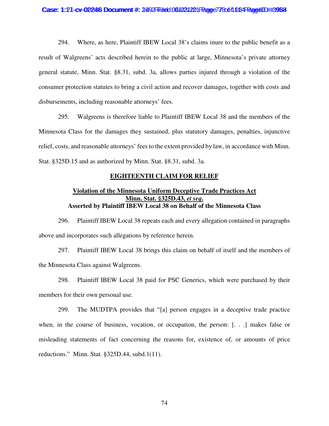294. Where, as here, Plaintiff IBEW Local 38's claims inure to the public benefit as a result of Walgreens' acts described herein to the public at large, Minnesota's private attorney general statute, Minn. Stat. §8.31, subd. 3a, allows parties injured through a violation of the consumer protection statutes to bring a civil action and recover damages, together with costs and disbursements, including reasonable attorneys' fees.

295. Walgreens is therefore liable to Plaintiff IBEW Local 38 and the members of the Minnesota Class for the damages they sustained, plus statutory damages, penalties, injunctive relief, costs, and reasonable attorneys' fees to the extent provided by law, in accordance with Minn. Stat. §325D.15 and as authorized by Minn. Stat. §8.31, subd. 3a.

### **EIGHTEENTH CLAIM FOR RELIEF**

# **Violation of the Minnesota Uniform Deceptive Trade Practices Act Minn. Stat. §325D.43,** *et seq***. Asserted by Plaintiff IBEW Local 38 on Behalf of the Minnesota Class**

296. Plaintiff IBEW Local 38 repeats each and every allegation contained in paragraphs above and incorporates such allegations by reference herein.

297. Plaintiff IBEW Local 38 brings this claim on behalf of itself and the members of the Minnesota Class against Walgreens.

298. Plaintiff IBEW Local 38 paid for PSC Generics, which were purchased by their members for their own personal use.

299. The MUDTPA provides that "[a] person engages in a deceptive trade practice when, in the course of business, vocation, or occupation, the person: [. . .] makes false or misleading statements of fact concerning the reasons for, existence of, or amounts of price reductions." Minn. Stat. §325D.44, subd.1(11).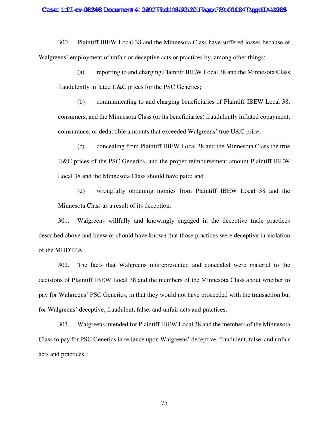300. Plaintiff IBEW Local 38 and the Minnesota Class have suffered losses because of Walgreens' employment of unfair or deceptive acts or practices by, among other things:

(a) reporting to and charging Plaintiff IBEW Local 38 and the Minnesota Class fraudulently inflated U&C prices for the PSC Generics;

(b) communicating to and charging beneficiaries of Plaintiff IBEW Local 38, consumers, and the Minnesota Class (or its beneficiaries) fraudulently inflated copayment, coinsurance, or deductible amounts that exceeded Walgreens' true U&C price;

(c) concealing from Plaintiff IBEW Local 38 and the Minnesota Class the true U&C prices of the PSC Generics, and the proper reimbursement amount Plaintiff IBEW Local 38 and the Minnesota Class should have paid; and

(d) wrongfully obtaining monies from Plaintiff IBEW Local 38 and the Minnesota Class as a result of its deception.

301. Walgreens willfully and knowingly engaged in the deceptive trade practices described above and knew or should have known that those practices were deceptive in violation of the MUDTPA.

302. The facts that Walgreens misrepresented and concealed were material to the decisions of Plaintiff IBEW Local 38 and the members of the Minnesota Class about whether to pay for Walgreens' PSC Generics, in that they would not have proceeded with the transaction but for Walgreens' deceptive, fraudulent, false, and unfair acts and practices.

303. Walgreens intended for Plaintiff IBEW Local 38 and the members of the Minnesota Class to pay for PSC Generics in reliance upon Walgreens' deceptive, fraudulent, false, and unfair acts and practices.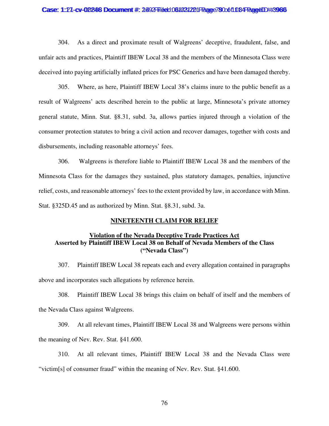#### Case: 1:27-cv-02246 Document #: 2492 Filed: 061031221 Page 78 Oot 1084 Page4ID #:3966

304. As a direct and proximate result of Walgreens' deceptive, fraudulent, false, and unfair acts and practices, Plaintiff IBEW Local 38 and the members of the Minnesota Class were deceived into paying artificially inflated prices for PSC Generics and have been damaged thereby.

305. Where, as here, Plaintiff IBEW Local 38's claims inure to the public benefit as a result of Walgreens' acts described herein to the public at large, Minnesota's private attorney general statute, Minn. Stat. §8.31, subd. 3a, allows parties injured through a violation of the consumer protection statutes to bring a civil action and recover damages, together with costs and disbursements, including reasonable attorneys' fees.

306. Walgreens is therefore liable to Plaintiff IBEW Local 38 and the members of the Minnesota Class for the damages they sustained, plus statutory damages, penalties, injunctive relief, costs, and reasonable attorneys' fees to the extent provided by law, in accordance with Minn. Stat. §325D.45 and as authorized by Minn. Stat. §8.31, subd. 3a.

## **NINETEENTH CLAIM FOR RELIEF**

# **Violation of the Nevada Deceptive Trade Practices Act Asserted by Plaintiff IBEW Local 38 on Behalf of Nevada Members of the Class ("Nevada Class")**

307. Plaintiff IBEW Local 38 repeats each and every allegation contained in paragraphs above and incorporates such allegations by reference herein.

308. Plaintiff IBEW Local 38 brings this claim on behalf of itself and the members of the Nevada Class against Walgreens.

309. At all relevant times, Plaintiff IBEW Local 38 and Walgreens were persons within the meaning of Nev. Rev. Stat. §41.600.

310. At all relevant times, Plaintiff IBEW Local 38 and the Nevada Class were "victim[s] of consumer fraud" within the meaning of Nev. Rev. Stat. §41.600.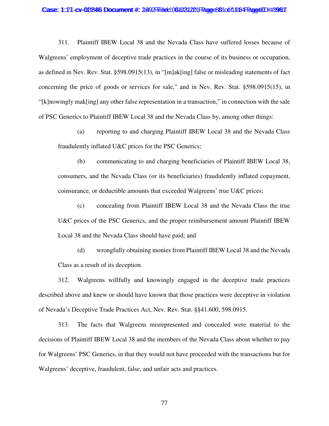#### Case: 1:27-cv-02246 Document #: 2492 Filed: 061031221 Page 801 of 1084 Page4ID #:3967

311. Plaintiff IBEW Local 38 and the Nevada Class have suffered losses because of Walgreens' employment of deceptive trade practices in the course of its business or occupation, as defined in Nev. Rev. Stat. §598.0915(13), in "[m]ak[ing] false or misleading statements of fact concerning the price of goods or services for sale," and in Nev. Rev. Stat. §598.0915(15), in "[k]nowingly mak[ing] any other false representation in a transaction," in connection with the sale of PSC Generics to Plaintiff IBEW Local 38 and the Nevada Class by, among other things:

(a) reporting to and charging Plaintiff IBEW Local 38 and the Nevada Class fraudulently inflated U&C prices for the PSC Generics;

(b) communicating to and charging beneficiaries of Plaintiff IBEW Local 38, consumers, and the Nevada Class (or its beneficiaries) fraudulently inflated copayment, coinsurance, or deductible amounts that exceeded Walgreens' true U&C prices;

(c) concealing from Plaintiff IBEW Local 38 and the Nevada Class the true U&C prices of the PSC Generics, and the proper reimbursement amount Plaintiff IBEW Local 38 and the Nevada Class should have paid; and

(d) wrongfully obtaining monies from Plaintiff IBEW Local 38 and the Nevada Class as a result of its deception.

312. Walgreens willfully and knowingly engaged in the deceptive trade practices described above and knew or should have known that those practices were deceptive in violation of Nevada's Deceptive Trade Practices Act, Nev. Rev. Stat. §§41.600, 598.0915.

313. The facts that Walgreens misrepresented and concealed were material to the decisions of Plaintiff IBEW Local 38 and the members of the Nevada Class about whether to pay for Walgreens' PSC Generics, in that they would not have proceeded with the transactions but for Walgreens' deceptive, fraudulent, false, and unfair acts and practices.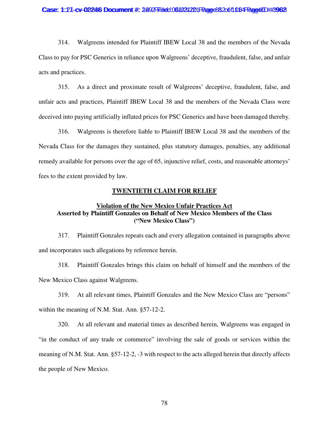#### Case: 1:27-cv-02246 Document #: 2492 Filed: 061031221 Page 832 of 1084 Page4ID #:3962

314. Walgreens intended for Plaintiff IBEW Local 38 and the members of the Nevada Class to pay for PSC Generics in reliance upon Walgreens' deceptive, fraudulent, false, and unfair acts and practices.

315. As a direct and proximate result of Walgreens' deceptive, fraudulent, false, and unfair acts and practices, Plaintiff IBEW Local 38 and the members of the Nevada Class were deceived into paying artificially inflated prices for PSC Generics and have been damaged thereby.

316. Walgreens is therefore liable to Plaintiff IBEW Local 38 and the members of the Nevada Class for the damages they sustained, plus statutory damages, penalties, any additional remedy available for persons over the age of 65, injunctive relief, costs, and reasonable attorneys' fees to the extent provided by law.

### **TWENTIETH CLAIM FOR RELIEF**

# **Violation of the New Mexico Unfair Practices Act Asserted by Plaintiff Gonzales on Behalf of New Mexico Members of the Class ("New Mexico Class")**

317. Plaintiff Gonzales repeats each and every allegation contained in paragraphs above and incorporates such allegations by reference herein.

318. Plaintiff Gonzales brings this claim on behalf of himself and the members of the New Mexico Class against Walgreens.

319. At all relevant times, Plaintiff Gonzales and the New Mexico Class are "persons" within the meaning of N.M. Stat. Ann. §57-12-2.

320. At all relevant and material times as described herein, Walgreens was engaged in "in the conduct of any trade or commerce" involving the sale of goods or services within the meaning of N.M. Stat. Ann. §57-12-2, -3 with respect to the acts alleged herein that directly affects the people of New Mexico.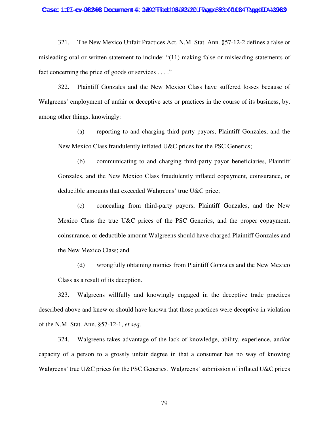#### Case: 1:27-cv-02246 Document #: 2492 Filed: 061031221 Page 823 of 1084 Page4ID #:3963

321. The New Mexico Unfair Practices Act, N.M. Stat. Ann. §57-12-2 defines a false or misleading oral or written statement to include: "(11) making false or misleading statements of fact concerning the price of goods or services . . . ."

322. Plaintiff Gonzales and the New Mexico Class have suffered losses because of Walgreens' employment of unfair or deceptive acts or practices in the course of its business, by, among other things, knowingly:

(a) reporting to and charging third-party payors, Plaintiff Gonzales, and the New Mexico Class fraudulently inflated U&C prices for the PSC Generics;

(b) communicating to and charging third-party payor beneficiaries, Plaintiff Gonzales, and the New Mexico Class fraudulently inflated copayment, coinsurance, or deductible amounts that exceeded Walgreens' true U&C price;

(c) concealing from third-party payors, Plaintiff Gonzales, and the New Mexico Class the true U&C prices of the PSC Generics, and the proper copayment, coinsurance, or deductible amount Walgreens should have charged Plaintiff Gonzales and the New Mexico Class; and

(d) wrongfully obtaining monies from Plaintiff Gonzales and the New Mexico Class as a result of its deception.

323. Walgreens willfully and knowingly engaged in the deceptive trade practices described above and knew or should have known that those practices were deceptive in violation of the N.M. Stat. Ann. §57-12-1, *et seq*.

324. Walgreens takes advantage of the lack of knowledge, ability, experience, and/or capacity of a person to a grossly unfair degree in that a consumer has no way of knowing Walgreens' true U&C prices for the PSC Generics. Walgreens' submission of inflated U&C prices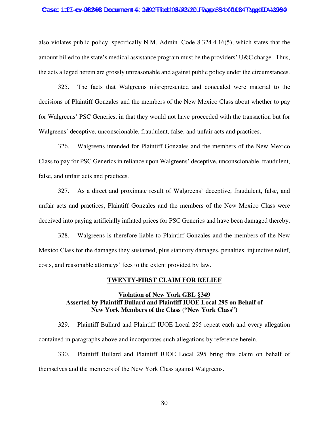#### Case: 1:27-cv-02246 Document #: 2492 Filed: 061031221 Page 834 of 1084 PageID #:3994

also violates public policy, specifically N.M. Admin. Code 8.324.4.16(5), which states that the amount billed to the state's medical assistance program must be the providers' U&C charge. Thus, the acts alleged herein are grossly unreasonable and against public policy under the circumstances.

325. The facts that Walgreens misrepresented and concealed were material to the decisions of Plaintiff Gonzales and the members of the New Mexico Class about whether to pay for Walgreens' PSC Generics, in that they would not have proceeded with the transaction but for Walgreens' deceptive, unconscionable, fraudulent, false, and unfair acts and practices.

326. Walgreens intended for Plaintiff Gonzales and the members of the New Mexico Class to pay for PSC Generics in reliance upon Walgreens' deceptive, unconscionable, fraudulent, false, and unfair acts and practices.

327. As a direct and proximate result of Walgreens' deceptive, fraudulent, false, and unfair acts and practices, Plaintiff Gonzales and the members of the New Mexico Class were deceived into paying artificially inflated prices for PSC Generics and have been damaged thereby.

328. Walgreens is therefore liable to Plaintiff Gonzales and the members of the New Mexico Class for the damages they sustained, plus statutory damages, penalties, injunctive relief, costs, and reasonable attorneys' fees to the extent provided by law.

### **TWENTY-FIRST CLAIM FOR RELIEF**

# **Violation of New York GBL §349 Asserted by Plaintiff Bullard and Plaintiff IUOE Local 295 on Behalf of New York Members of the Class ("New York Class")**

329. Plaintiff Bullard and Plaintiff IUOE Local 295 repeat each and every allegation contained in paragraphs above and incorporates such allegations by reference herein.

330. Plaintiff Bullard and Plaintiff IUOE Local 295 bring this claim on behalf of themselves and the members of the New York Class against Walgreens.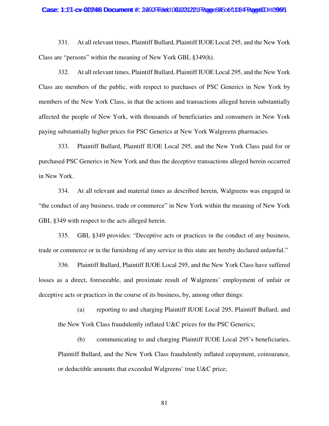#### Case: 1:27-cv-02246 Document #: 2492 Filed: 061031221 Page 845 of 1084 PageUD #:3995

331. At all relevant times, Plaintiff Bullard, Plaintiff IUOE Local 295, and the New York Class are "persons" within the meaning of New York GBL §349(h).

332. At all relevant times, Plaintiff Bullard, Plaintiff IUOE Local 295, and the New York Class are members of the public, with respect to purchases of PSC Generics in New York by members of the New York Class, in that the actions and transactions alleged herein substantially affected the people of New York, with thousands of beneficiaries and consumers in New York paying substantially higher prices for PSC Generics at New York Walgreens pharmacies.

333. Plaintiff Bullard, Plaintiff IUOE Local 295, and the New York Class paid for or purchased PSC Generics in New York and thus the deceptive transactions alleged herein occurred in New York.

334. At all relevant and material times as described herein, Walgreens was engaged in "the conduct of any business, trade or commerce" in New York within the meaning of New York GBL §349 with respect to the acts alleged herein.

335. GBL §349 provides: "Deceptive acts or practices in the conduct of any business, trade or commerce or in the furnishing of any service in this state are hereby declared unlawful."

336. Plaintiff Bullard, Plaintiff IUOE Local 295, and the New York Class have suffered losses as a direct, foreseeable, and proximate result of Walgreens' employment of unfair or deceptive acts or practices in the course of its business, by, among other things:

(a) reporting to and charging Plaintiff IUOE Local 295, Plaintiff Bullard, and the New York Class fraudulently inflated U&C prices for the PSC Generics;

(b) communicating to and charging Plaintiff IUOE Local 295's beneficiaries, Plaintiff Bullard, and the New York Class fraudulently inflated copayment, coinsurance, or deductible amounts that exceeded Walgreens' true U&C price;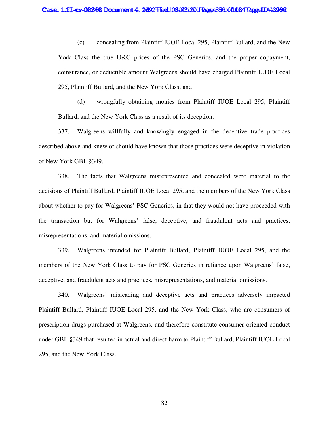(c) concealing from Plaintiff IUOE Local 295, Plaintiff Bullard, and the New York Class the true U&C prices of the PSC Generics, and the proper copayment, coinsurance, or deductible amount Walgreens should have charged Plaintiff IUOE Local 295, Plaintiff Bullard, and the New York Class; and

(d) wrongfully obtaining monies from Plaintiff IUOE Local 295, Plaintiff Bullard, and the New York Class as a result of its deception.

337. Walgreens willfully and knowingly engaged in the deceptive trade practices described above and knew or should have known that those practices were deceptive in violation of New York GBL §349.

338. The facts that Walgreens misrepresented and concealed were material to the decisions of Plaintiff Bullard, Plaintiff IUOE Local 295, and the members of the New York Class about whether to pay for Walgreens' PSC Generics, in that they would not have proceeded with the transaction but for Walgreens' false, deceptive, and fraudulent acts and practices, misrepresentations, and material omissions.

339. Walgreens intended for Plaintiff Bullard, Plaintiff IUOE Local 295, and the members of the New York Class to pay for PSC Generics in reliance upon Walgreens' false, deceptive, and fraudulent acts and practices, misrepresentations, and material omissions.

340. Walgreens' misleading and deceptive acts and practices adversely impacted Plaintiff Bullard, Plaintiff IUOE Local 295, and the New York Class, who are consumers of prescription drugs purchased at Walgreens, and therefore constitute consumer-oriented conduct under GBL §349 that resulted in actual and direct harm to Plaintiff Bullard, Plaintiff IUOE Local 295, and the New York Class.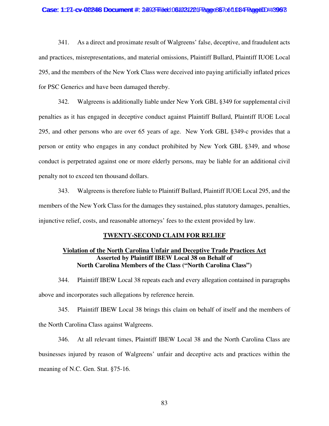#### Case: 1:27-cv-02246 Documment #: 2492 Filed: 061021221 Page 867 of 1084 Page 41D #:399 8

341. As a direct and proximate result of Walgreens' false, deceptive, and fraudulent acts and practices, misrepresentations, and material omissions, Plaintiff Bullard, Plaintiff IUOE Local 295, and the members of the New York Class were deceived into paying artificially inflated prices for PSC Generics and have been damaged thereby.

342. Walgreens is additionally liable under New York GBL §349 for supplemental civil penalties as it has engaged in deceptive conduct against Plaintiff Bullard, Plaintiff IUOE Local 295, and other persons who are over 65 years of age. New York GBL §349-c provides that a person or entity who engages in any conduct prohibited by New York GBL §349, and whose conduct is perpetrated against one or more elderly persons, may be liable for an additional civil penalty not to exceed ten thousand dollars.

343. Walgreens is therefore liable to Plaintiff Bullard, Plaintiff IUOE Local 295, and the members of the New York Class for the damages they sustained, plus statutory damages, penalties, injunctive relief, costs, and reasonable attorneys' fees to the extent provided by law.

### **TWENTY-SECOND CLAIM FOR RELIEF**

# **Violation of the North Carolina Unfair and Deceptive Trade Practices Act Asserted by Plaintiff IBEW Local 38 on Behalf of North Carolina Members of the Class ("North Carolina Class")**

344. Plaintiff IBEW Local 38 repeats each and every allegation contained in paragraphs above and incorporates such allegations by reference herein.

345. Plaintiff IBEW Local 38 brings this claim on behalf of itself and the members of the North Carolina Class against Walgreens.

346. At all relevant times, Plaintiff IBEW Local 38 and the North Carolina Class are businesses injured by reason of Walgreens' unfair and deceptive acts and practices within the meaning of N.C. Gen. Stat. §75-16.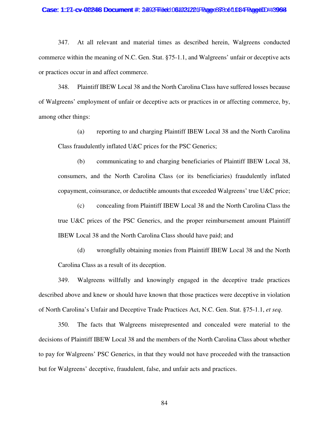#### Case: 1:27-cv-02246 Document #: 2492 Filed: 061031221 Page 88 806 108 PageUD #:3964

347. At all relevant and material times as described herein, Walgreens conducted commerce within the meaning of N.C. Gen. Stat. §75-1.1, and Walgreens' unfair or deceptive acts or practices occur in and affect commerce.

348. Plaintiff IBEW Local 38 and the North Carolina Class have suffered losses because of Walgreens' employment of unfair or deceptive acts or practices in or affecting commerce, by, among other things:

(a) reporting to and charging Plaintiff IBEW Local 38 and the North Carolina Class fraudulently inflated U&C prices for the PSC Generics;

(b) communicating to and charging beneficiaries of Plaintiff IBEW Local 38, consumers, and the North Carolina Class (or its beneficiaries) fraudulently inflated copayment, coinsurance, or deductible amounts that exceeded Walgreens' true U&C price;

(c) concealing from Plaintiff IBEW Local 38 and the North Carolina Class the true U&C prices of the PSC Generics, and the proper reimbursement amount Plaintiff IBEW Local 38 and the North Carolina Class should have paid; and

(d) wrongfully obtaining monies from Plaintiff IBEW Local 38 and the North Carolina Class as a result of its deception.

349. Walgreens willfully and knowingly engaged in the deceptive trade practices described above and knew or should have known that those practices were deceptive in violation of North Carolina's Unfair and Deceptive Trade Practices Act, N.C. Gen. Stat. §75-1.1, *et seq*.

350. The facts that Walgreens misrepresented and concealed were material to the decisions of Plaintiff IBEW Local 38 and the members of the North Carolina Class about whether to pay for Walgreens' PSC Generics, in that they would not have proceeded with the transaction but for Walgreens' deceptive, fraudulent, false, and unfair acts and practices.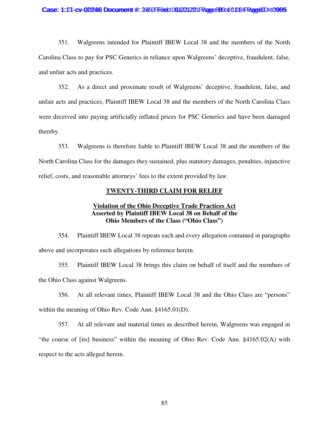#### Case: 1:27-cv-02246 Document #: 2492 Filed: 061031221 Page 88 90 ft 034 PageUD #:3995

351. Walgreens intended for Plaintiff IBEW Local 38 and the members of the North Carolina Class to pay for PSC Generics in reliance upon Walgreens' deceptive, fraudulent, false, and unfair acts and practices.

352. As a direct and proximate result of Walgreens' deceptive, fraudulent, false, and unfair acts and practices, Plaintiff IBEW Local 38 and the members of the North Carolina Class were deceived into paying artificially inflated prices for PSC Generics and have been damaged thereby.

353. Walgreens is therefore liable to Plaintiff IBEW Local 38 and the members of the North Carolina Class for the damages they sustained, plus statutory damages, penalties, injunctive relief, costs, and reasonable attorneys' fees to the extent provided by law.

### **TWENTY-THIRD CLAIM FOR RELIEF**

# **Violation of the Ohio Deceptive Trade Practices Act Asserted by Plaintiff IBEW Local 38 on Behalf of the Ohio Members of the Class ("Ohio Class")**

354. Plaintiff IBEW Local 38 repeats each and every allegation contained in paragraphs above and incorporates such allegations by reference herein.

355. Plaintiff IBEW Local 38 brings this claim on behalf of itself and the members of the Ohio Class against Walgreens.

356. At all relevant times, Plaintiff IBEW Local 38 and the Ohio Class are "persons" within the meaning of Ohio Rev. Code Ann. §4165.01(D).

357. At all relevant and material times as described herein, Walgreens was engaged in "the course of [its] business" within the meaning of Ohio Rev. Code Ann. §4165.02(A) with respect to the acts alleged herein.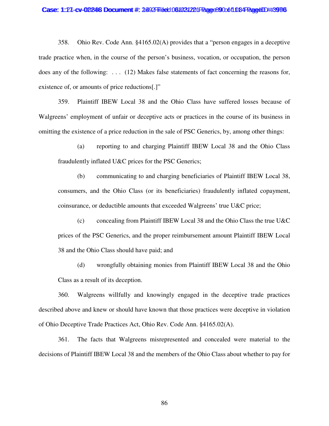#### Case: 1:27-cv-02246 Document #: 2492 Filed: 061031221 Page 89 Oot 1084 PageID #:3996

358. Ohio Rev. Code Ann. §4165.02(A) provides that a "person engages in a deceptive trade practice when, in the course of the person's business, vocation, or occupation, the person does any of the following: . . . (12) Makes false statements of fact concerning the reasons for, existence of, or amounts of price reductions[.]"

359. Plaintiff IBEW Local 38 and the Ohio Class have suffered losses because of Walgreens' employment of unfair or deceptive acts or practices in the course of its business in omitting the existence of a price reduction in the sale of PSC Generics, by, among other things:

(a) reporting to and charging Plaintiff IBEW Local 38 and the Ohio Class fraudulently inflated U&C prices for the PSC Generics;

(b) communicating to and charging beneficiaries of Plaintiff IBEW Local 38, consumers, and the Ohio Class (or its beneficiaries) fraudulently inflated copayment, coinsurance, or deductible amounts that exceeded Walgreens' true U&C price;

(c) concealing from Plaintiff IBEW Local 38 and the Ohio Class the true U&C prices of the PSC Generics, and the proper reimbursement amount Plaintiff IBEW Local 38 and the Ohio Class should have paid; and

(d) wrongfully obtaining monies from Plaintiff IBEW Local 38 and the Ohio Class as a result of its deception.

360. Walgreens willfully and knowingly engaged in the deceptive trade practices described above and knew or should have known that those practices were deceptive in violation of Ohio Deceptive Trade Practices Act, Ohio Rev. Code Ann. §4165.02(A).

361. The facts that Walgreens misrepresented and concealed were material to the decisions of Plaintiff IBEW Local 38 and the members of the Ohio Class about whether to pay for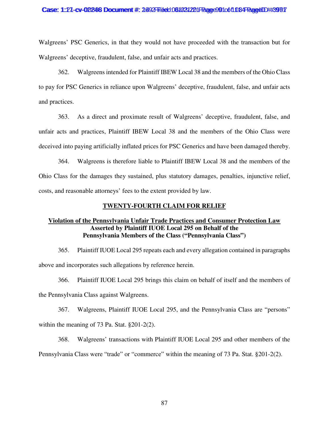#### Case: 1:27-cv-02246 Document #: 2492 Filed: 061031221 Page 901 of 1084 Page4ID #:3997

Walgreens' PSC Generics, in that they would not have proceeded with the transaction but for Walgreens' deceptive, fraudulent, false, and unfair acts and practices.

362. Walgreens intended for Plaintiff IBEW Local 38 and the members of the Ohio Class to pay for PSC Generics in reliance upon Walgreens' deceptive, fraudulent, false, and unfair acts and practices.

363. As a direct and proximate result of Walgreens' deceptive, fraudulent, false, and unfair acts and practices, Plaintiff IBEW Local 38 and the members of the Ohio Class were deceived into paying artificially inflated prices for PSC Generics and have been damaged thereby.

364. Walgreens is therefore liable to Plaintiff IBEW Local 38 and the members of the Ohio Class for the damages they sustained, plus statutory damages, penalties, injunctive relief, costs, and reasonable attorneys' fees to the extent provided by law.

### **TWENTY-FOURTH CLAIM FOR RELIEF**

# **Violation of the Pennsylvania Unfair Trade Practices and Consumer Protection Law Asserted by Plaintiff IUOE Local 295 on Behalf of the Pennsylvania Members of the Class ("Pennsylvania Class")**

365. Plaintiff IUOE Local 295 repeats each and every allegation contained in paragraphs above and incorporates such allegations by reference herein.

366. Plaintiff IUOE Local 295 brings this claim on behalf of itself and the members of the Pennsylvania Class against Walgreens.

367. Walgreens, Plaintiff IUOE Local 295, and the Pennsylvania Class are "persons" within the meaning of 73 Pa. Stat. §201-2(2).

368. Walgreens' transactions with Plaintiff IUOE Local 295 and other members of the Pennsylvania Class were "trade" or "commerce" within the meaning of 73 Pa. Stat. §201-2(2).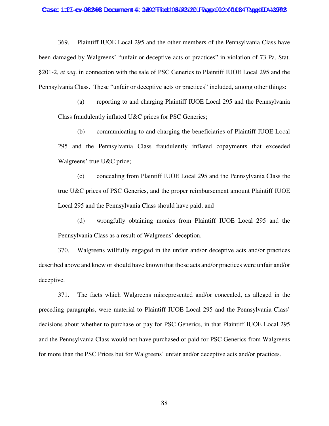369. Plaintiff IUOE Local 295 and the other members of the Pennsylvania Class have been damaged by Walgreens' "unfair or deceptive acts or practices" in violation of 73 Pa. Stat. §201-2, *et seq*. in connection with the sale of PSC Generics to Plaintiff IUOE Local 295 and the Pennsylvania Class. These "unfair or deceptive acts or practices" included, among other things:

(a) reporting to and charging Plaintiff IUOE Local 295 and the Pennsylvania Class fraudulently inflated U&C prices for PSC Generics;

(b) communicating to and charging the beneficiaries of Plaintiff IUOE Local 295 and the Pennsylvania Class fraudulently inflated copayments that exceeded Walgreens' true U&C price;

(c) concealing from Plaintiff IUOE Local 295 and the Pennsylvania Class the true U&C prices of PSC Generics, and the proper reimbursement amount Plaintiff IUOE Local 295 and the Pennsylvania Class should have paid; and

(d) wrongfully obtaining monies from Plaintiff IUOE Local 295 and the Pennsylvania Class as a result of Walgreens' deception.

370. Walgreens willfully engaged in the unfair and/or deceptive acts and/or practices described above and knew or should have known that those acts and/or practices were unfair and/or deceptive.

371. The facts which Walgreens misrepresented and/or concealed, as alleged in the preceding paragraphs, were material to Plaintiff IUOE Local 295 and the Pennsylvania Class' decisions about whether to purchase or pay for PSC Generics, in that Plaintiff IUOE Local 295 and the Pennsylvania Class would not have purchased or paid for PSC Generics from Walgreens for more than the PSC Prices but for Walgreens' unfair and/or deceptive acts and/or practices.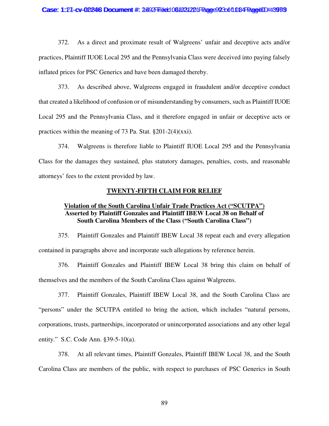#### Case: 1:27-cv-02246 Document #: 2492 Filed: 061021221 Page 923 of 1084 Page 1D #:3993

372. As a direct and proximate result of Walgreens' unfair and deceptive acts and/or practices, Plaintiff IUOE Local 295 and the Pennsylvania Class were deceived into paying falsely inflated prices for PSC Generics and have been damaged thereby.

373. As described above, Walgreens engaged in fraudulent and/or deceptive conduct that created a likelihood of confusion or of misunderstanding by consumers, such as Plaintiff IUOE Local 295 and the Pennsylvania Class, and it therefore engaged in unfair or deceptive acts or practices within the meaning of 73 Pa. Stat. §201-2(4)(xxi).

374. Walgreens is therefore liable to Plaintiff IUOE Local 295 and the Pennsylvania Class for the damages they sustained, plus statutory damages, penalties, costs, and reasonable attorneys' fees to the extent provided by law.

### **TWENTY-FIFTH CLAIM FOR RELIEF**

# **Violation of the South Carolina Unfair Trade Practices Act ("SCUTPA") Asserted by Plaintiff Gonzales and Plaintiff IBEW Local 38 on Behalf of South Carolina Members of the Class ("South Carolina Class")**

375. Plaintiff Gonzales and Plaintiff IBEW Local 38 repeat each and every allegation contained in paragraphs above and incorporate such allegations by reference herein.

376. Plaintiff Gonzales and Plaintiff IBEW Local 38 bring this claim on behalf of themselves and the members of the South Carolina Class against Walgreens.

377. Plaintiff Gonzales, Plaintiff IBEW Local 38, and the South Carolina Class are "persons" under the SCUTPA entitled to bring the action, which includes "natural persons, corporations, trusts, partnerships, incorporated or unincorporated associations and any other legal entity." S.C. Code Ann. §39-5-10(a).

378. At all relevant times, Plaintiff Gonzales, Plaintiff IBEW Local 38, and the South Carolina Class are members of the public, with respect to purchases of PSC Generics in South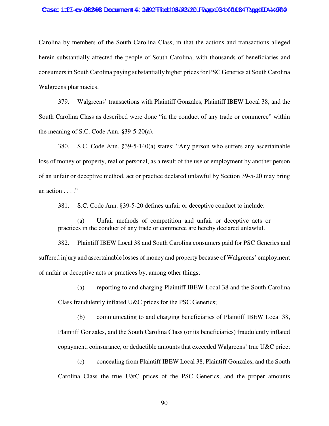#### Case: 1:27-cv-02246 Document #: 2492 Filed: 061031221 Page 934 of 1084 Page 1D #:49 04

Carolina by members of the South Carolina Class, in that the actions and transactions alleged herein substantially affected the people of South Carolina, with thousands of beneficiaries and consumers in South Carolina paying substantially higher prices for PSC Generics at South Carolina Walgreens pharmacies.

379. Walgreens' transactions with Plaintiff Gonzales, Plaintiff IBEW Local 38, and the South Carolina Class as described were done "in the conduct of any trade or commerce" within the meaning of S.C. Code Ann. §39-5-20(a).

380. S.C. Code Ann. §39-5-140(a) states: "Any person who suffers any ascertainable loss of money or property, real or personal, as a result of the use or employment by another person of an unfair or deceptive method, act or practice declared unlawful by Section 39-5-20 may bring an action . . . ."

381. S.C. Code Ann. §39-5-20 defines unfair or deceptive conduct to include:

(a) Unfair methods of competition and unfair or deceptive acts or practices in the conduct of any trade or commerce are hereby declared unlawful.

382. Plaintiff IBEW Local 38 and South Carolina consumers paid for PSC Generics and suffered injury and ascertainable losses of money and property because of Walgreens' employment of unfair or deceptive acts or practices by, among other things:

(a) reporting to and charging Plaintiff IBEW Local 38 and the South Carolina

Class fraudulently inflated U&C prices for the PSC Generics;

(b) communicating to and charging beneficiaries of Plaintiff IBEW Local 38, Plaintiff Gonzales, and the South Carolina Class (or its beneficiaries) fraudulently inflated copayment, coinsurance, or deductible amounts that exceeded Walgreens' true U&C price;

(c) concealing from Plaintiff IBEW Local 38, Plaintiff Gonzales, and the South Carolina Class the true U&C prices of the PSC Generics, and the proper amounts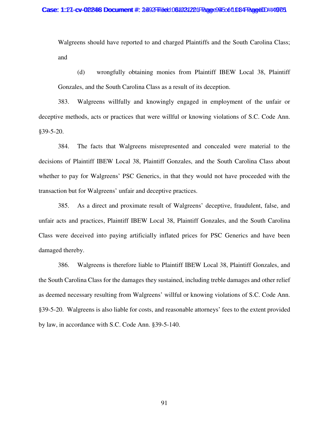Walgreens should have reported to and charged Plaintiffs and the South Carolina Class; and

(d) wrongfully obtaining monies from Plaintiff IBEW Local 38, Plaintiff Gonzales, and the South Carolina Class as a result of its deception.

383. Walgreens willfully and knowingly engaged in employment of the unfair or deceptive methods, acts or practices that were willful or knowing violations of S.C. Code Ann. §39-5-20.

384. The facts that Walgreens misrepresented and concealed were material to the decisions of Plaintiff IBEW Local 38, Plaintiff Gonzales, and the South Carolina Class about whether to pay for Walgreens' PSC Generics, in that they would not have proceeded with the transaction but for Walgreens' unfair and deceptive practices.

385. As a direct and proximate result of Walgreens' deceptive, fraudulent, false, and unfair acts and practices, Plaintiff IBEW Local 38, Plaintiff Gonzales, and the South Carolina Class were deceived into paying artificially inflated prices for PSC Generics and have been damaged thereby.

386. Walgreens is therefore liable to Plaintiff IBEW Local 38, Plaintiff Gonzales, and the South Carolina Class for the damages they sustained, including treble damages and other relief as deemed necessary resulting from Walgreens' willful or knowing violations of S.C. Code Ann. §39-5-20. Walgreens is also liable for costs, and reasonable attorneys' fees to the extent provided by law, in accordance with S.C. Code Ann. §39-5-140.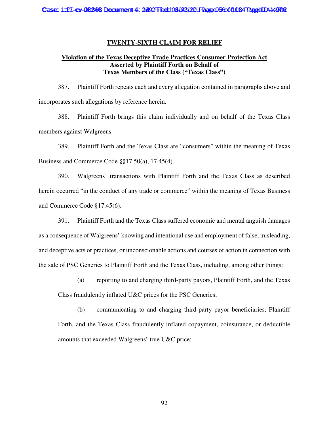### **TWENTY-SIXTH CLAIM FOR RELIEF**

# **Violation of the Texas Deceptive Trade Practices Consumer Protection Act Asserted by Plaintiff Forth on Behalf of Texas Members of the Class ("Texas Class")**

387. Plaintiff Forth repeats each and every allegation contained in paragraphs above and incorporates such allegations by reference herein.

388. Plaintiff Forth brings this claim individually and on behalf of the Texas Class members against Walgreens.

389. Plaintiff Forth and the Texas Class are "consumers" within the meaning of Texas Business and Commerce Code §§17.50(a), 17.45(4).

390. Walgreens' transactions with Plaintiff Forth and the Texas Class as described herein occurred "in the conduct of any trade or commerce" within the meaning of Texas Business and Commerce Code §17.45(6).

391. Plaintiff Forth and the Texas Class suffered economic and mental anguish damages as a consequence of Walgreens' knowing and intentional use and employment of false, misleading, and deceptive acts or practices, or unconscionable actions and courses of action in connection with the sale of PSC Generics to Plaintiff Forth and the Texas Class, including, among other things:

(a) reporting to and charging third-party payors, Plaintiff Forth, and the Texas Class fraudulently inflated U&C prices for the PSC Generics;

(b) communicating to and charging third-party payor beneficiaries, Plaintiff Forth, and the Texas Class fraudulently inflated copayment, coinsurance, or deductible amounts that exceeded Walgreens' true U&C price;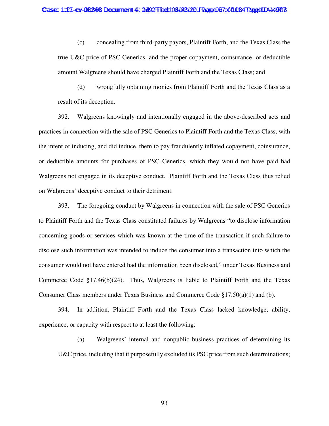(c) concealing from third-party payors, Plaintiff Forth, and the Texas Class the true U&C price of PSC Generics, and the proper copayment, coinsurance, or deductible amount Walgreens should have charged Plaintiff Forth and the Texas Class; and

(d) wrongfully obtaining monies from Plaintiff Forth and the Texas Class as a result of its deception.

392. Walgreens knowingly and intentionally engaged in the above-described acts and practices in connection with the sale of PSC Generics to Plaintiff Forth and the Texas Class, with the intent of inducing, and did induce, them to pay fraudulently inflated copayment, coinsurance, or deductible amounts for purchases of PSC Generics, which they would not have paid had Walgreens not engaged in its deceptive conduct. Plaintiff Forth and the Texas Class thus relied on Walgreens' deceptive conduct to their detriment.

393. The foregoing conduct by Walgreens in connection with the sale of PSC Generics to Plaintiff Forth and the Texas Class constituted failures by Walgreens "to disclose information concerning goods or services which was known at the time of the transaction if such failure to disclose such information was intended to induce the consumer into a transaction into which the consumer would not have entered had the information been disclosed," under Texas Business and Commerce Code  $\S17.46(b)(24)$ . Thus, Walgreens is liable to Plaintiff Forth and the Texas Consumer Class members under Texas Business and Commerce Code §17.50(a)(1) and (b).

394. In addition, Plaintiff Forth and the Texas Class lacked knowledge, ability, experience, or capacity with respect to at least the following:

(a) Walgreens' internal and nonpublic business practices of determining its U&C price, including that it purposefully excluded its PSC price from such determinations;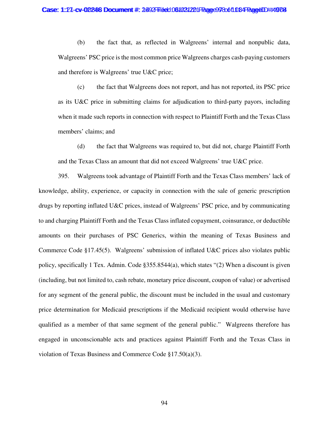(b) the fact that, as reflected in Walgreens' internal and nonpublic data, Walgreens' PSC price is the most common price Walgreens charges cash-paying customers and therefore is Walgreens' true U&C price;

(c) the fact that Walgreens does not report, and has not reported, its PSC price as its U&C price in submitting claims for adjudication to third-party payors, including when it made such reports in connection with respect to Plaintiff Forth and the Texas Class members' claims; and

(d) the fact that Walgreens was required to, but did not, charge Plaintiff Forth and the Texas Class an amount that did not exceed Walgreens' true U&C price.

395. Walgreens took advantage of Plaintiff Forth and the Texas Class members' lack of knowledge, ability, experience, or capacity in connection with the sale of generic prescription drugs by reporting inflated U&C prices, instead of Walgreens' PSC price, and by communicating to and charging Plaintiff Forth and the Texas Class inflated copayment, coinsurance, or deductible amounts on their purchases of PSC Generics, within the meaning of Texas Business and Commerce Code §17.45(5). Walgreens' submission of inflated U&C prices also violates public policy, specifically 1 Tex. Admin. Code §355.8544(a), which states "(2) When a discount is given (including, but not limited to, cash rebate, monetary price discount, coupon of value) or advertised for any segment of the general public, the discount must be included in the usual and customary price determination for Medicaid prescriptions if the Medicaid recipient would otherwise have qualified as a member of that same segment of the general public." Walgreens therefore has engaged in unconscionable acts and practices against Plaintiff Forth and the Texas Class in violation of Texas Business and Commerce Code §17.50(a)(3).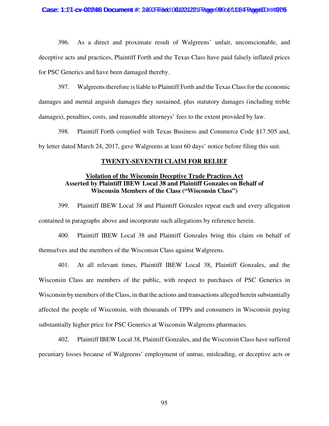#### Case: 1:27-cv-02246 Document #: 2492 Filed: 061021221 Page 99 90 610 B4 Page 10 H4 979

396. As a direct and proximate result of Walgreens' unfair, unconscionable, and deceptive acts and practices, Plaintiff Forth and the Texas Class have paid falsely inflated prices for PSC Generics and have been damaged thereby.

397. Walgreens therefore is liable to Plaintiff Forth and the Texas Class for the economic damages and mental anguish damages they sustained, plus statutory damages (including treble damages), penalties, costs, and reasonable attorneys' fees to the extent provided by law.

398. Plaintiff Forth complied with Texas Business and Commerce Code §17.505 and, by letter dated March 24, 2017, gave Walgreens at least 60 days' notice before filing this suit.

### **TWENTY-SEVENTH CLAIM FOR RELIEF**

# **Violation of the Wisconsin Deceptive Trade Practices Act Asserted by Plaintiff IBEW Local 38 and Plaintiff Gonzales on Behalf of Wisconsin Members of the Class ("Wisconsin Class")**

399. Plaintiff IBEW Local 38 and Plaintiff Gonzales repeat each and every allegation contained in paragraphs above and incorporate such allegations by reference herein.

400. Plaintiff IBEW Local 38 and Plaintiff Gonzales bring this claim on behalf of themselves and the members of the Wisconsin Class against Walgreens.

401. At all relevant times, Plaintiff IBEW Local 38, Plaintiff Gonzales, and the Wisconsin Class are members of the public, with respect to purchases of PSC Generics in Wisconsin by members of the Class, in that the actions and transactions alleged herein substantially affected the people of Wisconsin, with thousands of TPPs and consumers in Wisconsin paying substantially higher price for PSC Generics at Wisconsin Walgreens pharmacies.

402. Plaintiff IBEW Local 38, Plaintiff Gonzales, and the Wisconsin Class have suffered pecuniary losses because of Walgreens' employment of untrue, misleading, or deceptive acts or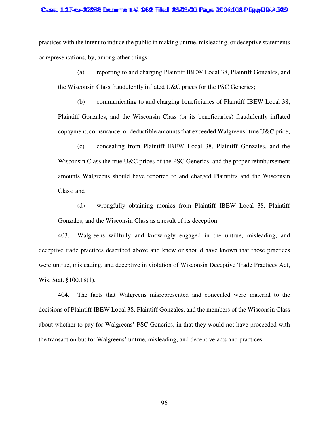#### Case: 1:217-cv-0022246 Document #: 24-2 Filed: 03/03/21 Page 990 tot 08 PageID #:4986

practices with the intent to induce the public in making untrue, misleading, or deceptive statements or representations, by, among other things:

(a) reporting to and charging Plaintiff IBEW Local 38, Plaintiff Gonzales, and the Wisconsin Class fraudulently inflated U&C prices for the PSC Generics;

(b) communicating to and charging beneficiaries of Plaintiff IBEW Local 38, Plaintiff Gonzales, and the Wisconsin Class (or its beneficiaries) fraudulently inflated copayment, coinsurance, or deductible amounts that exceeded Walgreens' true U&C price;

(c) concealing from Plaintiff IBEW Local 38, Plaintiff Gonzales, and the Wisconsin Class the true U&C prices of the PSC Generics, and the proper reimbursement amounts Walgreens should have reported to and charged Plaintiffs and the Wisconsin Class; and

(d) wrongfully obtaining monies from Plaintiff IBEW Local 38, Plaintiff Gonzales, and the Wisconsin Class as a result of its deception.

403. Walgreens willfully and knowingly engaged in the untrue, misleading, and deceptive trade practices described above and knew or should have known that those practices were untrue, misleading, and deceptive in violation of Wisconsin Deceptive Trade Practices Act, Wis. Stat. §100.18(1).

404. The facts that Walgreens misrepresented and concealed were material to the decisions of Plaintiff IBEW Local 38, Plaintiff Gonzales, and the members of the Wisconsin Class about whether to pay for Walgreens' PSC Generics, in that they would not have proceeded with the transaction but for Walgreens' untrue, misleading, and deceptive acts and practices.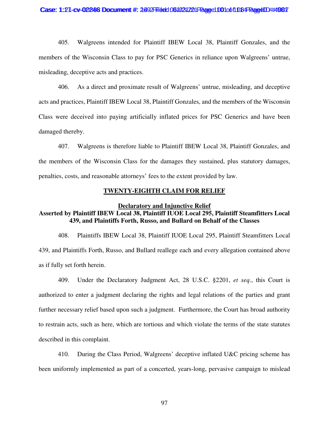#### Case: 1:27-cv-02246 Document #: 2492 Filed: 061031221 Page 1001 of 1084 Fage 101/21

405. Walgreens intended for Plaintiff IBEW Local 38, Plaintiff Gonzales, and the members of the Wisconsin Class to pay for PSC Generics in reliance upon Walgreens' untrue, misleading, deceptive acts and practices.

406. As a direct and proximate result of Walgreens' untrue, misleading, and deceptive acts and practices, Plaintiff IBEW Local 38, Plaintiff Gonzales, and the members of the Wisconsin Class were deceived into paying artificially inflated prices for PSC Generics and have been damaged thereby.

407. Walgreens is therefore liable to Plaintiff IBEW Local 38, Plaintiff Gonzales, and the members of the Wisconsin Class for the damages they sustained, plus statutory damages, penalties, costs, and reasonable attorneys' fees to the extent provided by law.

# **TWENTY-EIGHTH CLAIM FOR RELIEF**

#### **Declaratory and Injunctive Relief**

# **Asserted by Plaintiff IBEW Local 38, Plaintiff IUOE Local 295, Plaintiff Steamfitters Local 439, and Plaintiffs Forth, Russo, and Bullard on Behalf of the Classes**

408. Plaintiffs IBEW Local 38, Plaintiff IUOE Local 295, Plaintiff Steamfitters Local 439, and Plaintiffs Forth, Russo, and Bullard reallege each and every allegation contained above as if fully set forth herein.

409. Under the Declaratory Judgment Act, 28 U.S.C. §2201, *et seq*., this Court is authorized to enter a judgment declaring the rights and legal relations of the parties and grant further necessary relief based upon such a judgment. Furthermore, the Court has broad authority to restrain acts, such as here, which are tortious and which violate the terms of the state statutes described in this complaint.

410. During the Class Period, Walgreens' deceptive inflated U&C pricing scheme has been uniformly implemented as part of a concerted, years-long, pervasive campaign to mislead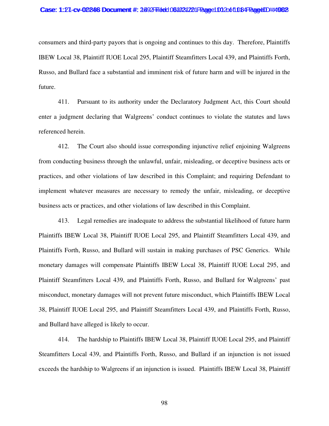#### Case: 1:27-cv-00246 Document #: 2692 Filed: 061021201 Page 1012 of 1084 Page 101 #:4982

consumers and third-party payors that is ongoing and continues to this day. Therefore, Plaintiffs IBEW Local 38, Plaintiff IUOE Local 295, Plaintiff Steamfitters Local 439, and Plaintiffs Forth, Russo, and Bullard face a substantial and imminent risk of future harm and will be injured in the future.

411. Pursuant to its authority under the Declaratory Judgment Act, this Court should enter a judgment declaring that Walgreens' conduct continues to violate the statutes and laws referenced herein.

412. The Court also should issue corresponding injunctive relief enjoining Walgreens from conducting business through the unlawful, unfair, misleading, or deceptive business acts or practices, and other violations of law described in this Complaint; and requiring Defendant to implement whatever measures are necessary to remedy the unfair, misleading, or deceptive business acts or practices, and other violations of law described in this Complaint.

413. Legal remedies are inadequate to address the substantial likelihood of future harm Plaintiffs IBEW Local 38, Plaintiff IUOE Local 295, and Plaintiff Steamfitters Local 439, and Plaintiffs Forth, Russo, and Bullard will sustain in making purchases of PSC Generics. While monetary damages will compensate Plaintiffs IBEW Local 38, Plaintiff IUOE Local 295, and Plaintiff Steamfitters Local 439, and Plaintiffs Forth, Russo, and Bullard for Walgreens' past misconduct, monetary damages will not prevent future misconduct, which Plaintiffs IBEW Local 38, Plaintiff IUOE Local 295, and Plaintiff Steamfitters Local 439, and Plaintiffs Forth, Russo, and Bullard have alleged is likely to occur.

414. The hardship to Plaintiffs IBEW Local 38, Plaintiff IUOE Local 295, and Plaintiff Steamfitters Local 439, and Plaintiffs Forth, Russo, and Bullard if an injunction is not issued exceeds the hardship to Walgreens if an injunction is issued. Plaintiffs IBEW Local 38, Plaintiff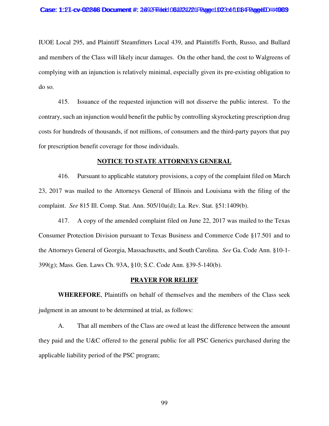IUOE Local 295, and Plaintiff Steamfitters Local 439, and Plaintiffs Forth, Russo, and Bullard and members of the Class will likely incur damages. On the other hand, the cost to Walgreens of complying with an injunction is relatively minimal, especially given its pre-existing obligation to do so.

415. Issuance of the requested injunction will not disserve the public interest. To the contrary, such an injunction would benefit the public by controlling skyrocketing prescription drug costs for hundreds of thousands, if not millions, of consumers and the third-party payors that pay for prescription benefit coverage for those individuals.

#### **NOTICE TO STATE ATTORNEYS GENERAL**

416. Pursuant to applicable statutory provisions, a copy of the complaint filed on March 23, 2017 was mailed to the Attorneys General of Illinois and Louisiana with the filing of the complaint. *See* 815 Ill. Comp. Stat. Ann. 505/10a(d); La. Rev. Stat. §51:1409(b).

417. A copy of the amended complaint filed on June 22, 2017 was mailed to the Texas Consumer Protection Division pursuant to Texas Business and Commerce Code §17.501 and to the Attorneys General of Georgia, Massachusetts, and South Carolina. *See* Ga. Code Ann. §10-1- 399(g); Mass. Gen. Laws Ch. 93A, §10; S.C. Code Ann. §39-5-140(b).

### **PRAYER FOR RELIEF**

**WHEREFORE**, Plaintiffs on behalf of themselves and the members of the Class seek judgment in an amount to be determined at trial, as follows:

A. That all members of the Class are owed at least the difference between the amount they paid and the U&C offered to the general public for all PSC Generics purchased during the applicable liability period of the PSC program;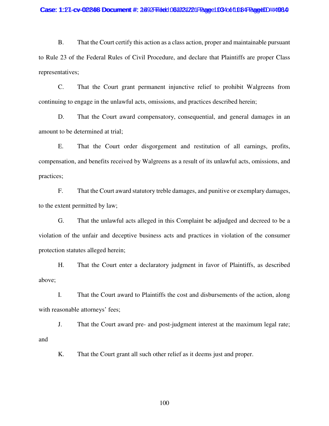#### Case: 1:27-cv-02248 Document #: 2492 Filed: 061021221 Page 1034 of 1084 Page 101 #:4984

B. That the Court certify this action as a class action, proper and maintainable pursuant to Rule 23 of the Federal Rules of Civil Procedure, and declare that Plaintiffs are proper Class representatives;

C. That the Court grant permanent injunctive relief to prohibit Walgreens from continuing to engage in the unlawful acts, omissions, and practices described herein;

D. That the Court award compensatory, consequential, and general damages in an amount to be determined at trial;

E. That the Court order disgorgement and restitution of all earnings, profits, compensation, and benefits received by Walgreens as a result of its unlawful acts, omissions, and practices;

F. That the Court award statutory treble damages, and punitive or exemplary damages, to the extent permitted by law;

G. That the unlawful acts alleged in this Complaint be adjudged and decreed to be a violation of the unfair and deceptive business acts and practices in violation of the consumer protection statutes alleged herein;

H. That the Court enter a declaratory judgment in favor of Plaintiffs, as described above;

I. That the Court award to Plaintiffs the cost and disbursements of the action, along with reasonable attorneys' fees;

J. That the Court award pre- and post-judgment interest at the maximum legal rate; and

K. That the Court grant all such other relief as it deems just and proper.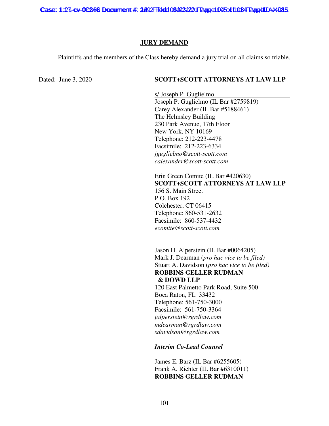Case: 1:27-cv-02246 Document #: 2492 Filed: 061021221 Page 1045 of 1084 Page 101 #:4985

### **JURY DEMAND**

Plaintiffs and the members of the Class hereby demand a jury trial on all claims so triable.

# Dated: June 3, 2020 **SCOTT+SCOTT ATTORNEYS AT LAW LLP**

s/ Joseph P. Guglielmo Joseph P. Guglielmo (IL Bar #2759819) Carey Alexander (IL Bar #5188461) The Helmsley Building 230 Park Avenue, 17th Floor New York, NY 10169 Telephone: 212-223-4478 Facsimile: 212-223-6334 *jguglielmo@scott-scott.com calexander@scott-scott.com* 

Erin Green Comite (IL Bar #420630) **SCOTT+SCOTT ATTORNEYS AT LAW LLP**  156 S. Main Street P.O. Box 192 Colchester, CT 06415 Telephone: 860-531-2632 Facsimile: 860-537-4432 *ecomite@scott-scott.com* 

Jason H. Alperstein (IL Bar #0064205) Mark J. Dearman (*pro hac vice to be filed)*  Stuart A. Davidson (*pro hac vice to be filed)* **ROBBINS GELLER RUDMAN & DOWD LLP** 

120 East Palmetto Park Road, Suite 500 Boca Raton, FL 33432 Telephone: 561-750-3000 Facsimile: 561-750-3364 *jalperstein@rgrdlaw.com mdearman@rgrdlaw.com sdavidson@rgrdlaw.com* 

*Interim Co-Lead Counsel* 

James E. Barz (IL Bar #6255605) Frank A. Richter (IL Bar #6310011) **ROBBINS GELLER RUDMAN**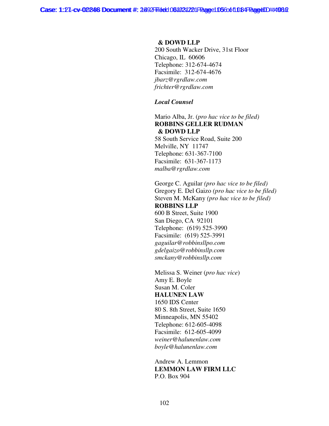Case: 1:27-cv-02246 Document #: 2492 Filed: 061021221 Page 1096 of 1084 Page 101/21 #4988

### **& DOWD LLP**

200 South Wacker Drive, 31st Floor Chicago, IL 60606 Telephone: 312-674-4674 Facsimile: 312-674-4676 *jbarz@rgrdlaw.com frichter@rgrdlaw.com* 

*Local Counsel* 

Mario Alba, Jr. (*pro hac vice to be filed)* **ROBBINS GELLER RUDMAN & DOWD LLP**

58 South Service Road, Suite 200 Melville, NY 11747 Telephone: 631-367-7100 Facsimile: 631-367-1173 *malba@rgrdlaw.com* 

George C. Aguilar *(pro hac vice to be filed)*  Gregory E. Del Gaizo *(pro hac vice to be filed)*  Steven M. McKany *(pro hac vice to be filed)*  **ROBBINS LLP**  600 B Street, Suite 1900 San Diego, CA 92101 Telephone: (619) 525-3990 Facsimile: (619) 525-3991 *gaguilar@robbinsllpo.com gdelgaizo@robbinsllp.com smckany@robbinsllp.com* 

Melissa S. Weiner (*pro hac vice*) Amy E. Boyle Susan M. Coler **HALUNEN LAW**  1650 IDS Center 80 S. 8th Street, Suite 1650 Minneapolis, MN 55402 Telephone: 612-605-4098 Facsimile: 612-605-4099 *weiner@halunenlaw.com boyle@halunenlaw.com* 

Andrew A. Lemmon **LEMMON LAW FIRM LLC**  P.O. Box 904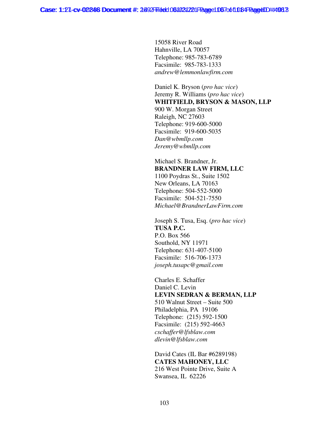15058 River Road Hahnville, LA 70057 Telephone: 985-783-6789 Facsimile: 985-783-1333 *andrew@lemmonlawfirm.com* 

Daniel K. Bryson (*pro hac vice*) Jeremy R. Williams (*pro hac vice*) **WHITFIELD, BRYSON & MASON, LLP**  900 W. Morgan Street Raleigh, NC 27603 Telephone: 919-600-5000 Facsimile: 919-600-5035 *Dan@wbmllp.com Jeremy@wbmllp.com* 

Michael S. Brandner, Jr. **BRANDNER LAW FIRM, LLC**  1100 Poydras St., Suite 1502 New Orleans, LA 70163 Telephone: 504-552-5000 Facsimile: 504-521-7550 *Michael@BrandnerLawFirm.com* 

Joseph S. Tusa, Esq. (*pro hac vice*) **TUSA P.C.**  P.O. Box 566 Southold, NY 11971 Telephone: 631-407-5100 Facsimile: 516-706-1373 *joseph.tusapc@gmail.com* 

Charles E. Schaffer Daniel C. Levin **LEVIN SEDRAN & BERMAN, LLP**  510 Walnut Street – Suite 500 Philadelphia, PA 19106 Telephone: (215) 592-1500 Facsimile: (215) 592-4663 *cschaffer@lfsblaw.com dlevin@lfsblaw.com* 

David Cates (IL Bar #6289198) **CATES MAHONEY, LLC**  216 West Pointe Drive, Suite A Swansea, IL 62226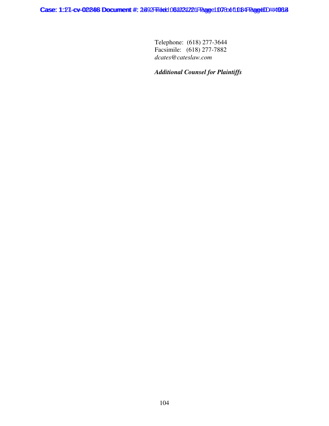Telephone: (618) 277-3644 Facsimile: (618) 277-7882 *dcates@cateslaw.com* 

# *Additional Counsel for Plaintiffs*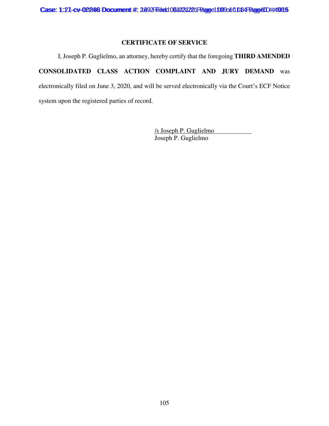# **CERTIFICATE OF SERVICE**

I, Joseph P. Guglielmo, an attorney, hereby certify that the foregoing **THIRD AMENDED CONSOLIDATED CLASS ACTION COMPLAINT AND JURY DEMAND** was electronically filed on June 3, 2020, and will be served electronically via the Court's ECF Notice system upon the registered parties of record.

> /s Joseph P. Guglielmo Joseph P. Guglielmo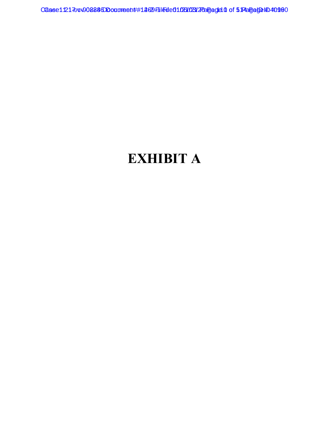# **EXHIBIT A**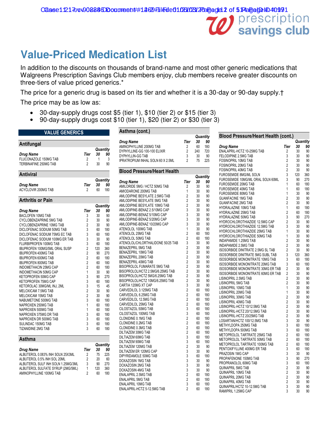# **Value-Priced Medication List**

In addition to the discounts on thousands of brand-name and most other generic medications that Walgreens Prescription Savings Club members enjoy, club members receive greater discounts on three-tiers of value priced generics.\*

The price for a generic drug is based on its tier and whether it is a 30-day or 90-day supply.† The price may be as low as:

- 30-day-supply drugs cost \$5 (tier 1), \$10 (tier 2) or \$15 (tier 3)
- 90-day-supply drugs cost \$10 (tier 1), \$20 (tier 2) or \$30 (tier 3)

| <b>VALUE GENERICS</b>                                                                                                                                                                                                                                                                                                                                                                                                                                                                                                                                                                                                                                                                                                              |                                                                                                                                                                                                                                                        |                                                                                                                                                           |                                                                                                                                                                           |
|------------------------------------------------------------------------------------------------------------------------------------------------------------------------------------------------------------------------------------------------------------------------------------------------------------------------------------------------------------------------------------------------------------------------------------------------------------------------------------------------------------------------------------------------------------------------------------------------------------------------------------------------------------------------------------------------------------------------------------|--------------------------------------------------------------------------------------------------------------------------------------------------------------------------------------------------------------------------------------------------------|-----------------------------------------------------------------------------------------------------------------------------------------------------------|---------------------------------------------------------------------------------------------------------------------------------------------------------------------------|
| Antifungal                                                                                                                                                                                                                                                                                                                                                                                                                                                                                                                                                                                                                                                                                                                         |                                                                                                                                                                                                                                                        |                                                                                                                                                           |                                                                                                                                                                           |
| Drug Name<br>FLUCONAZOLE 150MG TAB<br>TERBINAFINE 250MG TAB                                                                                                                                                                                                                                                                                                                                                                                                                                                                                                                                                                                                                                                                        | Tier<br>2<br>$\overline{2}$                                                                                                                                                                                                                            | 30<br>1<br>30                                                                                                                                             | Quantity<br>90<br>3<br>90                                                                                                                                                 |
| <b>Antiviral</b>                                                                                                                                                                                                                                                                                                                                                                                                                                                                                                                                                                                                                                                                                                                   |                                                                                                                                                                                                                                                        |                                                                                                                                                           |                                                                                                                                                                           |
| <b>Drug Name</b><br><b>ACYCLOVIR 200MG TAB</b>                                                                                                                                                                                                                                                                                                                                                                                                                                                                                                                                                                                                                                                                                     | Tier<br>2                                                                                                                                                                                                                                              | 30<br>60                                                                                                                                                  | Quantity<br>90<br>180                                                                                                                                                     |
| Arthritis or Pain                                                                                                                                                                                                                                                                                                                                                                                                                                                                                                                                                                                                                                                                                                                  |                                                                                                                                                                                                                                                        |                                                                                                                                                           | Quantity                                                                                                                                                                  |
| Drug Name<br><b>BACLOFEN 10MG TAB</b><br><b>CYCLOBENZAPRINE 5MG TAB</b><br>CYCLOBENZAPRINE 10MG TAB<br>DICLOFENAC SODIUM 50MG TAB<br>DICLOFENAC SODIUM 75MG EC TAB<br>DICLOFENAC SODIUM 100MG ER TAB<br>FLURBIPROFEN 100MG TAB<br><b>IBUPROFEN 100MG/5ML ORAL SUSP</b><br><b>IBUPROFEN 400MG TAB</b><br><b>IBUPROFEN 600MG TAB</b><br><b>IBUPROFEN 800MG TAB</b><br>INDOMETHACIN 25MG CAP<br>INDOMETHACIN 50MG CAP<br>KETOPROFEN 50MG CAP<br>KETOPROFEN 75MG CAP<br>KETOROLAC 30MG/ML INJ, 2ML<br><b>MELOXICAM 7.5MG TAB</b><br><b>MELOXICAM 15MG TAB</b><br>NABUMETONE 500MG TAB<br>NAPROXEN 250MG TAB<br>NAPROXEN 500MG TAB<br>NAPROXEN 375MG DR TAB<br>NAPROXEN DR 500MG TAB<br>SULINDAC 150MG TAB<br><b>TIZANIDINE 2MG TAB</b> | Tier<br>3<br>$\overline{2}$<br>$\overline{2}$<br>3<br>3<br>3<br>3<br>$\overline{2}$<br>$\overline{c}$<br>$\overline{2}$<br>$\overline{2}$<br>$\overline{c}$<br>1<br>3<br>3<br>3<br>$\overline{c}$<br>$\overline{2}$<br>3<br>1<br>1<br>3<br>3<br>3<br>3 | 30<br>30<br>30<br>30<br>60<br>60<br>30<br>60<br>120<br>90<br>60<br>60<br>60<br>30<br>90<br>60<br>15<br>30<br>30<br>60<br>60<br>60<br>60<br>60<br>60<br>60 | 90<br>90<br>90<br>90<br>180<br>180<br>90<br>180<br>360<br>270<br>180<br>180<br>180<br>90<br>270<br>180<br>45<br>90<br>90<br>180<br>180<br>180<br>180<br>180<br>180<br>180 |
| <b>Asthma</b>                                                                                                                                                                                                                                                                                                                                                                                                                                                                                                                                                                                                                                                                                                                      |                                                                                                                                                                                                                                                        |                                                                                                                                                           |                                                                                                                                                                           |
| <b>Drug Name</b><br>ALBUTEROL 0.083% INH SOLN 25X3ML<br>ALBUTEROL 0.5% INH SOL 20ML<br>ALBUTEROL SULF INH SOLN 1.25MG/3ML<br>ALBUTEROL SULFATE SYRUP (2MG/5ML)<br>AMINOPHYLLINE 100MG TAB                                                                                                                                                                                                                                                                                                                                                                                                                                                                                                                                          | Tier<br>2<br>$\overline{2}$<br>3<br>1<br>$\overline{2}$                                                                                                                                                                                                | 30<br>75<br>20<br>90<br>120<br>60                                                                                                                         | Quantity<br>90<br>225<br>60<br>270<br>360<br>180                                                                                                                          |

| Quantity<br>Tier<br>Drug Name<br>30<br>90<br>AMINOPHYLLINE 200MG TAB<br>2<br>60<br>180<br>$\overline{2}$<br>DYPHYLLINE-GG 100-100 ELIXIR<br>240<br>720<br>3<br>DYPHYLLIN-GG TAB<br>90<br>30<br>IPRATROPIUM INHAL SOLN 60 X 2.5ML<br>$\overline{2}$<br>75<br>225<br><b>Blood Pressure/Heart Health</b><br>Quantity<br>Drug Name<br>Tier<br>30<br>90<br>AMILORIDE 5MG / HCTZ 50MG TAB<br>$\overline{2}$<br>30<br>90<br>1<br>AMIODARONE 200MG TAB<br>30<br>90<br>$\overline{2}$<br>AMLODIPINE BESYLATE 2.5MG TAB<br>30<br>90<br>$\overline{2}$<br>AMLODIPINE BESYLATE 5MG TAB<br>30<br>90<br>$\overline{c}$<br>AMLODIPINE BESYLATE 10MG TAB<br>30<br>90<br>3<br>AMLODIPINE-BENAZ 2.5/10MG CAP<br>30<br>90<br>3<br>AMLODIPINE-BENAZ 5/10MG CAP<br>30<br>90<br>3<br>AMLODIPINE-BENAZ 5/20MG CAP<br>90<br>30<br>3<br>AMLODIPINE-BENAZ 10/20MG CAP<br>30<br>90<br>1<br>ATENOLOL 100MG TAB<br>30<br>90<br>$\overline{2}$<br>ATENOLOL 25MG TAB<br>60<br>180<br>$\overline{2}$<br>ATENOLOL 50MG TAB<br>180<br>60<br>3<br>ATENOLOL/CHLORTHALIDONE 50/25 TAB<br>30<br>90<br>2<br><b>BENAZEPRIL 5MG TAB</b><br>30<br>90<br>$\overline{2}$<br>BENAZEPRIL 10MG TAB<br>30<br>90<br>$\overline{2}$<br>BENAZEPRIL 20MG TAB<br>90<br>30<br>$\overline{2}$<br>BENAZEPRIL 40MG TAB<br>30<br>90<br>BISOPROLOL FUMARATE 5MG TAB<br>$\overline{2}$<br>30<br>90<br>$\overline{2}$<br>BISOPROLOL/HCTZ 2.5MG/6.25MG TAB<br>30<br>90<br>$\overline{2}$<br>BISOPROLOL/HCTZ 5MG/6.25MG TAB<br>90<br>30<br>BISOPROLOL/HCTZ 10MG/6.25MG TAB<br>$\overline{2}$<br>30<br>90<br>3<br>CARTIA 120MG XT CAP<br>30<br>90<br>$\overline{2}$<br>CARVEDILOL 3.125MG TAB<br>180<br>60<br>$\overline{2}$<br>CARVEDILOL 6.25MG TAB<br>180<br>60<br>$\overline{2}$<br>CARVEDILOL 12.5MG TAB<br>180<br>60<br>$\overline{2}$<br>CARVEDILOL 25MG TAB<br>60<br>180<br>3<br>CILOSTAZOL 50MG TAB<br>180<br>60<br>3<br>CILOSTAZOL 100MG TAB<br>180<br>60<br>$\overline{2}$<br>CLONIDINE 0.1MG TAB<br>60<br>180<br>$\overline{2}$<br><b>CLONIDINE 0.2MG TAB</b><br>60<br>180<br>$\overline{2}$<br><b>CLONIDINE 0.3MG TAB</b><br>60<br>180<br>$\overline{2}$<br>DILTIAZEM 30MG TAB<br>60<br>180<br>3<br>DILTIAZEM 60MG TAB<br>180<br>60<br>3<br>DILTIAZEM 90MG TAB<br>180<br>60<br>$\overline{2}$<br>DILTIAZEM 120MG TAB<br>30<br>90<br>3<br>DILTIAZEM ER 120MG CAP<br>30<br>90<br>3<br>180<br>DIPYRIDAMOLE 50MG TAB<br>60<br>3<br>DOXAZOSIN 1MG TAB<br>30<br>90<br>3<br>DOXAZOSIN 2MG TAB<br>30<br>90<br>3<br>DOXAZOSIN 4MG TAB<br>90<br>30<br>$\overline{2}$<br>ENALAPRIL 2.5MG TAB<br>180<br>60<br>$\overline{2}$<br><b>ENALAPRIL 5MG TAB</b><br>60<br>180<br>3<br><b>ENALAPRIL 10MG TAB</b><br>60<br>180<br>$\overline{2}$<br>ENALAPRIL-HCTZ 5-12.5MG TAB<br>60<br>180 | Asthma (cont.) |  |  |
|---------------------------------------------------------------------------------------------------------------------------------------------------------------------------------------------------------------------------------------------------------------------------------------------------------------------------------------------------------------------------------------------------------------------------------------------------------------------------------------------------------------------------------------------------------------------------------------------------------------------------------------------------------------------------------------------------------------------------------------------------------------------------------------------------------------------------------------------------------------------------------------------------------------------------------------------------------------------------------------------------------------------------------------------------------------------------------------------------------------------------------------------------------------------------------------------------------------------------------------------------------------------------------------------------------------------------------------------------------------------------------------------------------------------------------------------------------------------------------------------------------------------------------------------------------------------------------------------------------------------------------------------------------------------------------------------------------------------------------------------------------------------------------------------------------------------------------------------------------------------------------------------------------------------------------------------------------------------------------------------------------------------------------------------------------------------------------------------------------------------------------------------------------------------------------------------------------------------------------------------------------------------------------------------------------------------------------------------------------------------------------------------------------------------------------------------------------------------------------------------------------------------------------------------------------------------------------------------------------------------------------------------------------------------------------------------------------------------|----------------|--|--|
|                                                                                                                                                                                                                                                                                                                                                                                                                                                                                                                                                                                                                                                                                                                                                                                                                                                                                                                                                                                                                                                                                                                                                                                                                                                                                                                                                                                                                                                                                                                                                                                                                                                                                                                                                                                                                                                                                                                                                                                                                                                                                                                                                                                                                                                                                                                                                                                                                                                                                                                                                                                                                                                                                                                     |                |  |  |
|                                                                                                                                                                                                                                                                                                                                                                                                                                                                                                                                                                                                                                                                                                                                                                                                                                                                                                                                                                                                                                                                                                                                                                                                                                                                                                                                                                                                                                                                                                                                                                                                                                                                                                                                                                                                                                                                                                                                                                                                                                                                                                                                                                                                                                                                                                                                                                                                                                                                                                                                                                                                                                                                                                                     |                |  |  |
|                                                                                                                                                                                                                                                                                                                                                                                                                                                                                                                                                                                                                                                                                                                                                                                                                                                                                                                                                                                                                                                                                                                                                                                                                                                                                                                                                                                                                                                                                                                                                                                                                                                                                                                                                                                                                                                                                                                                                                                                                                                                                                                                                                                                                                                                                                                                                                                                                                                                                                                                                                                                                                                                                                                     |                |  |  |
|                                                                                                                                                                                                                                                                                                                                                                                                                                                                                                                                                                                                                                                                                                                                                                                                                                                                                                                                                                                                                                                                                                                                                                                                                                                                                                                                                                                                                                                                                                                                                                                                                                                                                                                                                                                                                                                                                                                                                                                                                                                                                                                                                                                                                                                                                                                                                                                                                                                                                                                                                                                                                                                                                                                     |                |  |  |
|                                                                                                                                                                                                                                                                                                                                                                                                                                                                                                                                                                                                                                                                                                                                                                                                                                                                                                                                                                                                                                                                                                                                                                                                                                                                                                                                                                                                                                                                                                                                                                                                                                                                                                                                                                                                                                                                                                                                                                                                                                                                                                                                                                                                                                                                                                                                                                                                                                                                                                                                                                                                                                                                                                                     |                |  |  |
|                                                                                                                                                                                                                                                                                                                                                                                                                                                                                                                                                                                                                                                                                                                                                                                                                                                                                                                                                                                                                                                                                                                                                                                                                                                                                                                                                                                                                                                                                                                                                                                                                                                                                                                                                                                                                                                                                                                                                                                                                                                                                                                                                                                                                                                                                                                                                                                                                                                                                                                                                                                                                                                                                                                     |                |  |  |
|                                                                                                                                                                                                                                                                                                                                                                                                                                                                                                                                                                                                                                                                                                                                                                                                                                                                                                                                                                                                                                                                                                                                                                                                                                                                                                                                                                                                                                                                                                                                                                                                                                                                                                                                                                                                                                                                                                                                                                                                                                                                                                                                                                                                                                                                                                                                                                                                                                                                                                                                                                                                                                                                                                                     |                |  |  |
|                                                                                                                                                                                                                                                                                                                                                                                                                                                                                                                                                                                                                                                                                                                                                                                                                                                                                                                                                                                                                                                                                                                                                                                                                                                                                                                                                                                                                                                                                                                                                                                                                                                                                                                                                                                                                                                                                                                                                                                                                                                                                                                                                                                                                                                                                                                                                                                                                                                                                                                                                                                                                                                                                                                     |                |  |  |
|                                                                                                                                                                                                                                                                                                                                                                                                                                                                                                                                                                                                                                                                                                                                                                                                                                                                                                                                                                                                                                                                                                                                                                                                                                                                                                                                                                                                                                                                                                                                                                                                                                                                                                                                                                                                                                                                                                                                                                                                                                                                                                                                                                                                                                                                                                                                                                                                                                                                                                                                                                                                                                                                                                                     |                |  |  |
|                                                                                                                                                                                                                                                                                                                                                                                                                                                                                                                                                                                                                                                                                                                                                                                                                                                                                                                                                                                                                                                                                                                                                                                                                                                                                                                                                                                                                                                                                                                                                                                                                                                                                                                                                                                                                                                                                                                                                                                                                                                                                                                                                                                                                                                                                                                                                                                                                                                                                                                                                                                                                                                                                                                     |                |  |  |
|                                                                                                                                                                                                                                                                                                                                                                                                                                                                                                                                                                                                                                                                                                                                                                                                                                                                                                                                                                                                                                                                                                                                                                                                                                                                                                                                                                                                                                                                                                                                                                                                                                                                                                                                                                                                                                                                                                                                                                                                                                                                                                                                                                                                                                                                                                                                                                                                                                                                                                                                                                                                                                                                                                                     |                |  |  |
|                                                                                                                                                                                                                                                                                                                                                                                                                                                                                                                                                                                                                                                                                                                                                                                                                                                                                                                                                                                                                                                                                                                                                                                                                                                                                                                                                                                                                                                                                                                                                                                                                                                                                                                                                                                                                                                                                                                                                                                                                                                                                                                                                                                                                                                                                                                                                                                                                                                                                                                                                                                                                                                                                                                     |                |  |  |
|                                                                                                                                                                                                                                                                                                                                                                                                                                                                                                                                                                                                                                                                                                                                                                                                                                                                                                                                                                                                                                                                                                                                                                                                                                                                                                                                                                                                                                                                                                                                                                                                                                                                                                                                                                                                                                                                                                                                                                                                                                                                                                                                                                                                                                                                                                                                                                                                                                                                                                                                                                                                                                                                                                                     |                |  |  |
|                                                                                                                                                                                                                                                                                                                                                                                                                                                                                                                                                                                                                                                                                                                                                                                                                                                                                                                                                                                                                                                                                                                                                                                                                                                                                                                                                                                                                                                                                                                                                                                                                                                                                                                                                                                                                                                                                                                                                                                                                                                                                                                                                                                                                                                                                                                                                                                                                                                                                                                                                                                                                                                                                                                     |                |  |  |
|                                                                                                                                                                                                                                                                                                                                                                                                                                                                                                                                                                                                                                                                                                                                                                                                                                                                                                                                                                                                                                                                                                                                                                                                                                                                                                                                                                                                                                                                                                                                                                                                                                                                                                                                                                                                                                                                                                                                                                                                                                                                                                                                                                                                                                                                                                                                                                                                                                                                                                                                                                                                                                                                                                                     |                |  |  |
|                                                                                                                                                                                                                                                                                                                                                                                                                                                                                                                                                                                                                                                                                                                                                                                                                                                                                                                                                                                                                                                                                                                                                                                                                                                                                                                                                                                                                                                                                                                                                                                                                                                                                                                                                                                                                                                                                                                                                                                                                                                                                                                                                                                                                                                                                                                                                                                                                                                                                                                                                                                                                                                                                                                     |                |  |  |
|                                                                                                                                                                                                                                                                                                                                                                                                                                                                                                                                                                                                                                                                                                                                                                                                                                                                                                                                                                                                                                                                                                                                                                                                                                                                                                                                                                                                                                                                                                                                                                                                                                                                                                                                                                                                                                                                                                                                                                                                                                                                                                                                                                                                                                                                                                                                                                                                                                                                                                                                                                                                                                                                                                                     |                |  |  |
|                                                                                                                                                                                                                                                                                                                                                                                                                                                                                                                                                                                                                                                                                                                                                                                                                                                                                                                                                                                                                                                                                                                                                                                                                                                                                                                                                                                                                                                                                                                                                                                                                                                                                                                                                                                                                                                                                                                                                                                                                                                                                                                                                                                                                                                                                                                                                                                                                                                                                                                                                                                                                                                                                                                     |                |  |  |
|                                                                                                                                                                                                                                                                                                                                                                                                                                                                                                                                                                                                                                                                                                                                                                                                                                                                                                                                                                                                                                                                                                                                                                                                                                                                                                                                                                                                                                                                                                                                                                                                                                                                                                                                                                                                                                                                                                                                                                                                                                                                                                                                                                                                                                                                                                                                                                                                                                                                                                                                                                                                                                                                                                                     |                |  |  |
|                                                                                                                                                                                                                                                                                                                                                                                                                                                                                                                                                                                                                                                                                                                                                                                                                                                                                                                                                                                                                                                                                                                                                                                                                                                                                                                                                                                                                                                                                                                                                                                                                                                                                                                                                                                                                                                                                                                                                                                                                                                                                                                                                                                                                                                                                                                                                                                                                                                                                                                                                                                                                                                                                                                     |                |  |  |
|                                                                                                                                                                                                                                                                                                                                                                                                                                                                                                                                                                                                                                                                                                                                                                                                                                                                                                                                                                                                                                                                                                                                                                                                                                                                                                                                                                                                                                                                                                                                                                                                                                                                                                                                                                                                                                                                                                                                                                                                                                                                                                                                                                                                                                                                                                                                                                                                                                                                                                                                                                                                                                                                                                                     |                |  |  |
|                                                                                                                                                                                                                                                                                                                                                                                                                                                                                                                                                                                                                                                                                                                                                                                                                                                                                                                                                                                                                                                                                                                                                                                                                                                                                                                                                                                                                                                                                                                                                                                                                                                                                                                                                                                                                                                                                                                                                                                                                                                                                                                                                                                                                                                                                                                                                                                                                                                                                                                                                                                                                                                                                                                     |                |  |  |
|                                                                                                                                                                                                                                                                                                                                                                                                                                                                                                                                                                                                                                                                                                                                                                                                                                                                                                                                                                                                                                                                                                                                                                                                                                                                                                                                                                                                                                                                                                                                                                                                                                                                                                                                                                                                                                                                                                                                                                                                                                                                                                                                                                                                                                                                                                                                                                                                                                                                                                                                                                                                                                                                                                                     |                |  |  |
|                                                                                                                                                                                                                                                                                                                                                                                                                                                                                                                                                                                                                                                                                                                                                                                                                                                                                                                                                                                                                                                                                                                                                                                                                                                                                                                                                                                                                                                                                                                                                                                                                                                                                                                                                                                                                                                                                                                                                                                                                                                                                                                                                                                                                                                                                                                                                                                                                                                                                                                                                                                                                                                                                                                     |                |  |  |
|                                                                                                                                                                                                                                                                                                                                                                                                                                                                                                                                                                                                                                                                                                                                                                                                                                                                                                                                                                                                                                                                                                                                                                                                                                                                                                                                                                                                                                                                                                                                                                                                                                                                                                                                                                                                                                                                                                                                                                                                                                                                                                                                                                                                                                                                                                                                                                                                                                                                                                                                                                                                                                                                                                                     |                |  |  |
|                                                                                                                                                                                                                                                                                                                                                                                                                                                                                                                                                                                                                                                                                                                                                                                                                                                                                                                                                                                                                                                                                                                                                                                                                                                                                                                                                                                                                                                                                                                                                                                                                                                                                                                                                                                                                                                                                                                                                                                                                                                                                                                                                                                                                                                                                                                                                                                                                                                                                                                                                                                                                                                                                                                     |                |  |  |
|                                                                                                                                                                                                                                                                                                                                                                                                                                                                                                                                                                                                                                                                                                                                                                                                                                                                                                                                                                                                                                                                                                                                                                                                                                                                                                                                                                                                                                                                                                                                                                                                                                                                                                                                                                                                                                                                                                                                                                                                                                                                                                                                                                                                                                                                                                                                                                                                                                                                                                                                                                                                                                                                                                                     |                |  |  |
|                                                                                                                                                                                                                                                                                                                                                                                                                                                                                                                                                                                                                                                                                                                                                                                                                                                                                                                                                                                                                                                                                                                                                                                                                                                                                                                                                                                                                                                                                                                                                                                                                                                                                                                                                                                                                                                                                                                                                                                                                                                                                                                                                                                                                                                                                                                                                                                                                                                                                                                                                                                                                                                                                                                     |                |  |  |
|                                                                                                                                                                                                                                                                                                                                                                                                                                                                                                                                                                                                                                                                                                                                                                                                                                                                                                                                                                                                                                                                                                                                                                                                                                                                                                                                                                                                                                                                                                                                                                                                                                                                                                                                                                                                                                                                                                                                                                                                                                                                                                                                                                                                                                                                                                                                                                                                                                                                                                                                                                                                                                                                                                                     |                |  |  |
|                                                                                                                                                                                                                                                                                                                                                                                                                                                                                                                                                                                                                                                                                                                                                                                                                                                                                                                                                                                                                                                                                                                                                                                                                                                                                                                                                                                                                                                                                                                                                                                                                                                                                                                                                                                                                                                                                                                                                                                                                                                                                                                                                                                                                                                                                                                                                                                                                                                                                                                                                                                                                                                                                                                     |                |  |  |
|                                                                                                                                                                                                                                                                                                                                                                                                                                                                                                                                                                                                                                                                                                                                                                                                                                                                                                                                                                                                                                                                                                                                                                                                                                                                                                                                                                                                                                                                                                                                                                                                                                                                                                                                                                                                                                                                                                                                                                                                                                                                                                                                                                                                                                                                                                                                                                                                                                                                                                                                                                                                                                                                                                                     |                |  |  |
|                                                                                                                                                                                                                                                                                                                                                                                                                                                                                                                                                                                                                                                                                                                                                                                                                                                                                                                                                                                                                                                                                                                                                                                                                                                                                                                                                                                                                                                                                                                                                                                                                                                                                                                                                                                                                                                                                                                                                                                                                                                                                                                                                                                                                                                                                                                                                                                                                                                                                                                                                                                                                                                                                                                     |                |  |  |
|                                                                                                                                                                                                                                                                                                                                                                                                                                                                                                                                                                                                                                                                                                                                                                                                                                                                                                                                                                                                                                                                                                                                                                                                                                                                                                                                                                                                                                                                                                                                                                                                                                                                                                                                                                                                                                                                                                                                                                                                                                                                                                                                                                                                                                                                                                                                                                                                                                                                                                                                                                                                                                                                                                                     |                |  |  |
|                                                                                                                                                                                                                                                                                                                                                                                                                                                                                                                                                                                                                                                                                                                                                                                                                                                                                                                                                                                                                                                                                                                                                                                                                                                                                                                                                                                                                                                                                                                                                                                                                                                                                                                                                                                                                                                                                                                                                                                                                                                                                                                                                                                                                                                                                                                                                                                                                                                                                                                                                                                                                                                                                                                     |                |  |  |
|                                                                                                                                                                                                                                                                                                                                                                                                                                                                                                                                                                                                                                                                                                                                                                                                                                                                                                                                                                                                                                                                                                                                                                                                                                                                                                                                                                                                                                                                                                                                                                                                                                                                                                                                                                                                                                                                                                                                                                                                                                                                                                                                                                                                                                                                                                                                                                                                                                                                                                                                                                                                                                                                                                                     |                |  |  |
|                                                                                                                                                                                                                                                                                                                                                                                                                                                                                                                                                                                                                                                                                                                                                                                                                                                                                                                                                                                                                                                                                                                                                                                                                                                                                                                                                                                                                                                                                                                                                                                                                                                                                                                                                                                                                                                                                                                                                                                                                                                                                                                                                                                                                                                                                                                                                                                                                                                                                                                                                                                                                                                                                                                     |                |  |  |
|                                                                                                                                                                                                                                                                                                                                                                                                                                                                                                                                                                                                                                                                                                                                                                                                                                                                                                                                                                                                                                                                                                                                                                                                                                                                                                                                                                                                                                                                                                                                                                                                                                                                                                                                                                                                                                                                                                                                                                                                                                                                                                                                                                                                                                                                                                                                                                                                                                                                                                                                                                                                                                                                                                                     |                |  |  |
|                                                                                                                                                                                                                                                                                                                                                                                                                                                                                                                                                                                                                                                                                                                                                                                                                                                                                                                                                                                                                                                                                                                                                                                                                                                                                                                                                                                                                                                                                                                                                                                                                                                                                                                                                                                                                                                                                                                                                                                                                                                                                                                                                                                                                                                                                                                                                                                                                                                                                                                                                                                                                                                                                                                     |                |  |  |
|                                                                                                                                                                                                                                                                                                                                                                                                                                                                                                                                                                                                                                                                                                                                                                                                                                                                                                                                                                                                                                                                                                                                                                                                                                                                                                                                                                                                                                                                                                                                                                                                                                                                                                                                                                                                                                                                                                                                                                                                                                                                                                                                                                                                                                                                                                                                                                                                                                                                                                                                                                                                                                                                                                                     |                |  |  |
|                                                                                                                                                                                                                                                                                                                                                                                                                                                                                                                                                                                                                                                                                                                                                                                                                                                                                                                                                                                                                                                                                                                                                                                                                                                                                                                                                                                                                                                                                                                                                                                                                                                                                                                                                                                                                                                                                                                                                                                                                                                                                                                                                                                                                                                                                                                                                                                                                                                                                                                                                                                                                                                                                                                     |                |  |  |
|                                                                                                                                                                                                                                                                                                                                                                                                                                                                                                                                                                                                                                                                                                                                                                                                                                                                                                                                                                                                                                                                                                                                                                                                                                                                                                                                                                                                                                                                                                                                                                                                                                                                                                                                                                                                                                                                                                                                                                                                                                                                                                                                                                                                                                                                                                                                                                                                                                                                                                                                                                                                                                                                                                                     |                |  |  |
|                                                                                                                                                                                                                                                                                                                                                                                                                                                                                                                                                                                                                                                                                                                                                                                                                                                                                                                                                                                                                                                                                                                                                                                                                                                                                                                                                                                                                                                                                                                                                                                                                                                                                                                                                                                                                                                                                                                                                                                                                                                                                                                                                                                                                                                                                                                                                                                                                                                                                                                                                                                                                                                                                                                     |                |  |  |
|                                                                                                                                                                                                                                                                                                                                                                                                                                                                                                                                                                                                                                                                                                                                                                                                                                                                                                                                                                                                                                                                                                                                                                                                                                                                                                                                                                                                                                                                                                                                                                                                                                                                                                                                                                                                                                                                                                                                                                                                                                                                                                                                                                                                                                                                                                                                                                                                                                                                                                                                                                                                                                                                                                                     |                |  |  |
|                                                                                                                                                                                                                                                                                                                                                                                                                                                                                                                                                                                                                                                                                                                                                                                                                                                                                                                                                                                                                                                                                                                                                                                                                                                                                                                                                                                                                                                                                                                                                                                                                                                                                                                                                                                                                                                                                                                                                                                                                                                                                                                                                                                                                                                                                                                                                                                                                                                                                                                                                                                                                                                                                                                     |                |  |  |
|                                                                                                                                                                                                                                                                                                                                                                                                                                                                                                                                                                                                                                                                                                                                                                                                                                                                                                                                                                                                                                                                                                                                                                                                                                                                                                                                                                                                                                                                                                                                                                                                                                                                                                                                                                                                                                                                                                                                                                                                                                                                                                                                                                                                                                                                                                                                                                                                                                                                                                                                                                                                                                                                                                                     |                |  |  |
|                                                                                                                                                                                                                                                                                                                                                                                                                                                                                                                                                                                                                                                                                                                                                                                                                                                                                                                                                                                                                                                                                                                                                                                                                                                                                                                                                                                                                                                                                                                                                                                                                                                                                                                                                                                                                                                                                                                                                                                                                                                                                                                                                                                                                                                                                                                                                                                                                                                                                                                                                                                                                                                                                                                     |                |  |  |
|                                                                                                                                                                                                                                                                                                                                                                                                                                                                                                                                                                                                                                                                                                                                                                                                                                                                                                                                                                                                                                                                                                                                                                                                                                                                                                                                                                                                                                                                                                                                                                                                                                                                                                                                                                                                                                                                                                                                                                                                                                                                                                                                                                                                                                                                                                                                                                                                                                                                                                                                                                                                                                                                                                                     |                |  |  |
|                                                                                                                                                                                                                                                                                                                                                                                                                                                                                                                                                                                                                                                                                                                                                                                                                                                                                                                                                                                                                                                                                                                                                                                                                                                                                                                                                                                                                                                                                                                                                                                                                                                                                                                                                                                                                                                                                                                                                                                                                                                                                                                                                                                                                                                                                                                                                                                                                                                                                                                                                                                                                                                                                                                     |                |  |  |
|                                                                                                                                                                                                                                                                                                                                                                                                                                                                                                                                                                                                                                                                                                                                                                                                                                                                                                                                                                                                                                                                                                                                                                                                                                                                                                                                                                                                                                                                                                                                                                                                                                                                                                                                                                                                                                                                                                                                                                                                                                                                                                                                                                                                                                                                                                                                                                                                                                                                                                                                                                                                                                                                                                                     |                |  |  |
|                                                                                                                                                                                                                                                                                                                                                                                                                                                                                                                                                                                                                                                                                                                                                                                                                                                                                                                                                                                                                                                                                                                                                                                                                                                                                                                                                                                                                                                                                                                                                                                                                                                                                                                                                                                                                                                                                                                                                                                                                                                                                                                                                                                                                                                                                                                                                                                                                                                                                                                                                                                                                                                                                                                     |                |  |  |

| <b>Blood Pressure/Heart Health (cont.)</b>                                       |                                  |          |            |
|----------------------------------------------------------------------------------|----------------------------------|----------|------------|
|                                                                                  |                                  |          | Quantity   |
| Drug Name                                                                        | Tier                             | 30       | 90         |
| ENALAPRIL-HCTZ 10-25MG TAB                                                       | 2                                | 30       | 90         |
| FELODIPINE 2.5MG TAB                                                             | 3                                | 30       | 90         |
| <b>FOSINOPRIL 10MG TAB</b>                                                       | $\overline{2}$                   | 30       | 90         |
| FOSINOPRIL 20MG TAB                                                              | $\overline{2}$                   | 30       | 90         |
| FOSINOPRIL 40MG TAB                                                              | $\overline{2}$                   | 30       | 90         |
| FUROSEMIDE 8MG/ML SOLN                                                           | 3                                | 120      | 360        |
| FUROSEMIDE 10MG/ML ORAL SOLN 60ML                                                | 3                                | 90       | 270        |
| <b>FUROSEMIDE 20MG TAB</b>                                                       | 1                                | 60       | 180        |
| FUROSEMIDE 40MG TAB                                                              | 1                                | 60       | 180        |
| FUROSEMIDE 80MG TAB                                                              | $\overline{1}$                   | 30       | 90         |
| <b>GUANFACINE 1MG TAB</b>                                                        | $\overline{2}$                   | 30       | 90         |
| <b>GUANFACINE 2MG TAB</b>                                                        | $\overline{2}$                   | 30       | 90         |
| HYDRALAZINE 10MG TAB                                                             | $\overline{1}$                   | 60       | 180        |
| <b>HYDRALAZINE 25MG TAB</b>                                                      | $\overline{2}$                   | 60       | 180        |
| <b>HYDRALAZINE 50MG TAB</b>                                                      | 3                                | 90       | 270        |
| HYDROCHLOROTHIAZIDE 12.5MG CAP                                                   | $\overline{2}$                   | 30       | 90         |
| HYDROCHLOROTHIAZIDE 12.5MG TAB                                                   | 3                                | 30       | 90         |
| <b>HYDROCHLOROTHIAZIDE 25MG TAB</b>                                              | 1                                | 30       | 90         |
| <b>HYDROCHLOROTHIAZIDE 50MG TAB</b>                                              | 1                                | 30       | 90         |
| INDAPAMIDE 1.25MG TAB                                                            | $\overline{2}$                   | 30       | 90         |
| INDAPAMIDE 2.5MG TAB                                                             | $\overline{2}$                   | 30       | 90         |
| <b>ISOSORBIDE DINITRATE 2.5MG SL TAB</b>                                         | $\overline{2}$                   | 30       | 90         |
| <b>ISOSORBIDE DINITRATE 5MG SUBL TAB</b>                                         | 3                                |          |            |
|                                                                                  | 3                                | 120      | 360        |
| <b>ISOSORBIDE MONONITRATE 10MG TAB</b><br><b>ISOSORBIDE MONONITRATE 20MG TAB</b> | 3                                | 60<br>60 | 180<br>180 |
| <b>ISOSORBIDE MONONITRATE 30MG ER TAB</b>                                        | 2                                | 30       |            |
|                                                                                  |                                  |          | 90         |
| <b>ISOSORBIDE MONONITRATE 60MG ER TAB</b>                                        | $\overline{2}$<br>$\overline{2}$ | 30       | 90         |
| LISINOPRIL 2.5MG TAB                                                             | $\overline{2}$                   | 30       | 90         |
| <b>LISINOPRIL 5MG TAB</b>                                                        |                                  | 30       | 90         |
| LISINOPRIL 10MG TAB                                                              | 1                                | 30       | 90         |
| LISINOPRIL 20MG TAB                                                              | 1                                | 30       | 90         |
| LISINOPRIL 30MG TAB                                                              | $\overline{2}$                   | 30       | 90         |
| <b>LISINOPRIL 40MG TAB</b>                                                       | $\overline{2}$                   | 30       | 90         |
| LISINOPRIL-HCTZ 10/12.5MG TAB                                                    | $\overline{2}$                   | 30       | 90         |
| LISINOPRIL-HCTZ 20/12.5MG TAB                                                    | $\overline{c}$                   | 30       | 90         |
| LISINOPRIL-HCTZ 20/25MG TAB                                                      | $\overline{2}$                   | 30       | 90         |
| LOSARTAN/HCTZ 100/12.5MG TAB                                                     | 3                                | 30       | 90         |
| METHYLDOPA 250MG TAB                                                             | 3                                | 60       | 180        |
| METHYLDOPA 500MG TAB                                                             | 3                                | 60       | 180        |
| METOPROLOL TARTRATE 25MG TAB                                                     | $\overline{c}$                   | 60       | 180        |
| METOPROLOL TARTRATE 50MG TAB                                                     | $\overline{2}$                   | 60       | 180        |
| METOPROLOL TARTRATE 100MG TAB                                                    | $\overline{2}$                   | 60       | 180        |
| PENTOXIFYLLINE 400MG ER TAB                                                      | 3                                | 60       | 180        |
| PRAZOSIN 1MG CAP                                                                 | 3                                | 30       | 90         |
| PROPAFENONE 150MG TAB                                                            | 3                                | 90       | 270        |
| PROPRANOLOL 60MG TAB                                                             | 3                                | 60       | 180        |
| QUINAPRIL 5MG TAB                                                                | $\overline{2}$                   | 30       | 90         |
| QUINAPRIL 10MG TAB                                                               | $\overline{2}$                   | 30       | 90         |
| QUINAPRIL 20MG TAB                                                               | $\overline{c}$                   | 30       | 90         |
| QUINAPRIL 40MG TAB                                                               | $\overline{2}$                   | 30       | 90         |
| QUINAPRIL/HCTZ 10-12.5MG TAB                                                     | 3                                | 30       | 90         |
| RAMIPRIL 1.25MG CAP                                                              | 3                                | 30       | 90         |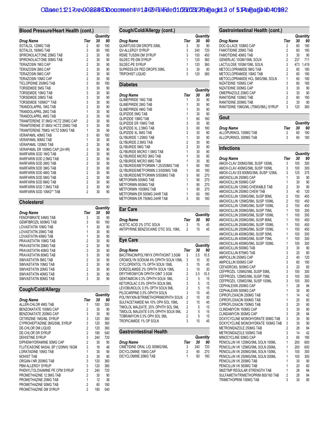# Case: 1:217cv-008886DDocument ##12629 Filed: 01061/031/2208 add 3 of 51Page 102 #:0992

#### **Blood Pressure/Heart Health (cont.)**

|                                   |                |    | Quantity |
|-----------------------------------|----------------|----|----------|
| <b>Drug Name</b>                  | Tier           | 30 | 90       |
| SOTALOL 120MG TAB                 | $\overline{2}$ | 60 | 180      |
| SOTALOL 160MG TAB                 | 3              | 60 | 180      |
| SPIRONOLACTONE 25MG TAB           | $\overline{2}$ | 30 | 90       |
| SPIRONOLACTONE 50MG TAB           | $\overline{c}$ | 30 | 90       |
| <b>TERAZOSIN 1MG CAP</b>          | $\overline{2}$ | 30 | 90       |
| TERAZOSIN 2MG CAP                 | $\overline{c}$ | 30 | 90       |
| <b>TERAZOSIN 5MG CAP</b>          | $\overline{2}$ | 30 | 90       |
| TERAZOSIN 10MG CAP                | $\overline{c}$ | 30 | 90       |
| TICLOPIDINE 250MG TAB             | 3              | 60 | 180      |
| <b>TORSEMIDE 5MG TAB</b>          | 3              | 30 | 90       |
| TORSEMIDE 10MG TAB                | 3              | 30 | 90       |
| TORSEMIDE 20MG TAB                | 3              | 30 | 90       |
| TORSEMIDE 100MG** TAB             | 3              | 30 | 90       |
| <b>TRANDOLAPRIL 1MG TAB</b>       | $\overline{2}$ | 30 | 90       |
| TRANDOLAPRIL 2MG TAB              | $\overline{1}$ | 30 | 90       |
| TRANDOLAPRIL 4MG TAB              | $\overline{2}$ | 30 | 90       |
| TRIAMTERENE 37.5MG/ HCTZ 25MG CAP | $\overline{2}$ | 30 | 90       |
| TRIAMTERENE 37.5MG/ HCTZ 25MG TAB | 3              | 30 | 90       |
| TRIAMTERENE 75MG/ HCTZ 50MG TAB   | 1              | 30 | 90       |
| <b>VERAPAMIL 40MG TAB</b>         | 3              | 60 | 180      |
| <b>VERAPAMIL 80MG TAB</b>         | 1              | 30 | 90       |
| <b>VERAPAMIL 120MG TAB</b>        | $\overline{2}$ | 30 | 90       |
| VERAPAMIL ER 100MG CAP (24 HR)    | 3              | 30 | 90       |
| WARFARIN SOD 1MG TAB              | $\overline{c}$ | 30 | 90       |
| WARFARIN SOD 2.5MG TAB            | $\overline{c}$ | 30 | 90       |
| WARFARIN SOD 2MG TAB              | $\overline{c}$ | 30 | 90       |
| WARFARIN SOD 3MG TAB              | $\overline{2}$ | 30 | 90       |
| WARFARIN SOD 4MG TAB              | $\overline{c}$ | 30 | 90       |
| WARFARIN SOD 5MG TAB              | $\overline{2}$ | 30 | 90       |
| WARFARIN SOD 6MG TAB              | $\overline{c}$ | 30 | 90       |
| WARFARIN SOD 7.5MG TAB            | $\overline{2}$ | 30 | 90       |
| WARFARIN SOD 10MG** TAB           | $\overline{2}$ | 30 | 90       |

#### **Cholesterol**

|                       |                | Quantity |     |
|-----------------------|----------------|----------|-----|
| Drug Name             | Tier           | 30       | 90  |
| FENOFIBRATE 54MG TAB  | 3              | 30       | 90  |
| GEMFIBROZIL 600MG TAB | 3              | 60       | 180 |
| LOVASTATIN 10MG TAB   | 1              | 30       | 90  |
| LOVASTATIN 20MG TAB   | 1              | 30       | 90  |
| LOVASTATIN 40MG TAB   | 1              | 30       | 90  |
| PRAVASTATIN 10MG TAB  | 2              | 30       | 90  |
| PRAVASTATIN 20MG TAB  | $\overline{2}$ | 30       | 90  |
| PRAVASTATIN 40MG TAB  | 3              | 30       | 90  |
| PRAVASTATIN 80MG TAB  | 3              | 30       | 90  |
| SIMVASTATIN 5MG TAB   | $\overline{2}$ | 30       | 90  |
| SIMVASTATIN 10MG TAB  | $\overline{2}$ | 30       | 90  |
| SIMVASTATIN 20MG TAB  | $\overline{2}$ | 30       | 90  |
| SIMVASTATIN 40MG TAB  | 3              | 30       | 90  |
| SIMVASTATIN 80MG TAB  | 3              | 30       | 90  |

# **Cough/Cold/Allergy**

|                                    |                | Quantity |     |  |
|------------------------------------|----------------|----------|-----|--|
| <b>Drug Name</b>                   | Tier           | 30       | 90  |  |
| ALLER-CHLOR 4MG TAB                |                | 100      | 300 |  |
| BENZONATATE 100MG CAP              | 2              | 30       | 90  |  |
| BENZONATATE 200MG CAP              | 3              | 30       | 90  |  |
| CETIRIZINE 1MG/ML SYRUP            | 3              | 120      | 360 |  |
| CYPROHEPTADINE 2MG/5ML SYRUP       | 3              | 120      | 360 |  |
| <b>DE-CHLOR DM LIQUID</b>          | 2              | 120      | 360 |  |
| DE-CHLOR DR SYRUP                  | $\overline{2}$ | 180      | 540 |  |
| <b>DEHISTINE SYRUP</b>             | 3              | 240      | 720 |  |
| DIPHENHYDRAMINE 50MG CAP           | 2              | 30       | 90  |  |
| FLUTICASONE NASAL SP (120INH) 16GM | 3              | 16       | 48  |  |
| LORATADINE 10MG TAB                | 1              | 30       | 90  |  |
| NOHIST TAB                         | 3              | 30       | 90  |  |
| ORGAN-I NR 200MG TAB               | 3              | 120      | 360 |  |
| PBM ALLERGY SYRUP                  | 3              | 120      | 360 |  |
| PHENYLTOLOXAMINE PE CPM SYRUP      | $\overline{2}$ | 240      | 720 |  |
| PROMETHAZINE 12.5MG TAB            | $\overline{2}$ | 30       | 90  |  |
| PROMETHAZINE 25MG TAB              | 1              | 12       | 36  |  |
| PROMETHAZINE 50MG TAB              | 2              | 60       | 180 |  |
| PROMETHAZINE DM SYRUP              | $\overline{2}$ | 180      | 540 |  |

| Cough/Cold/Allergy (cont.)         |                |     |          |
|------------------------------------|----------------|-----|----------|
|                                    |                |     | Quantity |
| <b>Drug Name</b>                   | Tier           | 30  | 90       |
| QUARTUSS DM DROPS 30ML             | 3              | 30  | 90       |
| <b>OV-ALLERGY SYRUP</b>            | 3              | 240 | 720      |
| REME TUSSIN DM SYRUP               | 3              | 150 | 450      |
| SILDEC PE-DM SYRUP                 | 1              | 120 | 360      |
| SILDEC-PE SYRUP                    | 1              | 120 | 360      |
| SUPRESS-DX PED DROPS 30ML          | 3              | 30  | 90       |
| <b>TRIPOHIST LIQUID</b>            | 3              | 120 | 360      |
| <b>Diabetes</b>                    |                |     |          |
|                                    |                |     | Quantity |
| Drug Name                          | Tier           | 30  | 90       |
| <b>GLIMEPIRIDE 1MG TAB</b>         | 1              | 30  | 90       |
| <b>GLIMEPIRIDE 2MG TAB</b>         | 1              | 30  | 90       |
| <b>GLIMEPIRIDE 4MG TAB</b>         | 1              | 30  | 90       |
| <b>GLIPIZIDE 5MG TAB</b>           | 1              | 30  | 90       |
| <b>GLIPIZIDE 10MG TAB</b>          | 1              | 60  | 180      |
| <b>GLIPIZIDE ER 10MG TAB</b>       | 3              | 30  | 90       |
| <b>GLIPIZIDE XL 2.5MG TAB</b>      | 3              | 60  | 180      |
| <b>GLIPIZIDE XL 5MG TAB</b>        | 3              | 30  | 90       |
| GLYBURIDE 1.25MG TAB               | 1              | 30  | 90       |
| <b>GLYBURIDE 2.5MG TAB</b>         | $\overline{2}$ | 30  | 90       |
| <b>GLYBURIDE 5MG TAB</b>           | $\overline{2}$ | 30  | 90       |
| <b>GLYBURIDE MICRO 1.5MG TAB</b>   | 1              | 30  | 90       |
| <b>GLYBURIDE MICRO 3MG TAB</b>     | 1              | 30  | 90       |
| <b>GLYBURIDE MICRO 6MG TAB</b>     | 1              | 30  | 90       |
| GLYBURIDE/METFORMIN 1.25/250MG TAB | 1              | 60  | 180      |
| GLYBURIDE/METFORMIN 2.5/500MG TAB  | 1              | 60  | 180      |
| GLYBURIDE/METFORMIN 5/500MG TAB    | 3              | 90  | 270      |
| METFORMIN 500MG TAB                | 1              | 90  | 270      |
| <b>METFORMIN 850MG TAB</b>         | 1              | 90  | 270      |
| METFORMIN 1000MG TAB               | 1              | 90  | 270      |
| METFORMIN ER 500MG 24HR TAB        | 1              | 60  | 180      |
| METFORMIN ER 750MG 24HR TAB        | 3              | 60  | 180      |

#### **Ear Care**

|                                     |      | Quantity |    |
|-------------------------------------|------|----------|----|
| Drug Name                           | Tier | 30       | 90 |
| ACETIC ACID 2% OTIC SOLN            |      | 15       | 45 |
| ANTIPYRINE BENZOCAINE OTIC SOL 15ML |      | 15       | 45 |

 $\overline{a}$ 

#### **Eye Care**

|                                     |                |     | wuanuty |
|-------------------------------------|----------------|-----|---------|
| <b>Drug Name</b>                    | Tier           | 30  | 90      |
| BACITRACIN/POLYMYX OPHTHOINT 3.5GM  | 3              | 3.5 | 10.5    |
| CROMOLYN SODIUM 4% OPHTH SOLN 10ML  | 3              | 10  | 30      |
| CYCLOPENTOL 1% OPTH SOLN 15ML       | 3              | 15  | 45      |
| DORZOLAMIDE 2% OPHTH SOLN 10ML      | 3              | 10  | 30      |
| ERYTHROMYCIN OPHTH OINT 3.5GM       | $\overline{2}$ | 3.5 | 10.5    |
| GENTAMICIN 0.3% OPHTH SOLN 5ML      | $\overline{2}$ | 5   | 15      |
| KETOROLAC 0.5% OPHTH SOLN 5ML       | 3              | 5   | 15      |
| LEVOBUNOLOL 0.5% OPTH SOLN 5ML      | 2              | 5   | 15      |
| PILOCARPINE 0.5% OPHTH SOLN         | 3              | 15  | 45      |
| POLYMYXIN-B/TRIMETHOPRIMOPHTH SOLN  | 2              | 10  | 30      |
| SULFACETAMIDE NA 10% OPH SOL 15ML   | $\overline{2}$ | 15  | 45      |
| TIMOLOL MALEATE .25% OPHTH SOL 5ML  | $\overline{2}$ | 5   | 15      |
| TIMOLOL MALEATE 0.5% OPHTH SOLN 5ML | $\overline{2}$ | 5   | 15      |
| TOBRAMYCIN 0.3% OPH SOL 5ML         | $\overline{2}$ | 5   | 15      |
| TROPICAMIDE 1% OP SOLN              | 3              | 15  | 45      |
|                                     |                |     |         |
| _________<br>$\sim$ $\sim$          |                |     |         |

#### **Gastrointestinal Health**

|                               |      |     | Quantity |
|-------------------------------|------|-----|----------|
| <b>Drug Name</b>              | Tier | 30  | 90       |
| CIMETIDINE ORAL LIQ 300MG/5ML |      | 240 | 720      |
| DICYCLOMINE 10MG CAP          |      | 90  | 270      |
| DICYCLOMINE 20MG TAB          |      | 60  | 180      |

| Gastrointestinal Health (cont.)     |                |     |                |
|-------------------------------------|----------------|-----|----------------|
|                                     |                |     | Quantity       |
| Drug Name                           | Tier           | 30  | 90             |
| DOC-Q-LACE 100MG CAP                | $\overline{2}$ | 60  | 180            |
| <b>FAMOTIDINE 20MG TAB</b>          | 2              | 60  | 180            |
| <b>FAMOTIDINE 40MG TAB</b>          | 3              | 30  | 90<br>711      |
| GENERLAC 10GM/15ML SOLN             | 2              | 237 |                |
| LACTULOSE 10GM/15ML SOLN            | 3              | 473 | 1,419          |
| METOCLOPRAMIDE 5MG TAB              | $\overline{2}$ | 60  | 180            |
| METOCLOPRAMIDE 10MG TAB             | 2              | 60  | 180            |
| METOCLOPRAMIDE HCL 5MG/5ML SOLN     | 1              | 60  | 180            |
| NIZATIDINE 150MG CAP                | 3              | 60  | 180            |
| NIZATIDINE 300MG CAP                | 3              | 30  | 90             |
| OMEPRAZOLE 20MG CAP                 | 3              | 30  | 90             |
| RANITIDINE 150MG TAB                | 2              | 60  | 180            |
| RANITIDINE 300MG TAB                | 2              | 30  | 90             |
| RANITIDINE 15MG/ML (75MG/5ML) SYRUP | 3              | 120 | 360            |
| Gout                                |                |     |                |
| Drug Name                           | Tier           | 30  | Quantity<br>90 |
| ALLOPURINOL 100MG TAB               | 2              | 60  | 180            |
| ALLOPURINOL 300MG TAB               | 3              | 60  | 180            |
|                                     |                |     |                |
| <b>Infections</b>                   |                |     | Quantity       |
| Drug Name                           | Tier           | 30  | 90             |
| AMOX-CLAV 200MG/5ML SUSP 100ML      | 3              | 100 | 300            |
| AMOX-CLAV 400MG/5ML SUSP 100ML      | 3              | 100 | 300            |
| AMOX-CLAV ES 600MG/5ML SUSP 125ML   | 3              | 125 | 375            |
| AMOXICILLIN 250MG CAP               | 1              | 30  | 90             |
| AMOXICILLIN 500MG CAP               | 1              | 30  | 90             |
| AMOXICILLIN 125MG CHEWABLE TAB      | $\overline{2}$ | 30  | 90             |
| AMOXICILLIN 250MG CHEW TAB          | 3              | 40  | 120            |
| AMOXICILLIN 125MG/5ML SUSP 80ML     | 2              | 150 | 450            |
| AMOXICILLIN 125MG/5ML SUSP 100ML    | 2              | 150 | 450            |
| AMOXICILLIN 125MG/5ML SUSP 150ML    | 2              | 150 | 450            |
| AMOXICILLIN 200MG/5ML SUSP 75ML     | 1              | 100 | 300            |
| AMOXICILLIN 200MG/5ML SUSP 100ML    | 1              | 100 | 300            |
| AMOXICILLIN 250MG/5ML SUSP 80ML     | 1              | 150 | 450            |
| AMOXICILLIN 250MG/5ML SUSP 100ML    | 1              | 150 | 450            |
| AMOXICILLIN 250MG/5ML SUSP 150ML    | 1              | 150 | 450            |
| AMOXICILLIN 400MG/5ML SUSP 50ML     | 1              | 100 | 300            |
| AMOXICILLIN 400MG/5ML SUSP 75ML     | 1              | 100 | 300            |
| AMOXICILLIN 400MG/5ML SUSP 100ML    | 1              | 100 | 300            |
| AMOXICILLIN 500MG TAB               | 3              | 30  | 90             |
| <b>AMOXICILLIN 875MG TAB</b>        | 3              | 20  | 60             |
| AMPICILLIN 250MG CAP                | 2              | 40  | 120            |
| AMPICILLIN 500MG CAP                | 3              | 60  | 180            |
| CEFADROXIL 500MG CAP                | 3              | 20  | 60             |
| CEFPROZIL 125MG/5ML SUSP 50ML       | 3              | 100 | 300            |
| CEFPROZIL 125MG/5ML SUSP 75ML       | 3              | 100 | 300            |
| CEFPROZIL 125MG/5ML SUSP 100ML      | 3              | 100 | 300            |
| CEPHALEXIN 250MG CAP                | 1              | 28  | 84             |
| CEPHALEXIN 500MG CAP                | 1              | 30  | 90             |
| CIPROFLOXACIN 250MG TAB             | 1              | 14  | 42             |
| CIPROFLOXACIN 500MG TAB             | 1              | 20  | 60             |
| CIPROFLOXACIN 750MG TAB             | 3              | 20  | 60             |
| <b>CLINDAMYCIN 150MG CAP</b>        | 3              | 30  | 90             |
| CLINDAMYCIN 300MG CAP               | 3              | 28  | 84             |
| DOXYCYCLINE MONOHYDRATE 50MG TAB    | 3              | 30  | 90             |
| DOXYCYCLINE MONOHYDRATE 100MG TAB   | 3              | 30  | 90             |
| METRONIDAZOLE 250MG TAB             | 2              | 28  | 84             |
| METRONIDAZOLE 500MG TAB             | 3              | 14  | 42             |
| MINOCYCLINE 50MG CAP                | 3              | 60  | 180            |
| PENICILLIN VK 125MG/5ML SOLN 100ML  | 1              | 200 | 600            |
| PENICILLIN VK 125MG/5ML SOLN 200ML  | 1              | 200 | 600            |
| PENICILLIN VK 250MG/5ML SOLN 100ML  | 1              | 100 | 300            |
| PENICILLIN VK 250MG/5ML SOLN 200ML  | 1              | 100 | 300            |
| PENICILLIN VK 250MG TAB             | 1              | 30  | 90             |
| PENICILLIN VK 500MG TAB             | 1              | 20  | 60             |
| SMZ/TMP REGULAR STRENGTH TAB        | 1              | 28  | 84             |
| SULFAMETH/TRIMETHOPRIM 800/160 TAB  | $\overline{c}$ | 28  | 84             |

TRIMETHOPRIM 100MG TAB 3 30 90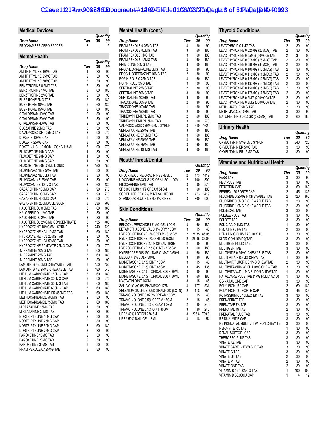# Case: 1:217cv-008886DDocument ##12629 Filed: 01061/031/220 and 26 5 Page 10 \$:17-age 12:17-cv-008886DDocument #: #12629 Filed: 01061  $\frac{1}{2}$

| <b>Medical Devices</b>                                                 |                                  |           |            |
|------------------------------------------------------------------------|----------------------------------|-----------|------------|
|                                                                        |                                  |           | Quantity   |
| Drug Name<br>PROCHAMBER AERO SPACER                                    | Tier<br>3                        | 30<br>1   | 90<br>3    |
|                                                                        |                                  |           |            |
| <b>Mental Health</b>                                                   |                                  |           | Quantity   |
| Drug Name                                                              | Tier                             | 30        | 90         |
| AMITRIPTYLINE 10MG TAB                                                 | 1                                | 30        | 90         |
| AMITRIPTYLINE 25MG TAB<br>AMITRIPTYLINE 50MG TAB                       | $\overline{2}$<br>3              | 30<br>30  | 90<br>90   |
| BENZTROPINE 0.5MG TAB                                                  | $\overline{2}$                   | 30        | 90         |
| BENZTROPINE 1MG TAB                                                    | 3                                | 60        | 180        |
| BENZTROPINE 2MG TAB                                                    | $\overline{2}$                   | 30        | 90         |
| <b>BUSPIRONE 5MG TAB</b>                                               | $\overline{2}$<br>$\overline{2}$ | 60        | 180        |
| <b>BUSPIRONE 10MG TAB</b><br><b>BUSPIRONE 15MG TAB</b>                 | 3                                | 60<br>60  | 180<br>180 |
| CITALOPRAM 10MG TAB                                                    | $\overline{2}$                   | 30        | 90         |
| CITALOPRAM 20MG TAB                                                    | $\overline{2}$                   | 30        | 90         |
| CITALOPRAM 40MG TAB                                                    | $\overline{2}$                   | 30        | 90         |
| <b>CLOZAPINE 25MG TAB</b>                                              | 3<br>3                           | 30        | 90<br>270  |
| DIVALPROEX DR 125MG TAB<br>DOXEPIN 10MG CAP                            | 3                                | 90<br>30  | 90         |
| DOXEPIN 25MG CAP                                                       | 3                                | 30        | 90         |
| DOXEPIN HCL 10MG/ML CONC 118ML                                         | 3                                | 90        | 270        |
| FLUOXETINE 10MG CAP                                                    | 1                                | 30        | 90         |
| FLUOXETINE 20MG CAP                                                    | 1<br>1                           | 30        | 90         |
| FLUOXETINE 40MG CAP<br>FLUOXETINE 20MG/5ML LIQUID                      | 3                                | 30<br>150 | 90<br>450  |
| FLUPHENAZINE 2.5MG TAB                                                 | 3                                | 30        | 90         |
| FLUPHENAZINE 5MG TAB                                                   | 3                                | 30        | 90         |
| FLUVOXAMINE 25MG TAB                                                   | 3                                | 30        | 90         |
| FLUVOXAMINE 100MG TAB                                                  | 3                                | 60        | 180        |
| GABAPENTIN 100MG CAP<br>GABAPENTIN 300MG CAP                           | $\overline{2}$<br>3              | 90<br>90  | 270<br>270 |
| GABAPENTIN 400MG CAP                                                   | 3                                | 90        | 270        |
| GABAPENTIN 250MG/5ML SOLN                                              | 3                                | 236       | 708        |
| HALOPERIDOL 0.5MG TAB                                                  | 3                                | 60        | 180        |
| HALOPERIDOL 1MG TAB                                                    | 2<br>3                           | 30        | 90         |
| HALOPERIDOL 2MG TAB<br>HALOPERIDOL 2MG/ML CONCENTRATE                  | 3                                | 30<br>135 | 90<br>405  |
| HYDROXYZINE 10MG/5ML SYRUP                                             | 3                                | 240       | 720        |
| HYDROXYZINE HCL 10MG TAB                                               | 3                                | 60        | 180        |
| HYDROXYZINE HCL 25MG TAB                                               | $\overline{2}$                   | 30        | 90         |
| <b>HYDROXYZINE HCL 50MG TAB</b><br><b>HYDROXYZINE PAMOATE 25MG CAP</b> | 3<br>3                           | 30        | 90         |
| <b>IMIPRAMINE 10MG TAB</b>                                             | 3                                | 90<br>60  | 270<br>180 |
| <b>IMIPRAMINE 25MG TAB</b>                                             | 3                                | 60        | 180        |
| <b>IMIPRAMINE 50MG TAB</b>                                             | 3                                | 30        | 90         |
| LAMOTRIGINE 5MG CHEWABLE TAB                                           | 3                                | 150       | 450        |
| LAMOTRIGINE 25MG CHEWABLE TAB<br>LITHIUM CARBONATE 150MG CAP           | 3<br>3                           | 180       | 540<br>180 |
| LITHIUM CARBONATE 300MG CAP                                            | 2                                | 60<br>90  | 270        |
| LITHIUM CARBONATE 300MG TAB                                            | 3                                | 60        | 180        |
| LITHIUM CARBONATE 600MG CAP                                            | 3                                | 60        | 180        |
| LITHIUM CARBONATE ER 450MG TAB                                         | 3                                | 60        | 180        |
| METHOCARBAMOL 500MG TAB<br>METHOCARBAMOL 750MG TAB                     | $\overline{2}$<br>3              | 30<br>60  | 90<br>180  |
| MIRTAZAPINE 15MG TAB                                                   | 1                                | 30        | 90         |
| MIRTAZAPINE 30MG TAB                                                   | 3                                | 30        | 90         |
| NORTRIPTYLINE 10MG CAP                                                 | 2                                | 30        | 90         |
| NORTRIPTYLINE 25MG CAP                                                 | $\overline{\mathbf{c}}$          | 30        | 90         |
| NORTRIPTYLINE 50MG CAP<br>NORTRIPTYLINE 75MG CAP                       | 3<br>3                           | 60        | 180        |
| PAROXETINE 10MG TAB                                                    | $\overline{\mathbf{c}}$          | 30<br>30  | 90<br>90   |
| PAROXETINE 20MG TAB                                                    | $\overline{c}$                   | 30        | 90         |
| PAROXETINE 30MG TAB                                                    | 3                                | 30        | 90         |
| PRAMIPEXOLE 0.125MG TAB                                                | 3                                | 30        | 90         |

| Mental Health (cont.)                                                 |                     |            |             |
|-----------------------------------------------------------------------|---------------------|------------|-------------|
|                                                                       |                     |            | Quantity    |
| Drug Name                                                             | Tier                | 30         | 90          |
| PRAMIPEXOLE 0.25MG TAB                                                | 3                   | 30         | 90          |
| PRAMIPEXOLE 0.5MG TAB                                                 | 3                   | 60         | 180         |
| PRAMIPEXOLE 1MG TAB                                                   | 3                   | 60         | 180         |
| PRAMIPEXOLE 1.5MG TAB                                                 | 3                   | 60         | 180         |
| PRIMIDONE 50MG TAB<br>PROCHLORPERAZINE 5MG TAB                        | 3<br>$\overline{c}$ | 60<br>30   | 180<br>90   |
| PROCHLORPERAZINE 10MG TAB                                             | $\overline{2}$      | 30         | 90          |
| ROPINIROLE 0.25MG TAB                                                 | 3                   | 60         | 180         |
| ROPINIROLE 3MG TAB                                                    | 3                   | 30         | 90          |
| SERTRALINE 25MG TAB                                                   | $\overline{2}$      | 30         | 90          |
| SERTRALINE 50MG TAB                                                   | 3                   | 30         | 90          |
| SERTRALINE 100MG TAB                                                  | 3                   | 30         | 90          |
| TRAZODONE 50MG TAB                                                    | $\overline{2}$      | 30         | 90          |
| TRAZODONE 100MG TAB                                                   | 1                   | 30         | 90          |
| TRAZODONE 150MG TAB                                                   | $\overline{2}$      | 30         | 90          |
| TRIHEXYPHENIDYL 2MG TAB                                               | $\overline{2}$      | 60         | 180         |
| TRIHEXYPHENIDYL 5MG TAB                                               | 3                   | 90         | 270         |
| VALPROIC ACID 250MG/5ML SYRUP                                         | 3                   | 540        | 1620        |
| VENLAFAXINE 25MG TAB<br>VENLAFAXINE 37.5MG TAB                        | 3<br>3              | 60         | 180         |
| VENLAFAXINE 50MG TAB                                                  | 3                   | 60<br>60   | 180<br>180  |
| <b>VENLAFAXINE 75MG TAB</b>                                           | 3                   | 60         | 180         |
| VENLAFAXINE 100MG TAB                                                 | 3                   | 60         | 180         |
|                                                                       |                     |            |             |
| <b>Mouth/Throat/Dental</b>                                            |                     |            |             |
|                                                                       |                     |            | Quantity    |
| Drug Name<br>CHLORHEXIDINE ORAL RINSE 473ML                           | Tier<br>2           | 30<br>473  | 90<br>1419  |
| LIDOCAINE VISCOUS 2% ORAL SOL 100ML                                   | 2                   | 100        | 300         |
|                                                                       |                     |            |             |
|                                                                       |                     |            |             |
| PILOCARPINE 5MG TAB                                                   | 3                   | 90         | 270         |
| SF 5000 PLUS 1.1% CREAM 51GM                                          | 3                   | 60         | 180         |
| SOD FLUORIDE 0.2% MINT SOLUTION<br>STANNOUS FLUORIDE 0.63% RINSE      | 2<br>3              | 473<br>300 | 1419<br>900 |
|                                                                       |                     |            |             |
| <b>Skin Conditions</b>                                                |                     |            |             |
|                                                                       |                     |            | Quantity    |
| Drug Name                                                             | Tier                | 30<br>60   | 90<br>180   |
| BENZOYL PEROXIDE 5% AQ GEL 60GM<br>BETAMETHASONE VAL 0.1% CRM 15GM    | 3<br>3              | 15         | 45          |
| HYDROCORTISONE 1% CREAM 28.35GM                                       | $\overline{2}$      | 28.35      | 85.05       |
| HYDROCORTISONE 1% OINT 28.35GM                                        | 2                   | 28.35      | 85.05       |
| HYDROCORTISONE 2.5% CREAM 30GM                                        | 2                   | 30         | 90          |
| HYDROCORTISONE 2.5% OINT 28.35GM                                      | 3                   | 60         | 180         |
| HYPERCARE 20% SOL DAB-O-MATIC 60ML                                    | 3                   | 60         | 180         |
| MELQUIN 3% SOLN 30ML                                                  | 3                   | 30         | 90          |
| MOMETASONE 0.1% OINT 15GM                                             | 3                   | 15         | 45          |
| MOMETASONE 0.1% OINT 45GM                                             | 3                   | 45         | 135         |
| MOMETASONE 0.1% TOPICAL SOLN 30ML                                     | 3                   | 30         | 90          |
| MOMETASONE 0.1% TOPICAL SOLN 60ML                                     | 3                   | 60         | 180         |
| NYSTATIN OINT 15GM                                                    | 3                   | 15         | 45          |
| SALICYLIC AC 6% SHAMPOO 177ML<br>SELENIUM SULFIDE 2.5% SHAMPOO (LOTN) | 3<br>$\overline{2}$ | 177<br>118 | 531<br>354  |
| TRIAMCINOLONE 0.025% CREAM 15GM                                       | 1                   | 15         | 45          |
| TRIAMCINOLONE 0.5% CREAM 15GM                                         | $\overline{2}$      | 15         | 45          |
| TRIAMCINOLONE 0.1% CREAM 80GM                                         | $\overline{2}$      | 80         | 240         |
| TRIAMCINOLONE 0.1% OINT 80GM                                          | 3                   | 80         | 240         |
| UREA 40% LOTION 236.6ML                                               | 3                   | 236.6      | 709.8       |
| UREA 50% NAIL GEL 18ML                                                | 3                   | 18         | 54          |

|                                    |                |    | Quantity   |
|------------------------------------|----------------|----|------------|
| Drug Name                          | Tier           | 30 | 90         |
| LEVOTHROID 0.1MG TAB               | 2              | 30 | 90         |
| LEVOTHYROXINE 0.025MG (25MCG) TAB  | 2              | 30 | 90         |
| LEVOTHYROXINE 0.05MG (50MCG) TAB   | $\overline{2}$ | 30 | 90         |
| LEVOTHYROXINE 0.075MG (75MCG) TAB  | 2              | 30 | 90         |
| LEVOTHYROXINE 0.088MG (88MCG) TAB  | 2              | 30 | 90         |
| LEVOTHYROXINE 0.100MG (100MCG) TAB | 2              | 30 | 90         |
| LEVOTHYROXINE 0.112MG (112MCG) TAB | 2              | 30 | 90         |
| LEVOTHYROXINE 0.125MG (125MCG) TAB | 2              | 30 | 90         |
| LEVOTHYROXINE 0.137MG (137MCG) TAB | 2              | 30 | 90         |
| LEVOTHYROXINE 0.150MG (150MCG) TAB | 2              | 30 | 90         |
| LEVOTHYROXINE 0.175MG (175MCG) TAB | 2              | 30 | 90         |
| LEVOTHYROXINE 0.2MG (200MCG) TAB   | 2              | 30 | 90         |
| LEVOTHYROXINE 0.3MG (300MCG) TAB   | 2              | 30 | 90         |
| METHIMAZOLE 5MG TAB                | 2              | 30 | 90         |
| METHIMAZOLE 10MG TAB               | 3              | 30 | 90         |
| NATURE-THROID 0.5GR (32.5MG) TAB   | 2              | 60 | 180        |
| Urinary Health                     |                |    |            |
|                                    |                |    | $0$ antitu |

|                          |      |     | Quanuty |
|--------------------------|------|-----|---------|
| Drug Name                | Tier | 30  | 90      |
| OXYBUTYNIN 5MG/5ML SYRUP |      | 240 | 720     |
| OXYBUTYNIN ER 5MG TAB    |      | 30  | 90      |
| OXYBUTYNIN ER 15MG TAB   | 3    | 30  | 90      |

# **Vitamins and Nutritional Health**

|                                     |                |     | Quantity |
|-------------------------------------|----------------|-----|----------|
| <b>Drug Name</b>                    | Tier           | 30  | 90       |
| <b>FABB TAB</b>                     | 3              | 30  | 90       |
| FE C PLUS TAB                       | 3              | 30  | 90       |
| <b>FEROTRIN CAP</b>                 | 3              | 60  | 180      |
| FERREX 150 FORTE CAP                | $\overline{c}$ | 45  | 135      |
| FLUORIDE 0.25MG F CHEWABLE TAB      | $\overline{2}$ | 120 | 360      |
| FLUORIDE 0.5MG F CHEWABLE TAB       | 1              | 30  | 90       |
| FLUORIDE 1.0MG F CHEWABLE TAB       | $\overline{2}$ | 30  | 90       |
| <b>FOLBECAL TAB</b>                 | 3              | 30  | 90       |
| <b>FOLBEE PLUS TAB</b>              | 3              | 30  | 90       |
| <b>FOLBEE TAB</b>                   | 3              | 30  | 90       |
| <b>FOLIC ACID 1MG TAB</b>           | 1              | 30  | 90       |
| <b>HEMATINIC/ FA TAB</b>            | $\overline{2}$ | 30  | 90       |
| HEMATINIC PLUS TAB 10 X 10          | 3              | 30  | 90       |
| KLOR-CON 10MEQ TAB                  | 3              | 30  | 90       |
| <b>MULTIGEN FOLIC TAB</b>           | 3              | 30  | 90       |
| <b>MULTIGEN TAB</b>                 | 3              | 30  | 90       |
| MULTIVIT/F 0.25MG CHEWABLE TAB      | $\overline{2}$ | 30  | 90       |
| MULTI-VITA-F 0.5MG CHEW TAB         | $\overline{1}$ | 30  | 90       |
| MULTI-VIT/FLUORIDE 1MG CHEW TAB     | $\overline{2}$ | 30  | 90       |
| MULTIVITAMINS W/ FL 1.0MG CHEW TAB  | 3              | 30  | 90       |
| MULTIVITS W/FL 1MG & IRON CHEW TAB  | 1              | 30  | 90       |
| NATALCARE PLUS TAB (1MG FOLIC ACID) | 1              | 30  | 90       |
| OB-NATAL ONE CAP                    | 3              | 30  | 90       |
| POLY-IRON 150 CAP                   | $\overline{2}$ | 60  | 180      |
| POLY-IRON 150 FORTE CAP             | 3              | 45  | 135      |
| POTASSIUM CL 10MEQ ER TAB           | 3              | 30  | 90       |
| PRENAFIRST TAB                      | 3              | 30  | 90       |
| PRENATAB FA TAB                     | $\overline{3}$ | 30  | 90       |
| PRENATAL 19 TAB                     | $\overline{c}$ | 30  | 90       |
| PRENATAL PLUS TAB                   | 3              | 30  | 90       |
| RE DUALVIT F CAP                    | 3              | 30  | 90       |
| RE PRENATAL MULTIVIT W/IRON CHEW TB | 3              | 30  | 90       |
| RENA-VITE RX TAB                    | 1              | 30  | 90       |
| RENAL SOFTGEL CAP                   | 3              | 30  | 90       |
| THEROBEC PLUS TAB                   | 3              | 30  | 90       |
| <b>VINATE AZ TAB</b>                | 3              | 30  | 90       |
| VINATE CARE CHEWABLE TAB            | 3              | 30  | 90       |
| <b>VINATE C TAB</b>                 | 3              | 30  | 90       |
| <b>VINATE GT TAB</b>                | $\overline{c}$ | 30  | 90       |
| <b>VINATE M TAB</b>                 | $\overline{c}$ | 30  | 90       |
| <b>VINATE ONE TAB</b>               | $\overline{2}$ | 30  | 90       |
| VITAMIN B-12 100MCG TAB             | $\overline{1}$ | 100 | 300      |
| VITAMIN D 50,000IU CAP              | 1              | 4   | 12       |
|                                     |                |     |          |